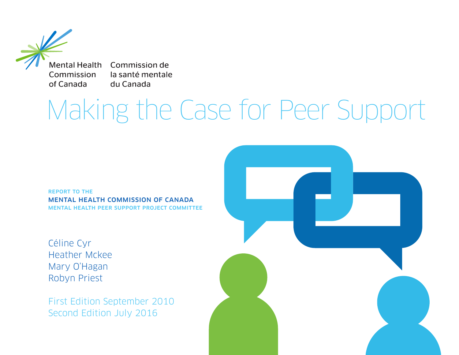**Mental Health** Commission of Canada

Commission de la santé mentale du Canada

# Making the Case for Peer Support

report to the Mental Health Commission of Canada Mental Health Peer Support Project Committee

Céline Cyr Heather Mckee Mary O'Hagan Robyn Priest

First Edition September 2010 Second Edition July 2016

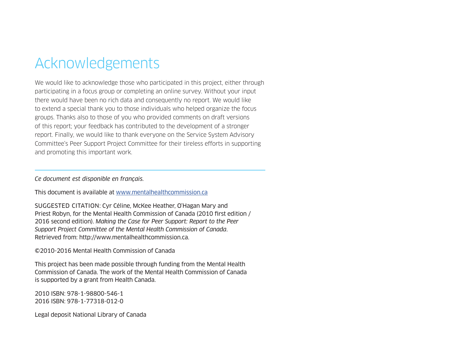# Acknowledgements

We would like to acknowledge those who participated in this project, either through participating in a focus group or completing an online survey. Without your input there would have been no rich data and consequently no report. We would like to extend a special thank you to those individuals who helped organize the focus groups. Thanks also to those of you who provided comments on draft versions of this report; your feedback has contributed to the development of a stronger report. Finally, we would like to thank everyone on the Service System Advisory Committee's Peer Support Project Committee for their tireless efforts in supporting and promoting this important work.

*Ce document est disponible en français.*

This document is available at www.mentalhealthcommission.ca

SUGGESTED CITATION: Cyr Céline, McKee Heather, O'Hagan Mary and Priest Robyn, for the Mental Health Commission of Canada (2010 first edition / 2016 second edition). *Making the Case for Peer Support: Report to the Peer Support Project Committee of the Mental Health Commission of Canada*. Retrieved from: http://www.mentalhealthcommission.ca.

©2010-2016 Mental Health Commission of Canada

This project has been made possible through funding from the Mental Health Commission of Canada. The work of the Mental Health Commission of Canada is supported by a grant from Health Canada.

2010 ISBN: 978-1-98800-546-1 2016 ISBN: 978-1-77318-012-0

Legal deposit National Library of Canada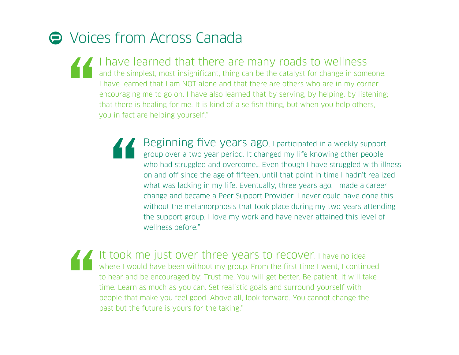# $\ominus$  Voices from Across Canada

- I have learned that there are many roads to wellness and the simplest, most insignificant, thing can be the catalyst for change in someone. I have learned that I am NOT alone and that there are others who are in my corner encouraging me to go on. I have also learned that by serving, by helping, by listening; that there is healing for me. It is kind of a selfish thing, but when you help others, you in fact are helping yourself."
	- Beginning five years ago, I participated in a weekly support group over a two years ago. I participated in a weekly support group over a two year period. It changed my life knowing other people who had struggled and overcome... Even though I have struggled with illness on and off since the age of fifteen, until that point in time I hadn't realized what was lacking in my life. Eventually, three years ago, I made a career change and became a Peer Support Provider. I never could have done this without the metamorphosis that took place during my two years attending the support group. I love my work and have never attained this level of wellness before."
	- It took me just over three years to recover. I have no idea where I would have been without my group. From the first time I went, I continued to hear and be encouraged by: Trust me. You will get better. Be patient. It will take time. Learn as much as you can. Set realistic goals and surround yourself with people that make you feel good. Above all, look forward. You cannot change the past but the future is yours for the taking."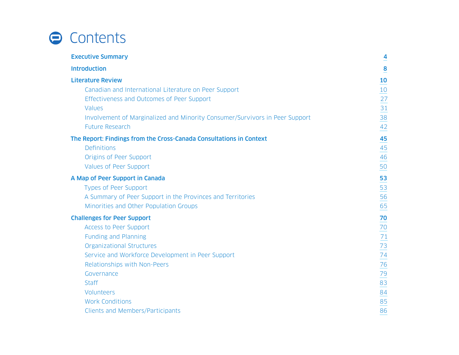# **O** Contents

| <b>Executive Summary</b>                                                    | $\overline{4}$  |
|-----------------------------------------------------------------------------|-----------------|
| <b>Introduction</b>                                                         | 8               |
| <b>Literature Review</b>                                                    | 10              |
| Canadian and International Literature on Peer Support                       | 10              |
| Effectiveness and Outcomes of Peer Support                                  | 27              |
| Values                                                                      | 31              |
| Involvement of Marginalized and Minority Consumer/Survivors in Peer Support | 38              |
| <b>Future Research</b>                                                      | 42              |
| The Report: Findings from the Cross-Canada Consultations in Context         | 45              |
| <b>Definitions</b>                                                          | 45              |
| Origins of Peer Support                                                     | 46              |
| Values of Peer Support                                                      | 50              |
| A Map of Peer Support in Canada                                             | 53              |
| Types of Peer Support                                                       | 53              |
| A Summary of Peer Support in the Provinces and Territories                  | 56              |
| Minorities and Other Population Groups                                      | 65              |
| <b>Challenges for Peer Support</b>                                          | 70              |
| Access to Peer Support                                                      | $\frac{70}{2}$  |
| <b>Funding and Planning</b>                                                 | $71$            |
| <b>Organizational Structures</b>                                            | $\overline{73}$ |
| Service and Workforce Development in Peer Support                           | $\frac{74}{1}$  |
| Relationships with Non-Peers                                                | 76              |
| Governance                                                                  | 79              |
| <b>Staff</b>                                                                | 83              |
| Volunteers                                                                  | 84              |
| <b>Work Conditions</b>                                                      | 85              |
| <b>Clients and Members/Participants</b>                                     | 86              |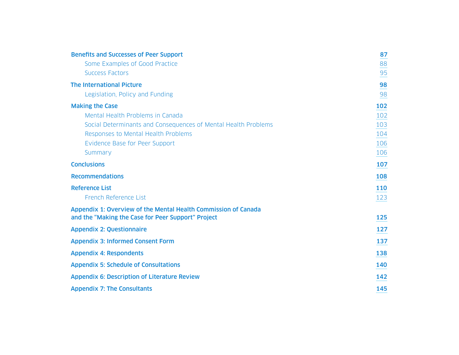| <b>Benefits and Successes of Peer Support</b>                  | 87  |
|----------------------------------------------------------------|-----|
| Some Examples of Good Practice                                 | 88  |
| <b>Success Factors</b>                                         | 95  |
| <b>The International Picture</b>                               | 98  |
| Legislation, Policy and Funding                                | 98  |
| <b>Making the Case</b>                                         | 102 |
| Mental Health Problems in Canada                               | 102 |
| Social Determinants and Consequences of Mental Health Problems | 103 |
| Responses to Mental Health Problems                            | 104 |
| Evidence Base for Peer Support                                 | 106 |
| Summary                                                        | 106 |
| <b>Conclusions</b>                                             | 107 |
| <b>Recommendations</b>                                         | 108 |
| <b>Reference List</b>                                          | 110 |
| French Reference List                                          | 123 |
| Appendix 1: Overview of the Mental Health Commission of Canada |     |
| and the "Making the Case for Peer Support" Project             | 125 |
| <b>Appendix 2: Questionnaire</b>                               | 127 |
| <b>Appendix 3: Informed Consent Form</b>                       | 137 |
| <b>Appendix 4: Respondents</b>                                 | 138 |
| <b>Appendix 5: Schedule of Consultations</b>                   | 140 |
|                                                                |     |
| <b>Appendix 6: Description of Literature Review</b>            | 142 |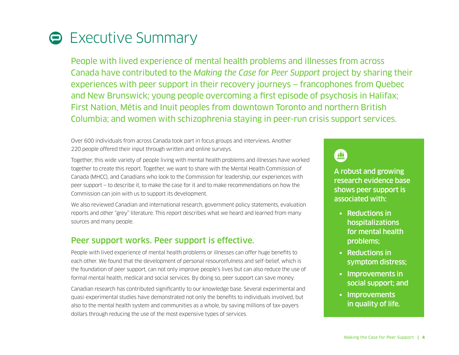# <span id="page-5-0"></span>**Executive Summary**

People with lived experience of mental health problems and illnesses from across Canada have contributed to the *Making the Case for Peer Support* project by sharing their experiences with peer support in their recovery journeys — francophones from Quebec and New Brunswick; young people overcoming a first episode of psychosis in Halifax; First Nation, Métis and Inuit peoples from downtown Toronto and northern British Columbia; and women with schizophrenia staying in peer-run crisis support services.

Over 600 individuals from across Canada took part in focus groups and interviews. Another 220 people offered their input through written and online surveys.

Together, this wide variety of people living with mental health problems and illnesses have worked together to create this report. Together, we want to share with the Mental Health Commission of Canada (MHCC), and Canadians who look to the Commission for leadership, our experiences with peer support — to describe it, to make the case for it and to make recommendations on how the Commission can join with us to support its development.

We also reviewed Canadian and international research, government policy statements, evaluation reports and other "grey" literature. This report describes what we heard and learned from many sources and many people.

### Peer support works. Peer support is effective.

People with lived experience of mental health problems or illnesses can offer huge benefits to each other. We found that the development of personal resourcefulness and self-belief, which is the foundation of peer support, can not only improve people's lives but can also reduce the use of formal mental health, medical and social services. By doing so, peer support can save money.

Canadian research has contributed significantly to our knowledge base. Several experimental and quasi-experimental studies have demonstrated not only the benefits to individuals involved, but also to the mental health system and communities as a whole, by saving millions of tax-payers dollars through reducing the use of the most expensive types of services.



A robust and growing research evidence base shows peer support is associated with:

- Reductions in hospitalizations for mental health problems;
- Reductions in symptom distress;
- Improvements in social support; and
- Improvements in quality of life.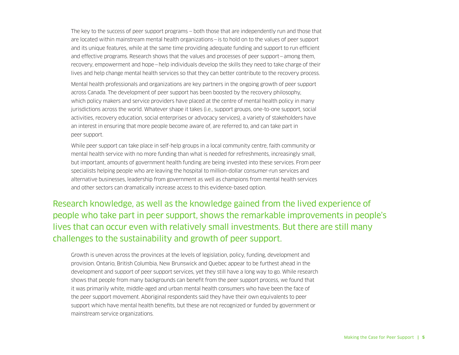The key to the success of peer support programs — both those that are independently run and those that are located within mainstream mental health organizations—is to hold on to the values of peer support and its unique features, while at the same time providing adequate funding and support to run efficient and effective programs. Research shows that the values and processes of peer support—among them, recovery, empowerment and hope—help individuals develop the skills they need to take charge of their lives and help change mental health services so that they can better contribute to the recovery process.

Mental health professionals and organizations are key partners in the ongoing growth of peer support across Canada. The development of peer support has been boosted by the recovery philosophy, which policy makers and service providers have placed at the centre of mental health policy in many jurisdictions across the world. Whatever shape it takes (i.e., support groups, one-to-one support, social activities, recovery education, social enterprises or advocacy services), a variety of stakeholders have an interest in ensuring that more people become aware of, are referred to, and can take part in peer support.

While peer support can take place in self-help groups in a local community centre, faith community or mental health service with no more funding than what is needed for refreshments, increasingly small, but important, amounts of government health funding are being invested into these services. From peer specialists helping people who are leaving the hospital to million-dollar consumer-run services and alternative businesses, leadership from government as well as champions from mental health services and other sectors can dramatically increase access to this evidence-based option.

Research knowledge, as well as the knowledge gained from the lived experience of people who take part in peer support, shows the remarkable improvements in people's lives that can occur even with relatively small investments. But there are still many challenges to the sustainability and growth of peer support.

Growth is uneven across the provinces at the levels of legislation, policy, funding, development and provision. Ontario, British Columbia, New Brunswick and Quebec appear to be furthest ahead in the development and support of peer support services, yet they still have a long way to go. While research shows that people from many backgrounds can benefit from the peer support process, we found that it was primarily white, middle-aged and urban mental health consumers who have been the face of the peer support movement. Aboriginal respondents said they have their own equivalents to peer support which have mental health benefits, but these are not recognized or funded by government or mainstream service organizations.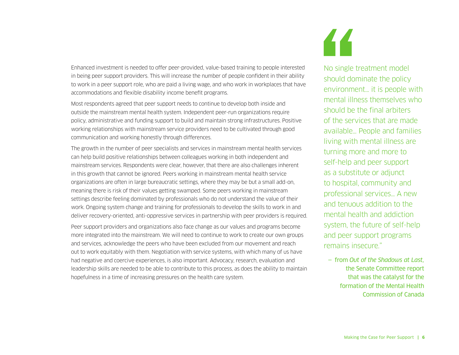Enhanced investment is needed to offer peer-provided, value-based training to people interested in being peer support providers. This will increase the number of people confident in their ability to work in a peer support role, who are paid a living wage, and who work in workplaces that have accommodations and flexible disability income benefit programs.

Most respondents agreed that peer support needs to continue to develop both inside and outside the mainstream mental health system. Independent peer-run organizations require policy, administrative and funding support to build and maintain strong infrastructures. Positive working relationships with mainstream service providers need to be cultivated through good communication and working honestly through differences.

The growth in the number of peer specialists and services in mainstream mental health services can help build positive relationships between colleagues working in both independent and mainstream services. Respondents were clear, however, that there are also challenges inherent in this growth that cannot be ignored. Peers working in mainstream mental health service organizations are often in large bureaucratic settings, where they may be but a small add-on, meaning there is risk of their values getting swamped. Some peers working in mainstream settings describe feeling dominated by professionals who do not understand the value of their work. Ongoing system change and training for professionals to develop the skills to work in and deliver recovery-oriented, anti-oppressive services in partnership with peer providers is required.

Peer support providers and organizations also face change as our values and programs become more integrated into the mainstream. We will need to continue to work to create our own groups and services, acknowledge the peers who have been excluded from our movement and reach out to work equitably with them. Negotiation with service systems, with which many of us have had negative and coercive experiences, is also important. Advocacy, research, evaluation and leadership skills are needed to be able to contribute to this process, as does the ability to maintain hopefulness in a time of increasing pressures on the health care system.



No single treatment model should dominate the policy environment… it is people with mental illness themselves who should be the final arbiters of the services that are made available… People and families living with mental illness are turning more and more to self-help and peer support as a substitute or adjunct to hospital, community and professional services… A new and tenuous addition to the mental health and addiction system, the future of self-help and peer support programs remains insecure."

— from *Out of the Shadows at Last,*  the Senate Committee report that was the catalyst for the formation of the Mental Health Commission of Canada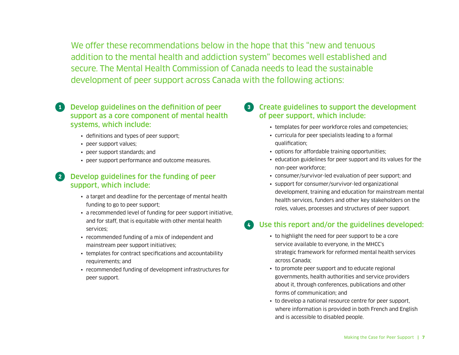We offer these recommendations below in the hope that this "new and tenuous addition to the mental health and addiction system" becomes well established and secure. The Mental Health Commission of Canada needs to lead the sustainable development of peer support across Canada with the following actions:

- **80** Develop guidelines on the definition of peer support as a core component of mental health systems, which include:
	- definitions and types of peer support;
	- peer support values;
	- peer support standards; and
	- peer support performance and outcome measures.

#### **2** Develop guidelines for the funding of peer support, which include:

- a target and deadline for the percentage of mental health funding to go to peer support;
- a recommended level of funding for peer support initiative, and for staff, that is equitable with other mental health services;
- recommended funding of a mix of independent and mainstream peer support initiatives;
- templates for contract specifications and accountability requirements; and
- recommended funding of development infrastructures for peer support.
- ° Create guidelines to support the development of peer support, which include:
	- templates for peer workforce roles and competencies;
	- curricula for peer specialists leading to a formal qualification;
	- options for affordable training opportunities;
	- education guidelines for peer support and its values for the non-peer workforce;
	- consumer/survivor-led evaluation of peer support; and
	- support for consumer/survivor-led organizational development, training and education for mainstream mental health services, funders and other key stakeholders on the roles, values, processes and structures of peer support.

#### Use this report and/or the guidelines developed:

- to highlight the need for peer support to be a core service available to everyone, in the MHCC's strategic framework for reformed mental health services across Canada;
- to promote peer support and to educate regional governments, health authorities and service providers about it, through conferences, publications and other forms of communication; and
- to develop a national resource centre for peer support, where information is provided in both French and English and is accessible to disabled people.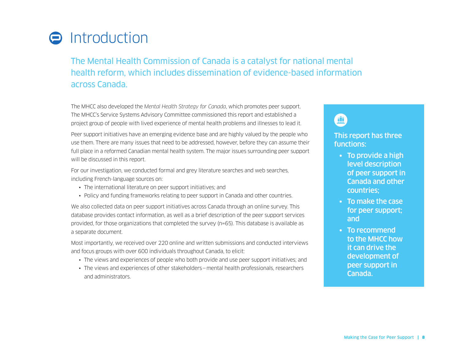# <span id="page-9-0"></span>**O** Introduction

The Mental Health Commission of Canada is a catalyst for national mental health reform, which includes dissemination of evidence-based information across Canada.

The MHCC also developed the *Mental Health Strategy for Canada*, which promotes peer support. The MHCC's Service Systems Advisory Committee commissioned this report and established a project group of people with lived experience of mental health problems and illnesses to lead it.

Peer support initiatives have an emerging evidence base and are highly valued by the people who use them. There are many issues that need to be addressed, however, before they can assume their full place in a reformed Canadian mental health system. The major issues surrounding peer support will be discussed in this report.

For our investigation, we conducted formal and grey literature searches and web searches, including French-language sources on:

- The international literature on peer support initiatives; and
- Policy and funding frameworks relating to peer support in Canada and other countries.

We also collected data on peer support initiatives across Canada through an online survey. This database provides contact information, as well as a brief description of the peer support services provided, for those organizations that completed the survey (n=65). This database is available as a separate document.

Most importantly, we received over 220 online and written submissions and conducted interviews and focus groups with over 600 individuals throughout Canada, to elicit:

- The views and experiences of people who both provide and use peer support initiatives; and
- The views and experiences of other stakeholders—mental health professionals, researchers and administrators.

# 画

#### This report has three functions:

- To provide a high level description of peer support in Canada and other countries;
- To make the case for peer support; and
- To recommend to the MHCC how it can drive the development of peer support in Canada.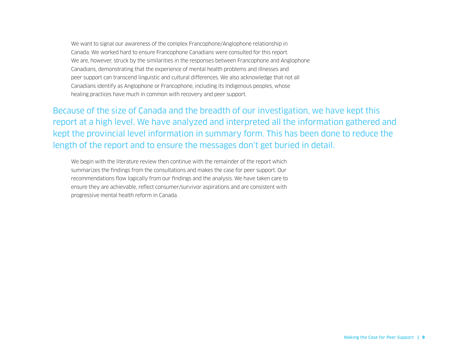We want to signal our awareness of the complex Francophone/Anglophone relationship in Canada. We worked hard to ensure Francophone Canadians were consulted for this report. We are, however, struck by the similarities in the responses between Francophone and Anglophone Canadians, demonstrating that the experience of mental health problems and illnesses and peer support can transcend linguistic and cultural differences. We also acknowledge that not all Canadians identify as Anglophone or Francophone, including its Indigenous peoples, whose healing practices have much in common with recovery and peer support.

Because of the size of Canada and the breadth of our investigation, we have kept this report at a high level. We have analyzed and interpreted all the information gathered and kept the provincial level information in summary form. This has been done to reduce the length of the report and to ensure the messages don't get buried in detail.

We begin with the literature review then continue with the remainder of the report which summarizes the findings from the consultations and makes the case for peer support. Our recommendations flow logically from our findings and the analysis. We have taken care to ensure they are achievable, reflect consumer/survivor aspirations and are consistent with progressive mental health reform in Canada.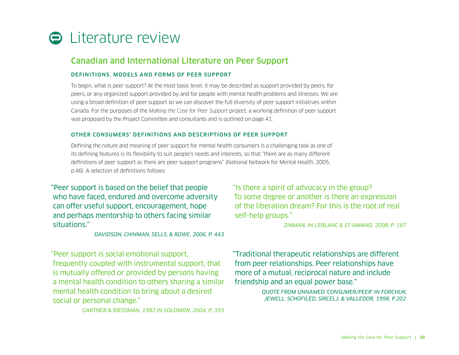<span id="page-11-0"></span>

### Canadian and International Literature on Peer Support

#### DEFINITIONS, MODELS AND FORMS OF PEER SUPPORT

To begin, what is peer support? At the most basic level, it may be described as support provided by peers, for peers; or any organized support provided by and for people with mental health problems and illnesses. We are using a broad definition of peer support so we can discover the full diversity of peer support initiatives within Canada. For the purposes of the *Making the Case for Peer Support* project, a working definition of peer support was proposed by the Project Committee and consultants and is outlined on page 41.

#### OTHER CONSUMERS' DEFINITIONS AND DESCRIPTIONS OF PEER SUPPORT

Defining the nature and meaning of peer support for mental health consumers is a challenging task as one of its defining features is its flexibility to suit people's needs and interests, so that "there are as many different definitions of peer support as there are peer support programs" (National Network for Mental Health, 2005, p.46). A selection of definitions follows:

"Peer support is based on the belief that people who have faced, endured and overcome adversity can offer useful support, encouragement, hope and perhaps mentorship to others facing similar situations."

*DAVIDSON, CHINMAN, SELLS, & ROWE, 2006, P. 443*

"Peer support is social emotional support, frequently coupled with instrumental support, that is mutually offered or provided by persons having a mental health condition to others sharing a similar mental health condition to bring about a desired social or personal change."

*GARTNER & RIESSMAN, 1982 IN SOLOMON, 2004, P. 393*

"Is there a spirit of advocacy in the group? To some degree or another is there an expression of the liberation dream? For this is the root of real self-help groups."

*ZINMAN, IN LEBLANC & ST-AMAND, 2008, P. 187*

"Traditional therapeutic relationships are different from peer relationships. Peer relationships have more of a mutual, reciprocal nature and include friendship and an equal power base."

> *QUOTE FROM UNNAMED 'CONSUMER/PEER' IN FORCHUK, JEWELL, SCHOFILED, SIRCELJ, & VALLEDOR, 1998, P.202*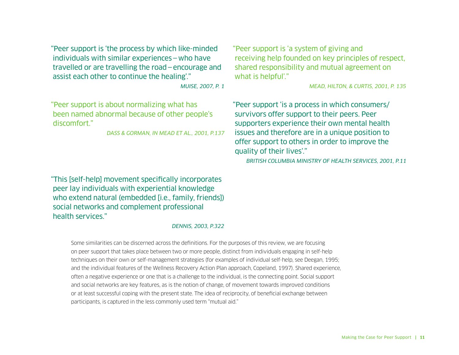"Peer support is 'the process by which like-minded individuals with similar experiences—who have travelled or are travelling the road—encourage and assist each other to continue the healing'."

*MUISE, 2007, P. 1*

"Peer support is about normalizing what has been named abnormal because of other people's discomfort."

*DASS & GORMAN, IN MEAD ET AL., 2001, P.137*

"Peer support is 'a system of giving and receiving help founded on key principles of respect, shared responsibility and mutual agreement on what is helpful'."

*MEAD, HILTON, & CURTIS, 2001, P. 135*

"Peer support 'is a process in which consumers/ survivors offer support to their peers. Peer supporters experience their own mental health issues and therefore are in a unique position to offer support to others in order to improve the quality of their lives'."

*BRITISH COLUMBIA MINISTRY OF HEALTH SERVICES, 2001, P.11*

"This [self-help] movement specifically incorporates peer lay individuals with experiential knowledge who extend natural (embedded [i.e., family, friends]) social networks and complement professional health services."

#### *DENNIS, 2003, P.322*

Some similarities can be discerned across the definitions. For the purposes of this review, we are focusing on peer support that takes place between two or more people, distinct from individuals engaging in self-help techniques on their own or self-management strategies (for examples of individual self-help, see Deegan, 1995; and the individual features of the Wellness Recovery Action Plan approach, Copeland, 1997). Shared experience, often a negative experience or one that is a challenge to the individual, is the connecting point. Social support and social networks are key features, as is the notion of change, of movement towards improved conditions or at least successful coping with the present state. The idea of reciprocity, of beneficial exchange between participants, is captured in the less commonly used term "mutual aid."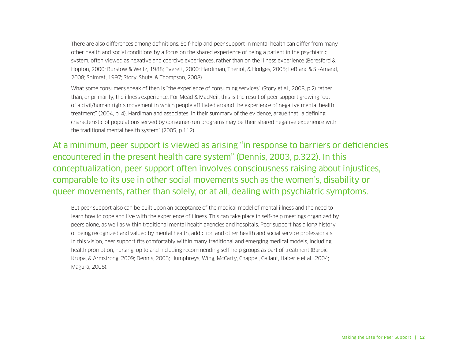There are also differences among definitions. Self-help and peer support in mental health can differ from many other health and social conditions by a focus on the shared experience of being a patient in the psychiatric system, often viewed as negative and coercive experiences, rather than on the illness experience (Beresford & Hopton, 2000; Burstow & Weitz, 1988; Everett, 2000; Hardiman, Theriot, & Hodges, 2005; LeBlanc & St-Amand, 2008; Shimrat, 1997; Story, Shute, & Thompson, 2008).

What some consumers speak of then is "the experience of consuming services" (Story et al., 2008, p.2) rather than, or primarily, the illness experience. For Mead & MacNeil, this is the result of peer support growing "out of a civil/human rights movement in which people affiliated around the experience of negative mental health treatment" (2004, p. 4). Hardiman and associates, in their summary of the evidence, argue that "a defining characteristic of populations served by consumer-run programs may be their shared negative experience with the traditional mental health system" (2005, p.112).

At a minimum, peer support is viewed as arising "in response to barriers or deficiencies encountered in the present health care system" (Dennis, 2003, p.322). In this conceptualization, peer support often involves consciousness raising about injustices, comparable to its use in other social movements such as the women's, disability or queer movements, rather than solely, or at all, dealing with psychiatric symptoms.

But peer support also can be built upon an acceptance of the medical model of mental illness and the need to learn how to cope and live with the experience of illness. This can take place in self-help meetings organized by peers alone, as well as within traditional mental health agencies and hospitals. Peer support has a long history of being recognized and valued by mental health, addiction and other health and social service professionals. In this vision, peer support fits comfortably within many traditional and emerging medical models, including health promotion, nursing, up to and including recommending self-help groups as part of treatment (Barbic, Krupa, & Armstrong, 2009; Dennis, 2003; Humphreys, Wing, McCarty, Chappel, Gallant, Haberle et al., 2004; Magura, 2008).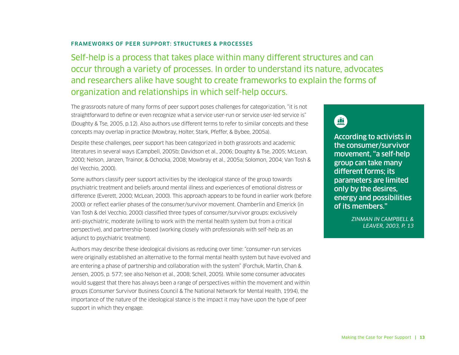#### FRAMEWORKS OF PEER SUPPORT: STRUCTURES & PROCESSES

Self-help is a process that takes place within many different structures and can occur through a variety of processes. In order to understand its nature, advocates and researchers alike have sought to create frameworks to explain the forms of organization and relationships in which self-help occurs.

The grassroots nature of many forms of peer support poses challenges for categorization, "it is not straightforward to define or even recognize what a service user-run or service user-led service is" (Doughty & Tse, 2005, p.12). Also authors use different terms to refer to similar concepts and these concepts may overlap in practice (Mowbray, Holter, Stark, Pfeffer, & Bybee, 2005a).

Despite these challenges, peer support has been categorized in both grassroots and academic literatures in several ways (Campbell, 2005b; Davidson et al., 2006; Doughty & Tse, 2005; McLean, 2000; Nelson, Janzen, Trainor, & Ochocka, 2008; Mowbray et al., 2005a; Solomon, 2004; Van Tosh & del Vecchio, 2000).

Some authors classify peer support activities by the ideological stance of the group towards psychiatric treatment and beliefs around mental illness and experiences of emotional distress or difference (Everett, 2000; McLean, 2000). This approach appears to be found in earlier work (before 2000) or reflect earlier phases of the consumer/survivor movement. Chamberlin and Emerick (in Van Tosh & del Vecchio, 2000) classified three types of consumer/survivor groups: exclusively anti-psychiatric, moderate (willing to work with the mental health system but from a critical perspective), and partnership-based (working closely with professionals with self-help as an adjunct to psychiatric treatment).

Authors may describe these ideological divisions as reducing over time: "consumer-run services were originally established an alternative to the formal mental health system but have evolved and are entering a phase of partnership and collaboration with the system" (Forchuk, Martin, Chan & Jensen, 2005, p. 577; see also Nelson et al., 2008; Schell, 2005). While some consumer advocates would suggest that there has always been a range of perspectives within the movement and within groups (Consumer Survivor Business Council & The National Network for Mental Health, 1994), the importance of the nature of the ideological stance is the impact it may have upon the type of peer support in which they engage.

# $\blacksquare$

According to activists in the consumer/survivor movement, "a self-help group can take many different forms; its parameters are limited only by the desires, energy and possibilities of its members."

> *ZINMAN IN CAMPBELL & LEAVER, 2003, P. 13*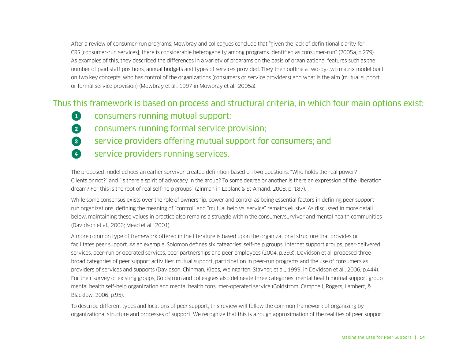After a review of consumer-run programs, Mowbray and colleagues conclude that "given the lack of definitional clarity for CRS [consumer-run services], there is considerable heterogeneity among programs identified as consumer-run" (2005a, p.279). As examples of this, they described the differences in a variety of programs on the basis of organizational features such as the number of paid staff positions, annual budgets and types of services provided. They then outline a two-by-two matrix model built on two key concepts: who has control of the organizations (consumers or service providers) and what is the aim (mutual support or formal service provision) (Mowbray et al., 1997 in Mowbray et al., 2005a).

### Thus this framework is based on process and structural criteria, in which four main options exist:

**<sup>1</sup>** consumers running mutual support; **2** consumers running formal service provision; **8** service providers offering mutual support for consumers; and  $\bullet$  service providers running services.

The proposed model echoes an earlier survivor-created definition based on two questions: "Who holds the real power? Clients or not?" and "Is there a spirit of advocacy in the group? To some degree or another is there an expression of the liberation dream? For this is the root of real self-help groups" (Zinman in Leblanc & St-Amand, 2008, p. 187).

While some consensus exists over the role of ownership, power and control as being essential factors in defining peer support run organizations, defining the meaning of "control" and "mutual help vs. service" remains elusive. As discussed in more detail below, maintaining these values in practice also remains a struggle within the consumer/survivor and mental health communities (Davidson et al., 2006; Mead et al., 2001).

A more common type of framework offered in the literature is based upon the organizational structure that provides or facilitates peer support. As an example, Solomon defines six categories: self-help groups, Internet support groups, peer-delivered services, peer-run or operated services, peer partnerships and peer employees (2004, p.393). Davidson et al. proposed three broad categories of peer support activities: mutual support, participation in peer-run programs and the use of consumers as providers of services and supports (Davidson, Chinman, Kloos, Weingarten, Stayner, et al., 1999, in Davidson et al., 2006, p.444). For their survey of existing groups, Goldstrom and colleagues also delineate three categories: mental health mutual support group, mental health self-help organization and mental health consumer-operated service (Goldstrom, Campbell, Rogers, Lambert, & Blacklow, 2006, p.95).

To describe different types and locations of peer support, this review will follow the common framework of organizing by organizational structure and processes of support. We recognize that this is a rough approximation of the realities of peer support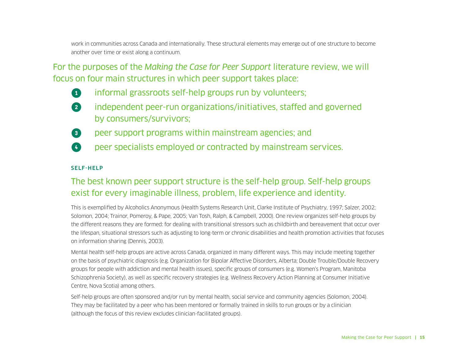work in communities across Canada and internationally. These structural elements may emerge out of one structure to become another over time or exist along a continuum.

For the purposes of the *Making the Case for Peer Support* literature review, we will focus on four main structures in which peer support takes place:

- **1** informal grassroots self-help groups run by volunteers;
- **2** independent peer-run organizations/initiatives, staffed and governed by consumers/survivors;
- **8** peer support programs within mainstream agencies; and
- **4** peer specialists employed or contracted by mainstream services.

#### SELF-HELP

### The best known peer support structure is the self-help group. Self-help groups exist for every imaginable illness, problem, life experience and identity.

This is exemplified by Alcoholics Anonymous (Health Systems Research Unit, Clarke Institute of Psychiatry, 1997; Salzer, 2002; Solomon, 2004; Trainor, Pomeroy, & Pape, 2005; Van Tosh, Ralph, & Campbell, 2000). One review organizes self-help groups by the different reasons they are formed: for dealing with transitional stressors such as childbirth and bereavement that occur over the lifespan, situational stressors such as adjusting to long-term or chronic disabilities and health promotion activities that focuses on information sharing (Dennis, 2003).

Mental health self-help groups are active across Canada, organized in many different ways. This may include meeting together on the basis of psychiatric diagnosis (e.g. Organization for Bipolar Affective Disorders, Alberta; Double Trouble/Double Recovery groups for people with addiction and mental health issues), specific groups of consumers (e.g. Women's Program, Manitoba Schizophrenia Society), as well as specific recovery strategies (e.g. Wellness Recovery Action Planning at Consumer Initiative Centre, Nova Scotia) among others.

Self-help groups are often sponsored and/or run by mental health, social service and community agencies (Solomon, 2004). They may be facilitated by a peer who has been mentored or formally trained in skills to run groups or by a clinician (although the focus of this review excludes clinician-facilitated groups).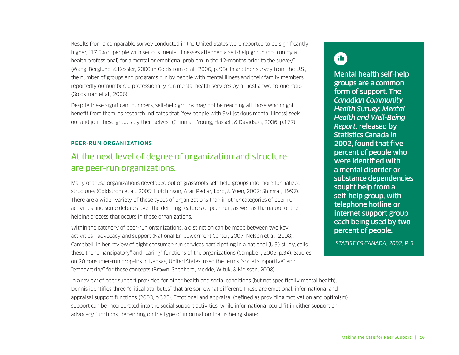Results from a comparable survey conducted in the United States were reported to be significantly higher, "17.5% of people with serious mental illnesses attended a self-help group (not run by a health professional) for a mental or emotional problem in the 12-months prior to the survey" (Wang, Berglund, & Kessler, 2000 in Goldstrom et al., 2006, p. 93). In another survey from the U.S., the number of groups and programs run by people with mental illness and their family members reportedly outnumbered professionally run mental health services by almost a two-to-one ratio (Goldstrom et al., 2006).

Despite these significant numbers, self-help groups may not be reaching all those who might benefit from them, as research indicates that "few people with SMI [serious mental illness] seek out and join these groups by themselves" (Chinman, Young, Hassell, & Davidson, 2006, p.177).

#### PEER-RUN ORGANIZATIONS

### At the next level of degree of organization and structure are peer-run organizations.

Many of these organizations developed out of grassroots self-help groups into more formalized structures (Goldstrom et al., 2005; Hutchinson, Arai, Pedlar, Lord, & Yuen, 2007; Shimrat, 1997). There are a wider variety of these types of organizations than in other categories of peer-run activities and some debates over the defining features of peer-run, as well as the nature of the helping process that occurs in these organizations.

Within the category of peer-run organizations, a distinction can be made between two key activities—advocacy and support (National Empowerment Center, 2007; Nelson et al., 2008). Campbell, in her review of eight consumer-run services participating in a national (U.S.) study, calls these the "emancipatory" and "caring" functions of the organizations (Campbell, 2005, p.34). Studies on 20 consumer-run drop-ins in Kansas, United States, used the terms "social supportive" and "empowering" for these concepts (Brown, Shepherd, Merkle, Wituk, & Meissen, 2008).

In a review of peer support provided for other health and social conditions (but not specifically mental health), Dennis identifies three "critical attributes" that are somewhat different. These are emotional, informational and appraisal support functions (2003, p.325). Emotional and appraisal (defined as providing motivation and optimism) support can be incorporated into the social support activities, while informational could fit in either support or advocacy functions, depending on the type of information that is being shared.

# $\qquad \qquad \Box$

Mental health self-help groups are a common form of support. The *Canadian Community Health Survey: Mental Health and Well-Being Report,* released by Statistics Canada in 2002, found that five percent of people who were identified with a mental disorder or substance dependencies sought help from a self-help group, with telephone hotline or internet support group each being used by two percent of people.

*STATISTICS CANADA, 2002, P. 3*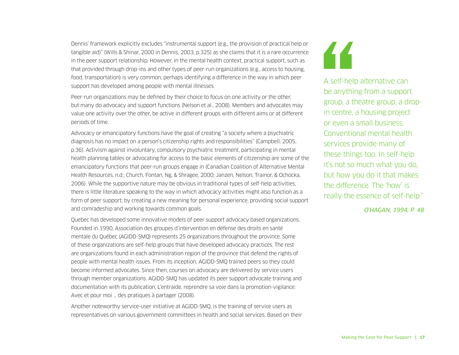Dennis' framework explicitly excludes "instrumental support (e.g., the provision of practical help or tangible aid)" (Wills & Shinar, 2000 in Dennis, 2003, p.325) as she claims that it is a rare occurrence in the peer support relationship. However, in the mental health context, practical support, such as that provided through drop-ins and other types of peer-run organizations (e.g., access to housing, food, transportation) is very common, perhaps identifying a difference in the way in which peer support has developed among people with mental illnesses.

Peer-run organizations may be defined by their choice to focus on one activity or the other, but many do advocacy and support functions (Nelson et al., 2008). Members and advocates may value one activity over the other, be active in different groups with different aims or at different periods of time.

Advocacy or emancipatory functions have the goal of creating "a society where a psychiatric diagnosis has no impact on a person's citizenship rights and responsibilities" (Campbell, 2005, p.36). Activism against involuntary, compulsory psychiatric treatment, participating in mental health planning tables or advocating for access to the basic elements of citizenship are some of the emancipatory functions that peer-run groups engage in (Canadian Coalition of Alternative Mental Health Resources, n.d.; Church, Fontan, Ng, & Shragee, 2000; Janzen, Nelson, Trainor, & Ochocka, 2006). While the supportive nature may be obvious in traditional types of self-help activities, there is little literature speaking to the way in which advocacy activities might also function as a form of peer support; by creating a new meaning for personal experience, providing social support and comradeship and working towards common goals.

Quebec has developed some innovative models of peer support advocacy based organizations. Founded in 1990, Association des groupes d'intervention en défense des droits en santé mentale du Québec (AGIDD-SMQ) represents 25 organizations throughout the province. Some of these organizations are self-help groups that have developed advocacy practices. The rest are organizations found in each administration region of the province that defend the rights of people with mental health issues. From its inception, AGIDD-SMQ trained peers so they could become informed advocates. Since then, courses on advocacy are delivered by service users through member organizations. AGIDD-SMQ has updated its peer support advocate training and documentation with its publication, L'entraide, reprendre sa voie dans la promotion-vigilance: Avec et pour moi … des pratiques à partager (2008).

Another noteworthy service-user initiative at AGIDD-SMQ, is the training of service users as representatives on various government committees in health and social services. Based on their 44

A self-help alternative can be anything from a support group, a theatre group, a dropin centre, a housing project or even a small business. Conventional mental health services provide many of these things too. In self-help it's not so much what you do, but how you do it that makes the difference. The 'how' is really the essence of self-help."

*O'HAGAN, 1994, P. 48*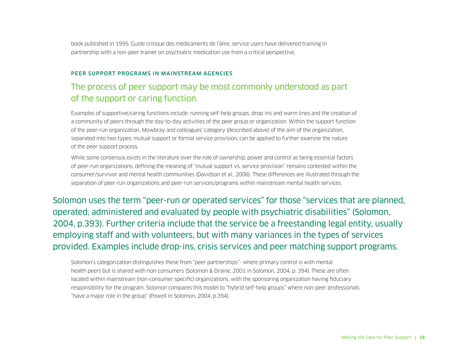book published in 1995, Guide critique des médicaments de l'âme, service users have delivered training in partnership with a non-peer trainer on psychiatric medication use from a critical perspective.

#### PEER SUPPORT PROGRAMS IN MAINSTREAM AGENCIES

### The process of peer support may be most commonly understood as part of the support or caring function.

Examples of supportive/caring functions include: running self-help groups, drop-ins and warm lines and the creation of a community of peers through the day-to-day activities of the peer group or organization. Within the support function of the peer-run organization, Mowbray and colleagues' category (described above) of the aim of the organization, separated into two types: mutual support or formal service provision, can be applied to further examine the nature of the peer support process.

While some consensus exists in the literature over the role of ownership, power and control as being essential factors of peer-run organizations, defining the meaning of "mutual support vs. service provision" remains contested within the consumer/survivor and mental health communities (Davidson et al., 2006). These differences are illustrated through the separation of peer-run organizations and peer-run services/programs within mainstream mental health services.

Solomon uses the term "peer-run or operated services" for those "services that are planned, operated, administered and evaluated by people with psychiatric disabilities" (Solomon, 2004, p.393). Further criteria include that the service be a freestanding legal entity, usually employing staff and with volunteers, but with many variances in the types of services provided. Examples include drop-ins, crisis services and peer matching support programs.

Solomon's categorization distinguishes these from "peer partnerships"- where primary control is with mental health peers but is shared with non-consumers (Solomon & Draine, 2001 in Solomon, 2004, p. 394). These are often located within mainstream (non-consumer specific) organizations, with the sponsoring organization having fiduciary responsibility for the program. Solomon compares this model to "hybrid self-help groups" where non-peer professionals "have a major role in the group" (Powell in Solomon, 2004, p.394).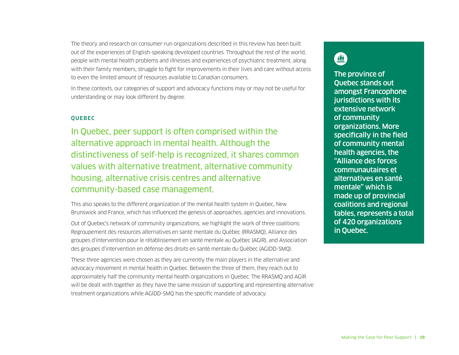The theory and research on consumer-run organizations described in this review has been built out of the experiences of English-speaking developed countries. Throughout the rest of the world, people with mental health problems and illnesses and experiences of psychiatric treatment, along with their family members, struggle to fight for improvements in their lives and care without access to even the limited amount of resources available to Canadian consumers.

In these contexts, our categories of support and advocacy functions may or may not be useful for understanding or may look different by degree.

#### **OUEBEC**

In Quebec, peer support is often comprised within the alternative approach in mental health. Although the distinctiveness of self-help is recognized, it shares common values with alternative treatment, alternative community housing, alternative crisis centres and alternative community-based case management.

This also speaks to the different organization of the mental health system in Quebec, New Brunswick and France, which has influenced the genesis of approaches, agencies and innovations.

Out of Quebec's network of community organizations, we highlight the work of three coalitions: Regroupement des resources alternatives en santé mentale du Québec (RRASMQ), Alliance des groupes d'intervention pour le rétablissement en santé mentale au Québec (AGIR), and Association des groupes d'intervention en défense des droits en santé mentale du Québec (AGIDD-SMQ).

These three agencies were chosen as they are currently the main players in the alternative and advocacy movement in mental health in Quebec. Between the three of them, they reach out to approximately half the community mental health organizations in Quebec. The RRASMQ and AGIR will be dealt with together as they have the same mission of supporting and representing alternative treatment organizations while AGIDD-SMQ has the specific mandate of advocacy.

# $\blacksquare$

The province of Quebec stands out amongst Francophone jurisdictions with its extensive network of community organizations. More specifically in the field of community mental health agencies, the "Alliance des forces communautaires et alternatives en santé mentale" which is made up of provincial coalitions and regional tables, represents a total of 420 organizations in Quebec.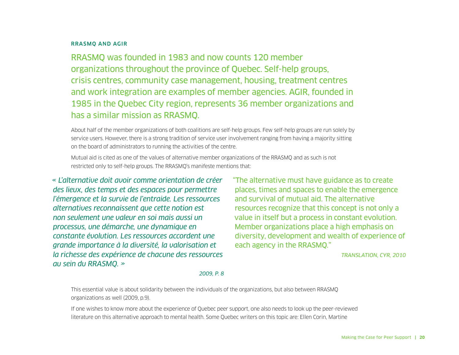#### RRASMQ AND AGIR

RRASMQ was founded in 1983 and now counts 120 member organizations throughout the province of Quebec. Self-help groups, crisis centres, community case management, housing, treatment centres and work integration are examples of member agencies. AGIR, founded in 1985 in the Quebec City region, represents 36 member organizations and has a similar mission as RRASMQ.

About half of the member organizations of both coalitions are self-help groups. Few self-help groups are run solely by service users. However, there is a strong tradition of service user involvement ranging from having a majority sitting on the board of administrators to running the activities of the centre.

Mutual aid is cited as one of the values of alternative member organizations of the RRASMQ and as such is not restricted only to self-help groups. The RRASMQ's manifeste mentions that:

*« L'alternative doit avoir comme orientation de créer des lieux, des temps et des espaces pour permettre l'émergence et la survie de l'entraide. Les ressources alternatives reconnaissent que cette notion est non seulement une valeur en soi mais aussi un processus, une démarche, une dynamique en constante évolution. Les ressources accordent une grande importance à la diversité, la valorisation et la richesse des expérience de chacune des ressources au sein du RRASMQ. »*

"The alternative must have guidance as to create places, times and spaces to enable the emergence and survival of mutual aid. The alternative resources recognize that this concept is not only a value in itself but a process in constant evolution. Member organizations place a high emphasis on diversity, development and wealth of experience of each agency in the RRASMQ."

*TRANSLATION, CYR, 2010*

#### *2009, P. 8*

This essential value is about solidarity between the individuals of the organizations, but also between RRASMQ organizations as well (2009, p.9).

If one wishes to know more about the experience of Quebec peer support, one also needs to look up the peer-reviewed literature on this alternative approach to mental health. Some Quebec writers on this topic are: Ellen Corin, Martine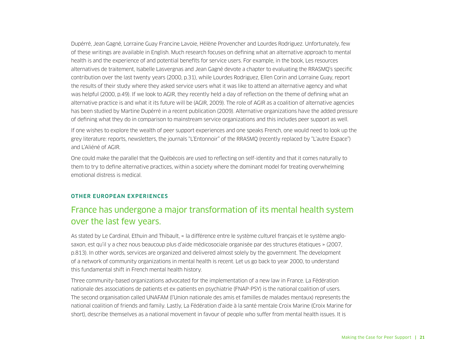Dupérré, Jean Gagné, Lorraine Guay Francine Lavoie, Hélène Provencher and Lourdes Rodriguez. Unfortunately, few of these writings are available in English. Much research focuses on defining what an alternative approach to mental health is and the experience of and potential benefits for service users. For example, in the book, Les resources alternatives de traitement, Isabelle Lasvergnas and Jean Gagné devote a chapter to evaluating the RRASMQ's specific contribution over the last twenty years (2000, p.31), while Lourdes Rodriguez, Ellen Corin and Lorraine Guay, report the results of their study where they asked service users what it was like to attend an alternative agency and what was helpful (2000, p.49). If we look to AGIR, they recently held a day of reflection on the theme of defining what an alternative practice is and what it its future will be (AGIR, 2009). The role of AGIR as a coalition of alternative agencies has been studied by Martine Dupérré in a recent publication (2009). Alternative organizations have the added pressure of defining what they do in comparison to mainstream service organizations and this includes peer support as well.

If one wishes to explore the wealth of peer support experiences and one speaks French, one would need to look up the grey literature: reports, newsletters, the journals "L'Entonnoir" of the RRASMQ (recently replaced by "L'autre Espace") and L'Aliéné of AGIR.

One could make the parallel that the Québécois are used to reflecting on self-identity and that it comes naturally to them to try to define alternative practices, within a society where the dominant model for treating overwhelming emotional distress is medical.

#### OTHER EUROPEAN EXPERIENCES

### France has undergone a major transformation of its mental health system over the last few years.

As stated by Le Cardinal, Ethuin and Thibault, « la différence entre le système culturel français et le système anglosaxon, est qu'il y a chez nous beaucoup plus d'aide médicosociale organisée par des structures étatiques » (2007, p.813). In other words, services are organized and delivered almost solely by the government. The development of a network of community organizations in mental health is recent. Let us go back to year 2000, to understand this fundamental shift in French mental health history.

Three community-based organizations advocated for the implementation of a new law in France. La Fédération nationale des associations de patients et ex-patients en psychiatrie (FNAP-PSY) is the national coalition of users. The second organisation called UNAFAM (l'Union nationale des amis et familles de malades mentaux) represents the national coalition of friends and family. Lastly, La Fédération d'aide à la santé mentale Croix Marine (Croix Marine for short), describe themselves as a national movement in favour of people who suffer from mental health issues. It is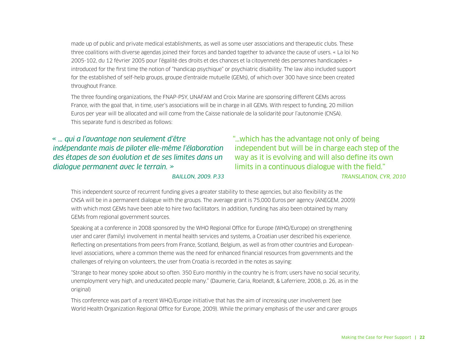made up of public and private medical establishments, as well as some user associations and therapeutic clubs. These three coalitions with diverse agendas joined their forces and banded together to advance the cause of users. « La loi No 2005-102, du 12 février 2005 pour l'égalité des droits et des chances et la citoyenneté des personnes handicapées » introduced for the first time the notion of "handicap psychique" or psychiatric disability. The law also included support for the established of self-help groups, groupe d'entraide mutuelle (GEMs), of which over 300 have since been created throughout France.

The three founding organizations, the FNAP-PSY, UNAFAM and Croix Marine are sponsoring different GEMs across France, with the goal that, in time, user's associations will be in charge in all GEMs. With respect to funding, 20 million Euros per year will be allocated and will come from the Caisse nationale de la solidarité pour l'autonomie (CNSA). This separate fund is described as follows:

*« … qui a l'avantage non seulement d'être indépendante mais de piloter elle-même l'élaboration des étapes de son évolution et de ses limites dans un dialogue permanent avec le terrain. »*

"…which has the advantage not only of being independent but will be in charge each step of the way as it is evolving and will also define its own limits in a continuous dialogue with the field." *TRANSLATION, CYR, 2010*

*BAILLON, 2009. P.33*

This independent source of recurrent funding gives a greater stability to these agencies, but also flexibility as the CNSA will be in a permanent dialogue with the groups. The average grant is 75,000 Euros per agency (ANEGEM, 2009) with which most GEMs have been able to hire two facilitators. In addition, funding has also been obtained by many GEMs from regional government sources.

Speaking at a conference in 2008 sponsored by the WHO Regional Office for Europe (WHO/Europe) on strengthening user and carer (family) involvement in mental health services and systems, a Croatian user described his experience. Reflecting on presentations from peers from France, Scotland, Belgium, as well as from other countries and Europeanlevel associations, where a common theme was the need for enhanced financial resources from governments and the challenges of relying on volunteers, the user from Croatia is recorded in the notes as saying:

"Strange to hear money spoke about so often. 350 Euro monthly in the country he is from; users have no social security, unemployment very high, and uneducated people many." (Daumerie, Caria, Roelandt, & Laferriere, 2008, p. 26, as in the original)

This conference was part of a recent WHO/Europe initiative that has the aim of increasing user involvement (see World Health Organization Regional Office for Europe, 2009). While the primary emphasis of the user and carer groups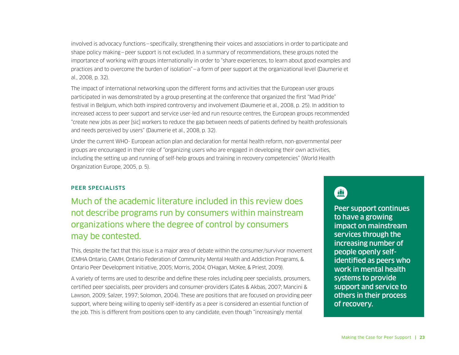involved is advocacy functions—specifically, strengthening their voices and associations in order to participate and shape policy making—peer support is not excluded. In a summary of recommendations, these groups noted the importance of working with groups internationally in order to "share experiences, to learn about good examples and practices and to overcome the burden of isolation"—a form of peer support at the organizational level (Daumerie et al., 2008, p. 32).

The impact of international networking upon the different forms and activities that the European user groups participated in was demonstrated by a group presenting at the conference that organized the first "Mad Pride" festival in Belgium, which both inspired controversy and involvement (Daumerie et al., 2008, p. 25). In addition to increased access to peer support and service user-led and run resource centres, the European groups recommended "create new jobs as peer [sic] workers to reduce the gap between needs of patients defined by health professionals and needs perceived by users" (Daumerie et al., 2008, p. 32).

Under the current WHO- European action plan and declaration for mental health reform, non-governmental peer groups are encouraged in their role of "organizing users who are engaged in developing their own activities, including the setting up and running of self-help groups and training in recovery competencies" (World Health Organization Europe, 2005, p. 5).

#### PEER SPECIALISTS

Much of the academic literature included in this review does not describe programs run by consumers within mainstream organizations where the degree of control by consumers may be contested.

This, despite the fact that this issue is a major area of debate within the consumer/survivor movement (CMHA Ontario, CAMH, Ontario Federation of Community Mental Health and Addiction Programs, & Ontario Peer Development Initiative, 2005; Morris, 2004; O'Hagan, McKee, & Priest, 2009).

A variety of terms are used to describe and define these roles including peer specialists, prosumers, certified peer specialists, peer providers and consumer-providers (Gates & Akbas, 2007; Mancini & Lawson, 2009; Salzer, 1997; Solomon, 2004). These are positions that are focused on providing peer support, where being willing to openly self-identify as a peer is considered an essential function of the job. This is different from positions open to any candidate, even though "increasingly mental

## 亜

Peer support continues to have a growing impact on mainstream services through the increasing number of people openly selfidentified as peers who work in mental health systems to provide support and service to others in their process of recovery.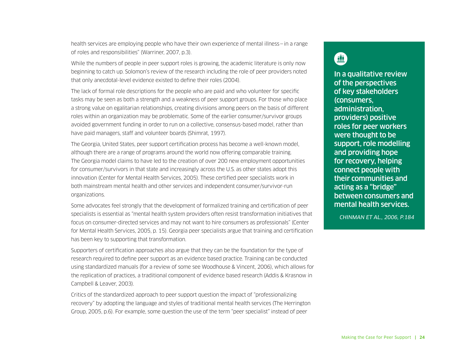health services are employing people who have their own experience of mental illness – in a range of roles and responsibilities" (Warriner, 2007, p.3).

While the numbers of people in peer support roles is growing, the academic literature is only now beginning to catch up. Solomon's review of the research including the role of peer providers noted that only anecdotal-level evidence existed to define their roles (2004).

The lack of formal role descriptions for the people who are paid and who volunteer for specific tasks may be seen as both a strength and a weakness of peer support groups. For those who place a strong value on egalitarian relationships, creating divisions among peers on the basis of different roles within an organization may be problematic. Some of the earlier consumer/survivor groups avoided government funding in order to run on a collective, consensus-based model, rather than have paid managers, staff and volunteer boards (Shimrat, 1997).

The Georgia, United States, peer support certification process has become a well-known model, although there are a range of programs around the world now offering comparable training. The Georgia model claims to have led to the creation of over 200 new employment opportunities for consumer/survivors in that state and increasingly across the U.S. as other states adopt this innovation (Center for Mental Health Services, 2005). These certified peer specialists work in both mainstream mental health and other services and independent consumer/survivor-run organizations.

Some advocates feel strongly that the development of formalized training and certification of peer specialists is essential as "mental health system providers often resist transformation initiatives that focus on consumer-directed services and may not want to hire consumers as professionals" (Center for Mental Health Services, 2005, p. 15). Georgia peer specialists argue that training and certification has been key to supporting that transformation.

Supporters of certification approaches also argue that they can be the foundation for the type of research required to define peer support as an evidence based practice. Training can be conducted using standardized manuals (for a review of some see Woodhouse & Vincent, 2006), which allows for the replication of practices, a traditional component of evidence based research (Addis & Krasnow in Campbell & Leaver, 2003).

Critics of the standardized approach to peer support question the impact of "professionalizing recovery" by adopting the language and styles of traditional mental health services (The Herrington Group, 2005, p.6). For example, some question the use of the term "peer specialist" instead of peer

# $\blacksquare$

In a qualitative review of the perspectives of key stakeholders (consumers, administration, providers) positive roles for peer workers were thought to be support, role modelling and providing hope for recovery, helping connect people with their communities and acting as a "bridge" between consumers and mental health services.

*CHINMAN ET AL., 2006, P.184*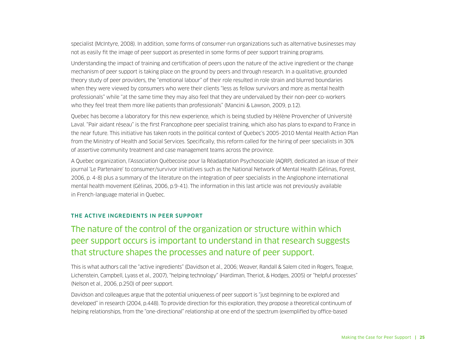specialist (McIntyre, 2008). In addition, some forms of consumer-run organizations such as alternative businesses may not as easily fit the image of peer support as presented in some forms of peer support training programs.

Understanding the impact of training and certification of peers upon the nature of the active ingredient or the change mechanism of peer support is taking place on the ground by peers and through research. In a qualitative, grounded theory study of peer providers, the "emotional labour" of their role resulted in role strain and blurred boundaries when they were viewed by consumers who were their clients "less as fellow survivors and more as mental health professionals" while "at the same time they may also feel that they are undervalued by their non-peer co-workers who they feel treat them more like patients than professionals" (Mancini & Lawson, 2009, p.12).

Quebec has become a laboratory for this new experience, which is being studied by Hélène Provencher of Université Laval. "Pair aidant réseau" is the first Francophone peer specialist training, which also has plans to expand to France in the near future. This initiative has taken roots in the political context of Quebec's 2005-2010 Mental Health Action Plan from the Ministry of Health and Social Services. Specifically, this reform called for the hiring of peer specialists in 30% of assertive community treatment and case management teams across the province.

A Quebec organization, l'Association Québecoise pour la Réadaptation Psychosociale (AQRP), dedicated an issue of their journal 'Le Partenaire' to consumer/survivor initiatives such as the National Network of Mental Health (Gélinas, Forest, 2006, p. 4-8) plus a summary of the literature on the integration of peer specialists in the Anglophone international mental health movement (Gélinas, 2006, p.9-41). The information in this last article was not previously available in French-language material in Quebec.

#### THE ACTIVE INGREDIENTS IN PEER SUPPORT

### The nature of the control of the organization or structure within which peer support occurs is important to understand in that research suggests that structure shapes the processes and nature of peer support.

This is what authors call the "active ingredients" (Davidson et al., 2006; Weaver, Randall & Salem cited in Rogers, Teague, Lichenstein, Campbell, Lyass et al., 2007), "helping technology" (Hardiman, Theriot, & Hodges, 2005) or "helpful processes" (Nelson et al., 2006, p.250) of peer support.

Davidson and colleagues argue that the potential uniqueness of peer support is "just beginning to be explored and developed" in research (2004, p.448). To provide direction for this exploration, they propose a theoretical continuum of helping relationships, from the "one-directional" relationship at one end of the spectrum (exemplified by office-based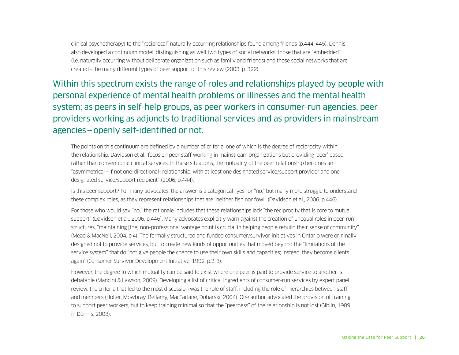clinical psychotherapy) to the "reciprocal" naturally occurring relationships found among friends (p.444-445). Dennis also developed a continuum model, distinguishing as well two types of social networks, those that are "embedded" (i.e. naturally occurring without deliberate organization such as family and friends) and those social networks that are created—the many different types of peer support of this review (2003, p. 322).

Within this spectrum exists the range of roles and relationships played by people with personal experience of mental health problems or illnesses and the mental health system; as peers in self-help groups, as peer workers in consumer-run agencies, peer providers working as adjuncts to traditional services and as providers in mainstream agencies—openly self-identified or not.

The points on this continuum are defined by a number of criteria, one of which is the degree of reciprocity within the relationship. Davidson et al., focus on peer staff working in mainstream organizations but providing 'peer' based rather than conventional clinical services. In these situations, the mutuality of the peer relationship becomes an "asymmetrical—if not one-directional- relationship, with at least one designated service/support provider and one designated service/support recipient" (2006, p.444).

Is this peer support? For many advocates, the answer is a categorical "yes" or "no," but many more struggle to understand these complex roles, as they represent relationships that are "neither fish nor fowl" (Davidson et al., 2006, p.446).

For those who would say "no," the rationale includes that these relationships lack "the reciprocity that is core to mutual support" (Davidson et al., 2006, p.446). Many advocates explicitly warn against the creation of unequal roles in peer-run structures, "maintaining [the] non-professional vantage point is crucial in helping people rebuild their sense of community" (Mead & MacNeil, 2004, p.4). The formally structured and funded consumer/survivor initiatives in Ontario were originally designed not to provide services, but to create new kinds of opportunities that moved beyond the "limitations of the service system" that do "not give people the chance to use their own skills and capacities; instead, they become clients again" (Consumer Survivor Development Initiative, 1992, p.2-3).

However, the degree to which mutuality can be said to exist where one peer is paid to provide service to another is debatable (Mancini & Lawson, 2009). Developing a list of critical ingredients of consumer-run services by expert panel review, the criteria that led to the most discussion was the role of staff, including the role of hierarchies between staff and members (Holter, Mowbray, Bellamy, MacFarlane, Dubarski, 2004). One author advocated the provision of training to support peer workers, but to keep training minimal so that the "peerness" of the relationship is not lost (Giblin, 1989 in Dennis, 2003).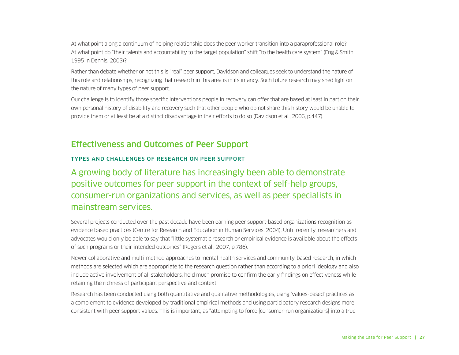<span id="page-28-0"></span>At what point along a continuum of helping relationship does the peer worker transition into a paraprofessional role? At what point do "their talents and accountability to the target population" shift "to the health care system" (Eng & Smith, 1995 in Dennis, 2003)?

Rather than debate whether or not this is "real" peer support, Davidson and colleagues seek to understand the nature of this role and relationships, recognizing that research in this area is in its infancy. Such future research may shed light on the nature of many types of peer support.

Our challenge is to identify those specific interventions people in recovery can offer that are based at least in part on their own personal history of disability and recovery such that other people who do not share this history would be unable to provide them or at least be at a distinct disadvantage in their efforts to do so (Davidson et al., 2006, p.447).

### Effectiveness and Outcomes of Peer Support

#### TYPES AND CHALLENGES OF RESEARCH ON PEER SUPPORT

A growing body of literature has increasingly been able to demonstrate positive outcomes for peer support in the context of self-help groups, consumer-run organizations and services, as well as peer specialists in mainstream services.

Several projects conducted over the past decade have been earning peer support-based organizations recognition as evidence based practices (Centre for Research and Education in Human Services, 2004). Until recently, researchers and advocates would only be able to say that "little systematic research or empirical evidence is available about the effects of such programs or their intended outcomes" (Rogers et al., 2007, p.786).

Newer collaborative and multi-method approaches to mental health services and community-based research, in which methods are selected which are appropriate to the research question rather than according to a priori ideology and also include active involvement of all stakeholders, hold much promise to confirm the early findings on effectiveness while retaining the richness of participant perspective and context.

Research has been conducted using both quantitative and qualitative methodologies, using 'values-based' practices as a complement to evidence developed by traditional empirical methods and using participatory research designs more consistent with peer support values. This is important, as "attempting to force [consumer-run organizations] into a true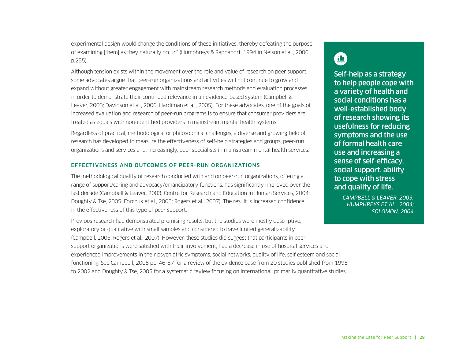experimental design would change the conditions of these initiatives, thereby defeating the purpose of examining [them] as they naturally occur." (Humphreys & Rappaport, 1994 in Nelson et al., 2006, p.255)

Although tension exists within the movement over the role and value of research on peer support, some advocates argue that peer-run organizations and activities will not continue to grow and expand without greater engagement with mainstream research methods and evaluation processes in order to demonstrate their continued relevance in an evidence-based system (Campbell & Leaver, 2003; Davidson et al., 2006; Hardiman et al., 2005). For these advocates, one of the goals of increased evaluation and research of peer-run programs is to ensure that consumer providers are treated as equals with non-identified providers in mainstream mental health systems.

Regardless of practical, methodological or philosophical challenges, a diverse and growing field of research has developed to measure the effectiveness of self-help strategies and groups, peer-run organizations and services and, increasingly, peer specialists in mainstream mental health services.

#### EFFECTIVENESS AND OUTCOMES OF PEER-RUN ORGANIZATIONS

The methodological quality of research conducted with and on peer-run organizations, offering a range of support/caring and advocacy/emancipatory functions, has significantly improved over the last decade (Campbell & Leaver, 2003; Centre for Research and Education in Human Services, 2004; Doughty & Tse, 2005; Forchuk et al., 2005; Rogers et al., 2007). The result is increased confidence in the effectiveness of this type of peer support.

Previous research had demonstrated promising results, but the studies were mostly descriptive, exploratory or qualitative with small samples and considered to have limited generalizability (Campbell, 2005; Rogers et al., 2007). However, these studies did suggest that participants in peer support organizations were satisfied with their involvement, had a decrease in use of hospital services and experienced improvements in their psychiatric symptoms, social networks, quality of life, self esteem and social functioning. See Campbell, 2005 pp. 46-57 for a review of the evidence base from 20 studies published from 1995 to 2002 and Doughty & Tse, 2005 for a systematic review focusing on international, primarily quantitative studies.

# 鱼

Self-help as a strategy to help people cope with a variety of health and social conditions has a well-established body of research showing its usefulness for reducing symptoms and the use of formal health care use and increasing a sense of self-efficacy, social support, ability to cope with stress and quality of life.

> *CAMPBELL & LEAVER, 2003; HUMPHREYS ET AL., 2004; SOLOMON, 2004*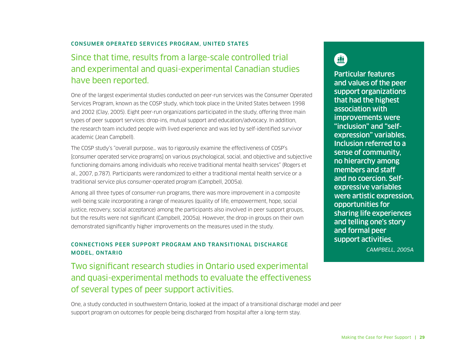#### CONSUMER OPERATED SERVICES PROGRAM, UNITED STATES

### Since that time, results from a large-scale controlled trial and experimental and quasi-experimental Canadian studies have been reported.

One of the largest experimental studies conducted on peer-run services was the Consumer Operated Services Program, known as the COSP study, which took place in the United States between 1998 and 2002 (Clay, 2005). Eight peer-run organizations participated in the study, offering three main types of peer support services: drop-ins, mutual support and education/advocacy. In addition, the research team included people with lived experience and was led by self-identified survivor academic (Jean Campbell).

The COSP study's "overall purpose… was to rigorously examine the effectiveness of COSP's [consumer operated service programs] on various psychological, social, and objective and subjective functioning domains among individuals who receive traditional mental health services" (Rogers et al., 2007, p.787). Participants were randomized to either a traditional mental health service or a traditional service plus consumer-operated program (Campbell, 2005a).

Among all three types of consumer-run programs, there was more improvement in a composite well-being scale incorporating a range of measures (quality of life, empowerment, hope, social justice, recovery, social acceptance) among the participants also involved in peer support groups, but the results were not significant (Campbell, 2005a). However, the drop-in groups on their own demonstrated significantly higher improvements on the measures used in the study.

#### CONNECTIONS PEER SUPPORT PROGRAM AND TRANSITIONAL DISCHARGE MODEL, ONTARIO

Two significant research studies in Ontario used experimental and quasi-experimental methods to evaluate the effectiveness of several types of peer support activities.

One, a study conducted in southwestern Ontario, looked at the impact of a transitional discharge model and peer support program on outcomes for people being discharged from hospital after a long-term stay.

血

Particular features and values of the peer support organizations that had the highest association with improvements were "inclusion" and "selfexpression" variables. Inclusion referred to a sense of community, no hierarchy among members and staff and no coercion. Selfexpressive variables were artistic expression, opportunities for sharing life experiences and telling one's story and formal peer support activities.

*CAMPBELL, 2005A*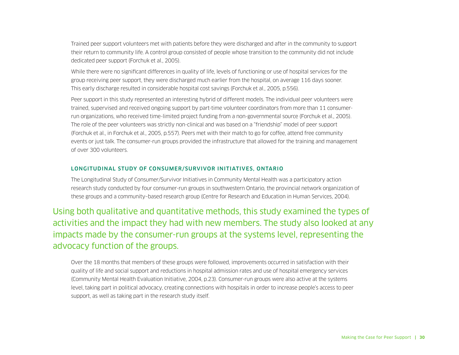Trained peer support volunteers met with patients before they were discharged and after in the community to support their return to community life. A control group consisted of people whose transition to the community did not include dedicated peer support (Forchuk et al., 2005).

While there were no significant differences in quality of life, levels of functioning or use of hospital services for the group receiving peer support, they were discharged much earlier from the hospital, on average 116 days sooner. This early discharge resulted in considerable hospital cost savings (Forchuk et al., 2005, p.556).

Peer support in this study represented an interesting hybrid of different models. The individual peer volunteers were trained, supervised and received ongoing support by part-time volunteer coordinators from more than 11 consumerrun organizations, who received time-limited project funding from a non-governmental source (Forchuk et al., 2005). The role of the peer volunteers was strictly non-clinical and was based on a "friendship" model of peer support (Forchuk et al., in Forchuk et al., 2005, p.557). Peers met with their match to go for coffee, attend free community events or just talk. The consumer-run groups provided the infrastructure that allowed for the training and management of over 300 volunteers.

#### LONGITUDINAL STUDY OF CONSUMER/SURVIVOR INITIATIVES, ONTARIO

The Longitudinal Study of Consumer/Survivor Initiatives in Community Mental Health was a participatory action research study conducted by four consumer-run groups in southwestern Ontario, the provincial network organization of these groups and a community–based research group (Centre for Research and Education in Human Services, 2004).

Using both qualitative and quantitative methods, this study examined the types of activities and the impact they had with new members. The study also looked at any impacts made by the consumer-run groups at the systems level, representing the advocacy function of the groups.

Over the 18 months that members of these groups were followed, improvements occurred in satisfaction with their quality of life and social support and reductions in hospital admission rates and use of hospital emergency services (Community Mental Health Evaluation Initiative, 2004, p.23). Consumer-run groups were also active at the systems level, taking part in political advocacy, creating connections with hospitals in order to increase people's access to peer support, as well as taking part in the research study itself.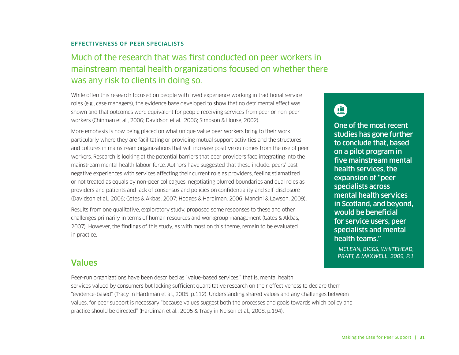#### <span id="page-32-0"></span>EFFECTIVENESS OF PEER SPECIALISTS

### Much of the research that was first conducted on peer workers in mainstream mental health organizations focused on whether there was any risk to clients in doing so.

While often this research focused on people with lived experience working in traditional service roles (e.g., case managers), the evidence base developed to show that no detrimental effect was shown and that outcomes were equivalent for people receiving services from peer or non-peer workers (Chinman et al., 2006; Davidson et al., 2006; Simpson & House, 2002).

More emphasis is now being placed on what unique value peer workers bring to their work, particularly where they are facilitating or providing mutual support activities and the structures and cultures in mainstream organizations that will increase positive outcomes from the use of peer workers. Research is looking at the potential barriers that peer providers face integrating into the mainstream mental health labour force. Authors have suggested that these include: peers' past negative experiences with services affecting their current role as providers, feeling stigmatized or not treated as equals by non-peer colleagues, negotiating blurred boundaries and dual roles as providers and patients and lack of consensus and policies on confidentiality and self-disclosure (Davidson et al., 2006; Gates & Akbas, 2007; Hodges & Hardiman, 2006; Mancini & Lawson, 2009).

Results from one qualitative, exploratory study, proposed some responses to these and other challenges primarily in terms of human resources and workgroup management (Gates & Akbas, 2007). However, the findings of this study, as with most on this theme, remain to be evaluated in practice.

# $\blacksquare$

One of the most recent studies has gone further to conclude that, based on a pilot program in five mainstream mental health services, the expansion of "peer specialists across mental health services in Scotland, and beyond, would be beneficial for service users, peer specialists and mental health teams."

*MCLEAN, BIGGS, WHITEHEAD, PRATT, & MAXWELL, 2009, P.1*

#### Values

Peer-run organizations have been described as "value-based services," that is, mental health services valued by consumers but lacking sufficient quantitative research on their effectiveness to declare them "evidence-based" (Tracy in Hardiman et al., 2005, p.112). Understanding shared values and any challenges between values, for peer support is necessary "because values suggest both the processes and goals towards which policy and practice should be directed" (Hardiman et al., 2005 & Tracy in Nelson et al., 2008, p.194).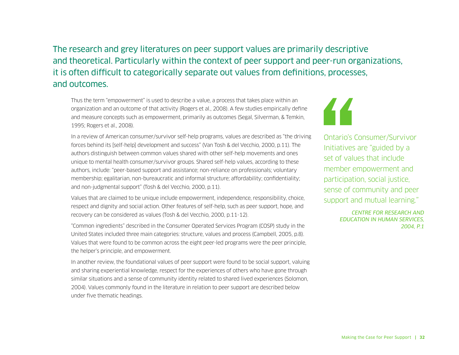### The research and grey literatures on peer support values are primarily descriptive and theoretical. Particularly within the context of peer support and peer-run organizations, it is often difficult to categorically separate out values from definitions, processes, and outcomes.

Thus the term "empowerment" is used to describe a value, a process that takes place within an organization and an outcome of that activity (Rogers et al., 2008). A few studies empirically define and measure concepts such as empowerment, primarily as outcomes (Segal, Silverman, & Temkin, 1995; Rogers et al., 2008).

In a review of American consumer/survivor self-help programs, values are described as "the driving forces behind its [self-help] development and success" (Van Tosh & del Vecchio, 2000, p.11). The authors distinguish between common values shared with other self-help movements and ones unique to mental health consumer/survivor groups. Shared self-help values, according to these authors, include: "peer-based support and assistance; non-reliance on professionals; voluntary membership; egalitarian, non-bureaucratic and informal structure; affordability; confidentiality; and non-judgmental support" (Tosh & del Vecchio, 2000, p.11).

Values that are claimed to be unique include empowerment, independence, responsibility, choice, respect and dignity and social action. Other features of self-help, such as peer support, hope, and recovery can be considered as values (Tosh & del Vecchio, 2000, p.11-12).

"Common ingredients" described in the Consumer Operated Services Program (COSP) study in the United States included three main categories: structure, values and process (Campbell, 2005, p.8). Values that were found to be common across the eight peer-led programs were the peer principle, the helper's principle, and empowerment.

In another review, the foundational values of peer support were found to be social support, valuing and sharing experiential knowledge, respect for the experiences of others who have gone through similar situations and a sense of community identity related to shared lived experiences (Solomon, 2004). Values commonly found in the literature in relation to peer support are described below under five thematic headings.



Ontario's Consumer/Survivor Initiatives are "guided by a set of values that include member empowerment and participation, social justice, sense of community and peer support and mutual learning."

> *CENTRE FOR RESEARCH AND EDUCATION IN HUMAN SERVICES, 2004, P.1*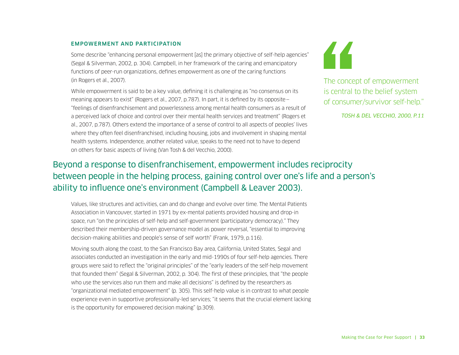#### EMPOWERMENT AND PARTICIPATION

Some describe "enhancing personal empowerment [as] the primary objective of self-help agencies" (Segal & Silverman, 2002, p. 304). Campbell, in her framework of the caring and emancipatory functions of peer-run organizations, defines empowerment as one of the caring functions (in Rogers et al., 2007).

While empowerment is said to be a key value, defining it is challenging as "no consensus on its meaning appears to exist" (Rogers et al., 2007, p.787). In part, it is defined by its opposite— "feelings of disenfranchisement and powerlessness among mental health consumers as a result of a perceived lack of choice and control over their mental health services and treatment" (Rogers et al., 2007, p.787). Others extend the importance of a sense of control to all aspects of peoples' lives where they often feel disenfranchised, including housing, jobs and involvement in shaping mental health systems. Independence, another related value, speaks to the need not to have to depend on others for basic aspects of living (Van Tosh & del Vecchio, 2000).



The concept of empowerment is central to the belief system of consumer/survivor self-help."

*TOSH & DEL VECCHIO, 2000, P.11*

### Beyond a response to disenfranchisement, empowerment includes reciprocity between people in the helping process, gaining control over one's life and a person's ability to influence one's environment (Campbell & Leaver 2003).

Values, like structures and activities, can and do change and evolve over time. The Mental Patients Association in Vancouver, started in 1971 by ex-mental patients provided housing and drop-in space, run "on the principles of self-help and self-government (participatory democracy)." They described their membership-driven governance model as power reversal, "essential to improving decision-making abilities and people's sense of self worth" (Frank, 1979, p.116).

Moving south along the coast, to the San Francisco Bay area, California, United States, Segal and associates conducted an investigation in the early and mid-1990s of four self-help agencies. There groups were said to reflect the "original principles" of the "early leaders of the self-help movement that founded them" (Segal & Silverman, 2002, p. 304). The first of these principles, that "the people who use the services also run them and make all decisions" is defined by the researchers as "organizational mediated empowerment" (p. 305). This self-help value is in contrast to what people experience even in supportive professionally-led services; "it seems that the crucial element lacking is the opportunity for empowered decision making" (p.309).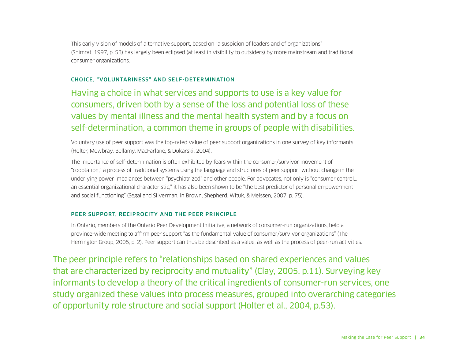This early vision of models of alternative support, based on "a suspicion of leaders and of organizations" (Shimrat, 1997, p. 53) has largely been eclipsed (at least in visibility to outsiders) by more mainstream and traditional consumer organizations.

#### CHOICE, "VOLUNTARINESS" AND SELF-DETERMINATION

Having a choice in what services and supports to use is a key value for consumers, driven both by a sense of the loss and potential loss of these values by mental illness and the mental health system and by a focus on self-determination, a common theme in groups of people with disabilities.

Voluntary use of peer support was the top-rated value of peer support organizations in one survey of key informants (Holter, Mowbray, Bellamy, MacFarlane, & Dukarski, 2004).

The importance of self-determination is often exhibited by fears within the consumer/survivor movement of "cooptation," a process of traditional systems using the language and structures of peer support without change in the underlying power imbalances between "psychiatrized" and other people. For advocates, not only is "consumer control… an essential organizational characteristic," it has also been shown to be "the best predictor of personal empowerment and social functioning" (Segal and Silverman, in Brown, Shepherd, Wituk, & Meissen, 2007, p. 75).

#### PEER SUPPORT, RECIPROCITY AND THE PEER PRINCIPLE

In Ontario, members of the Ontario Peer Development Initiative, a network of consumer-run organizations, held a province-wide meeting to affirm peer support "as the fundamental value of consumer/survivor organizations" (The Herrington Group, 2005, p. 2). Peer support can thus be described as a value, as well as the process of peer-run activities.

The peer principle refers to "relationships based on shared experiences and values that are characterized by reciprocity and mutuality" (Clay, 2005, p.11). Surveying key informants to develop a theory of the critical ingredients of consumer-run services, one study organized these values into process measures, grouped into overarching categories of opportunity role structure and social support (Holter et al., 2004, p.53).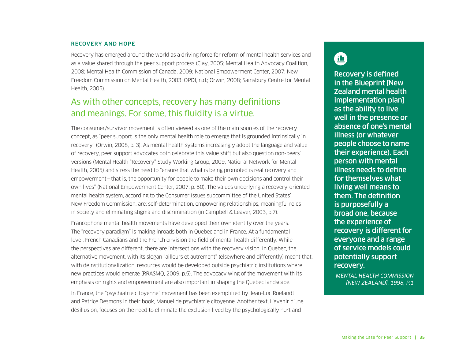#### RECOVERY AND HOPE

Recovery has emerged around the world as a driving force for reform of mental health services and as a value shared through the peer support process (Clay, 2005; Mental Health Advocacy Coalition, 2008; Mental Health Commission of Canada, 2009; National Empowerment Center, 2007; New Freedom Commission on Mental Health, 2003; OPDI, n.d.; Orwin, 2008; Sainsbury Centre for Mental Health, 2005).

## As with other concepts, recovery has many definitions and meanings. For some, this fluidity is a virtue.

The consumer/survivor movement is often viewed as one of the main sources of the recovery concept, as "peer support is the only mental health role to emerge that is grounded intrinsically in recovery" (Orwin, 2008, p. 3). As mental health systems increasingly adopt the language and value of recovery, peer support advocates both celebrate this value shift but also question non-peers' versions (Mental Health "Recovery" Study Working Group, 2009; National Network for Mental Health, 2005) and stress the need to "ensure that what is being promoted is real recovery and empowerment—that is, the opportunity for people to make their own decisions and control their own lives" (National Empowerment Center, 2007, p. 50). The values underlying a recovery-oriented mental health system, according to the Consumer Issues subcommittee of the United States' New Freedom Commission, are: self-determination, empowering relationships, meaningful roles in society and eliminating stigma and discrimination (in Campbell & Leaver, 2003, p.7).

Francophone mental health movements have developed their own identity over the years. The "recovery paradigm" is making inroads both in Quebec and in France. At a fundamental level, French Canadians and the French envision the field of mental health differently. While the perspectives are different, there are intersections with the recovery vision. In Quebec, the alternative movement, with its slogan "ailleurs et autrement" (elsewhere and differently) meant that, with deinstitutionalization, resources would be developed outside psychiatric institutions where new practices would emerge (RRASMQ, 2009, p.5). The advocacy wing of the movement with its emphasis on rights and empowerment are also important in shaping the Quebec landscape.

In France, the "psychiatrie citoyenne" movement has been exemplified by Jean-Luc Roelandt and Patrice Desmons in their book, Manuel de psychiatrie citoyenne. Another text, L'avenir d'une désillusion, focuses on the need to eliminate the exclusion lived by the psychologically hurt and

## 血

Recovery is defined in the Blueprint [New Zealand mental health implementation plan] as the ability to live well in the presence or absence of one's mental illness (or whatever people choose to name their experience). Each person with mental illness needs to define for themselves what living well means to them. The definition is purposefully a broad one, because the experience of recovery is different for everyone and a range of service models could potentially support recovery.

*MENTAL HEALTH COMMISSION [NEW ZEALAND], 1998, P.1*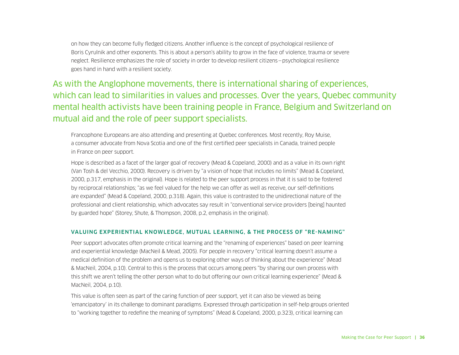on how they can become fully fledged citizens. Another influence is the concept of psychological resilience of Boris Cyrulnik and other exponents. This is about a person's ability to grow in the face of violence, trauma or severe neglect. Resilience emphasizes the role of society in order to develop resilient citizens—psychological resilience goes hand in hand with a resilient society.

As with the Anglophone movements, there is international sharing of experiences, which can lead to similarities in values and processes. Over the years, Quebec community mental health activists have been training people in France, Belgium and Switzerland on mutual aid and the role of peer support specialists.

Francophone Europeans are also attending and presenting at Quebec conferences. Most recently, Roy Muise, a consumer advocate from Nova Scotia and one of the first certified peer specialists in Canada, trained people in France on peer support.

Hope is described as a facet of the larger goal of recovery (Mead & Copeland, 2000) and as a value in its own right (Van Tosh & del Vecchio, 2000). Recovery is driven by "a vision of hope that includes no limits" (Mead & Copeland, 2000, p.317, emphasis in the original). Hope is related to the peer support process in that it is said to be fostered by reciprocal relationships; "as we feel valued for the help we can offer as well as receive, our self-definitions are expanded" (Mead & Copeland, 2000, p.318). Again, this value is contrasted to the unidirectional nature of the professional and client relationship, which advocates say result in "conventional service providers [being] haunted by guarded hope" (Storey, Shute, & Thompson, 2008, p.2, emphasis in the original).

#### VALUING EXPERIENTIAL KNOWLEDGE, MUTUAL LEARNING, & THE PROCESS OF "RE-NAMING"

Peer support advocates often promote critical learning and the "renaming of experiences" based on peer learning and experiential knowledge (MacNeil & Mead, 2005). For people in recovery "critical learning doesn't assume a medical definition of the problem and opens us to exploring other ways of thinking about the experience" (Mead & MacNeil, 2004, p.10). Central to this is the process that occurs among peers "by sharing our own process with this shift we aren't telling the other person what to do but offering our own critical learning experience" (Mead & MacNeil, 2004, p.10).

This value is often seen as part of the caring function of peer support, yet it can also be viewed as being 'emancipatory' in its challenge to dominant paradigms. Expressed through participation in self-help groups oriented to "working together to redefine the meaning of symptoms" (Mead & Copeland, 2000, p.323), critical learning can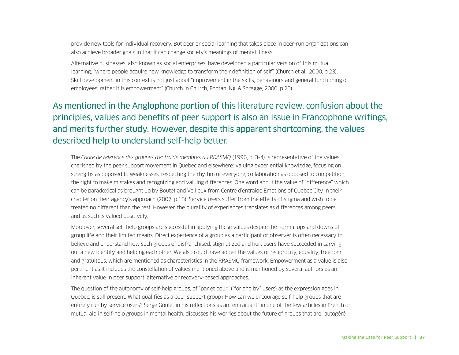provide new tools for individual recovery. But peer or social learning that takes place in peer-run organizations can also achieve broader goals in that it can change society's meanings of mental illness.

Alternative businesses, also known as social enterprises, have developed a particular version of this mutual learning, "where people acquire new knowledge to transform their definition of self" (Church et al., 2000, p.23). Skill development in this context is not just about "improvement in the skills, behaviours and general functioning of employees; rather it is empowerment" (Church in Church, Fontan, Ng, & Shragge, 2000, p.20).

## As mentioned in the Anglophone portion of this literature review, confusion about the principles, values and benefits of peer support is also an issue in Francophone writings, and merits further study. However, despite this apparent shortcoming, the values described help to understand self-help better.

The *Cadre de référence des groupes d'entraide membres du RRASMQ* (1996, p. 3-4) is representative of the values cherished by the peer support movement in Quebec and elsewhere: valuing experiential knowledge, focusing on strengths as opposed to weaknesses, respecting the rhythm of everyone, collaboration as opposed to competition, the right to make mistakes and recognizing and valuing differences. One word about the value of "difference" which can be paradoxical as brought up by Boutet and Veilleux from Centre d'entraide Émotions of Quebec City in their chapter on their agency's approach (2007, p.13). Service users suffer from the effects of stigma and wish to be treated no different than the rest. However, the plurality of experiences translates as differences among peers and as such is valued positively.

Moreover, several self-help groups are successful in applying these values despite the normal ups and downs of group life and their limited means. Direct experience of a group as a participant or observer is often necessary to believe and understand how such groups of disfranchised, stigmatized and hurt users have succeeded in carving out a new identity and helping each other. We also could have added the values of reciprocity, equality, freedom and gratuitous, which are mentioned as characteristics in the RRASMQ framework. Empowerment as a value is also pertinent as it includes the constellation of values mentioned above and is mentioned by several authors as an inherent value in peer support, alternative or recovery-based approaches.

The question of the autonomy of self-help groups, of "par et pour" ("for and by" users) as the expression goes in Quebec, is still present. What qualifies as a peer support group? How can we encourage self-help groups that are entirely run by service users? Serge Goulet in his reflections as an "entraidant" in one of the few articles in French on mutual aid in self-help groups in mental health, discusses his worries about the future of groups that are "autogéré"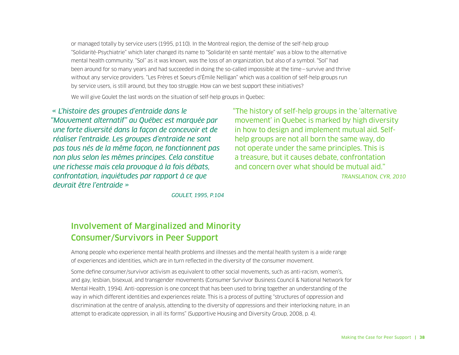or managed totally by service users (1995, p110). In the Montreal region, the demise of the self-help group "Solidarité-Psychiatrie" which later changed its name to "Solidarité en santé mentale" was a blow to the alternative mental health community. "Sol" as it was known, was the loss of an organization, but also of a symbol. "Sol" had been around for so many years and had succeeded in doing the so-called impossible at the time—survive and thrive without any service providers. "Les Frères et Soeurs d'Émile Nelligan" which was a coalition of self-help groups run by service users, is still around, but they too struggle. How can we best support these initiatives?

We will give Goulet the last words on the situation of self-help groups in Quebec:

*« L'histoire des groupes d'entraide dans le "Mouvement alternatif" au Québec est marquée par une forte diversité dans la façon de concevoir et de réaliser l'entraide. Les groupes d'entraide ne sont pas tous nés de la même façon, ne fonctionnent pas non plus selon les mêmes principes. Cela constitue une richesse mais cela provoque à la fois débats, confrontation, inquiétudes par rapport à ce que devrait être l'entraide »*

"The history of self-help groups in the 'alternative movement' in Quebec is marked by high diversity in how to design and implement mutual aid. Selfhelp groups are not all born the same way, do not operate under the same principles. This is a treasure, but it causes debate, confrontation and concern over what should be mutual aid." *TRANSLATION, CYR, 2010*

*GOULET, 1995, P.104*

## Involvement of Marginalized and Minority Consumer/Survivors in Peer Support

Among people who experience mental health problems and illnesses and the mental health system is a wide range of experiences and identities, which are in turn reflected in the diversity of the consumer movement.

Some define consumer/survivor activism as equivalent to other social movements, such as anti-racism, women's, and gay, lesbian, bisexual, and transgender movements (Consumer Survivor Business Council & National Network for Mental Health, 1994). Anti-oppression is one concept that has been used to bring together an understanding of the way in which different identities and experiences relate. This is a process of putting "structures of oppression and discrimination at the centre of analysis, attending to the diversity of oppressions and their interlocking nature, in an attempt to eradicate oppression, in all its forms" (Supportive Housing and Diversity Group, 2008, p. 4).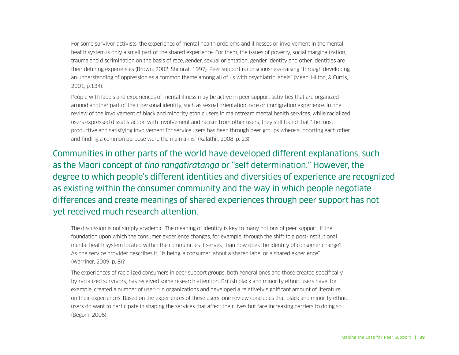For some survivor activists, the experience of mental health problems and illnesses or involvement in the mental health system is only a small part of the shared experience. For them, the issues of poverty, social marginalization, trauma and discrimination on the basis of race, gender, sexual orientation, gender identity and other identities are their defining experiences (Brown, 2002; Shimrat, 1997). Peer support is consciousness-raising "through developing an understanding of oppression as a common theme among all of us with psychiatric labels" (Mead, Hilton, & Curtis, 2001, p.134).

People with labels and experiences of mental illness may be active in peer support activities that are organized around another part of their personal identity, such as sexual orientation, race or immigration experience. In one review of the involvement of black and minority ethnic users in mainstream mental health services, while racialized users expressed dissatisfaction with involvement and racism from other users, they still found that "the most productive and satisfying involvement for service users has been through peer groups where supporting each other and finding a common purpose were the main aims" (Kalathil, 2008, p. 23).

Communities in other parts of the world have developed different explanations, such as the Maori concept of *tino rangatiratanga* or "self determination." However, the degree to which people's different identities and diversities of experience are recognized as existing within the consumer community and the way in which people negotiate differences and create meanings of shared experiences through peer support has not yet received much research attention.

The discussion is not simply academic. The meaning of identity is key to many notions of peer support. If the foundation upon which the consumer experience changes, for example, through the shift to a post-institutional mental health system located within the communities it serves, than how does the identity of consumer change? As one service provider describes it, "is being 'a consumer' about a shared label or a shared experience" (Warriner, 2009, p. 8)?

The experiences of racialized consumers in peer support groups, both general ones and those created specifically by racialized survivors, has received some research attention. British black and minority ethnic users have, for example, created a number of user-run organizations and developed a relatively significant amount of literature on their experiences. Based on the experiences of these users, one review concludes that black and minority ethnic users do want to participate in shaping the services that affect their lives but face increasing barriers to doing so (Begum, 2006).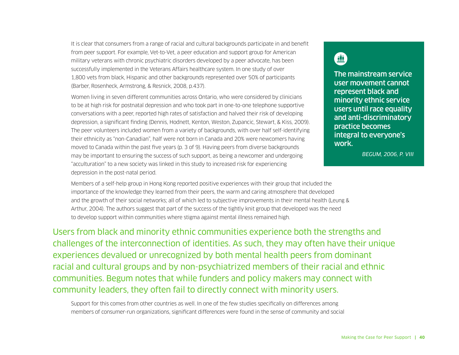It is clear that consumers from a range of racial and cultural backgrounds participate in and benefit from peer support. For example, Vet-to-Vet, a peer education and support group for American military veterans with chronic psychiatric disorders developed by a peer advocate, has been successfully implemented in the Veterans Affairs healthcare system. In one study of over 1,800 vets from black, Hispanic and other backgrounds represented over 50% of participants (Barber, Rosenheck, Armstrong, & Resnick, 2008, p.437).

Women living in seven different communities across Ontario, who were considered by clinicians to be at high risk for postnatal depression and who took part in one-to-one telephone supportive conversations with a peer, reported high rates of satisfaction and halved their risk of developing depression, a significant finding (Dennis, Hodnett, Kenton, Weston, Zupancic, Stewart, & Kiss, 2009). The peer volunteers included women from a variety of backgrounds, with over half self-identifying their ethnicity as "non-Canadian", half were not born in Canada and 20% were newcomers having moved to Canada within the past five years (p. 3 of 9). Having peers from diverse backgrounds may be important to ensuring the success of such support, as being a newcomer and undergoing "acculturation" to a new society was linked in this study to increased risk for experiencing depression in the post-natal period.

## $\blacksquare$

The mainstream service user movement cannot represent black and minority ethnic service users until race equality and anti-discriminatory practice becomes integral to everyone's work.

*BEGUM, 2006, P. VIII*

Members of a self-help group in Hong Kong reported positive experiences with their group that included the importance of the knowledge they learned from their peers, the warm and caring atmosphere that developed and the growth of their social networks; all of which led to subjective improvements in their mental health (Leung & Arthur, 2004). The authors suggest that part of the success of the tightly knit group that developed was the need to develop support within communities where stigma against mental illness remained high.

Users from black and minority ethnic communities experience both the strengths and challenges of the interconnection of identities. As such, they may often have their unique experiences devalued or unrecognized by both mental health peers from dominant racial and cultural groups and by non-psychiatrized members of their racial and ethnic communities. Begum notes that while funders and policy makers may connect with community leaders, they often fail to directly connect with minority users.

Support for this comes from other countries as well. In one of the few studies specifically on differences among members of consumer-run organizations, significant differences were found in the sense of community and social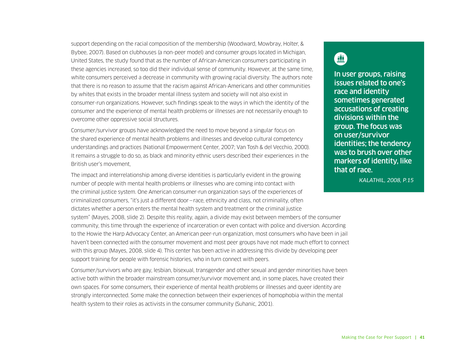support depending on the racial composition of the membership (Woodward, Mowbray, Holter, & Bybee, 2007). Based on clubhouses (a non-peer model) and consumer groups located in Michigan, United States, the study found that as the number of African-American consumers participating in these agencies increased, so too did their individual sense of community. However, at the same time, white consumers perceived a decrease in community with growing racial diversity. The authors note that there is no reason to assume that the racism against African-Americans and other communities by whites that exists in the broader mental illness system and society will not also exist in consumer-run organizations. However, such findings speak to the ways in which the identity of the consumer and the experience of mental health problems or illnesses are not necessarily enough to overcome other oppressive social structures.

Consumer/survivor groups have acknowledged the need to move beyond a singular focus on the shared experience of mental health problems and illnesses and develop cultural competency understandings and practices (National Empowerment Center, 2007; Van Tosh & del Vecchio, 2000). It remains a struggle to do so, as black and minority ethnic users described their experiences in the British user's movement,

The impact and interrelationship among diverse identities is particularly evident in the growing number of people with mental health problems or illnesses who are coming into contact with the criminal justice system. One American consumer-run organization says of the experiences of criminalized consumers, "it's just a different door—race, ethnicity and class, not criminality, often dictates whether a person enters the mental health system and treatment or the criminal justice system" (Mayes, 2008, slide 2). Despite this reality, again, a divide may exist between members of the consumer community, this time through the experience of incarceration or even contact with police and diversion. According to the Howie the Harp Advocacy Center, an American peer-run organization, most consumers who have been in jail haven't been connected with the consumer movement and most peer groups have not made much effort to connect with this group (Mayes, 2008, slide 4). This center has been active in addressing this divide by developing peer support training for people with forensic histories, who in turn connect with peers.

Consumer/survivors who are gay, lesbian, bisexual, transgender and other sexual and gender minorities have been active both within the broader mainstream consumer/survivor movement and, in some places, have created their own spaces. For some consumers, their experience of mental health problems or illnesses and queer identity are strongly interconnected. Some make the connection between their experiences of homophobia within the mental health system to their roles as activists in the consumer community (Suhanic, 2001).

## $\qquad \qquad \Box$

In user groups, raising issues related to one's race and identity sometimes generated accusations of creating divisions within the group. The focus was on user/survivor identities; the tendency was to brush over other markers of identity, like that of race.

*KALATHIL, 2008, P.15*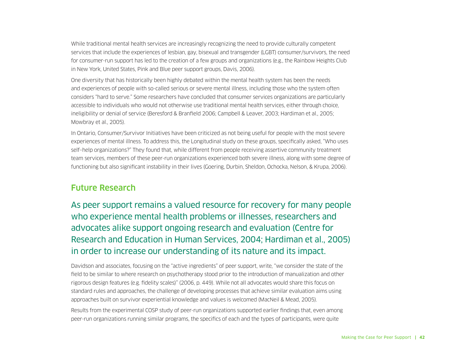While traditional mental health services are increasingly recognizing the need to provide culturally competent services that include the experiences of lesbian, gay, bisexual and transgender (LGBT) consumer/survivors, the need for consumer-run support has led to the creation of a few groups and organizations (e.g., the Rainbow Heights Club in New York, United States, Pink and Blue peer support groups, Davis, 2006).

One diversity that has historically been highly debated within the mental health system has been the needs and experiences of people with so-called serious or severe mental illness, including those who the system often considers "hard to serve." Some researchers have concluded that consumer services organizations are particularly accessible to individuals who would not otherwise use traditional mental health services, either through choice, ineligibility or denial of service (Beresford & Branfield 2006; Campbell & Leaver, 2003; Hardiman et al., 2005; Mowbray et al., 2005).

In Ontario, Consumer/Survivor Initiatives have been criticized as not being useful for people with the most severe experiences of mental illness. To address this, the Longitudinal study on these groups, specifically asked, "Who uses self–help organizations?" They found that, while different from people receiving assertive community treatment team services, members of these peer-run organizations experienced both severe illness, along with some degree of functioning but also significant instability in their lives (Goering, Durbin, Sheldon, Ochocka, Nelson, & Krupa, 2006).

### Future Research

As peer support remains a valued resource for recovery for many people who experience mental health problems or illnesses, researchers and advocates alike support ongoing research and evaluation (Centre for Research and Education in Human Services, 2004; Hardiman et al., 2005) in order to increase our understanding of its nature and its impact.

Davidson and associates, focusing on the "active ingredients" of peer support, write, "we consider the state of the field to be similar to where research on psychotherapy stood prior to the introduction of manualization and other rigorous design features (e.g. fidelity scales)" (2006, p. 449). While not all advocates would share this focus on standard rules and approaches, the challenge of developing processes that achieve similar evaluation aims using approaches built on survivor experiential knowledge and values is welcomed (MacNeil & Mead, 2005).

Results from the experimental COSP study of peer-run organizations supported earlier findings that, even among peer-run organizations running similar programs, the specifics of each and the types of participants, were quite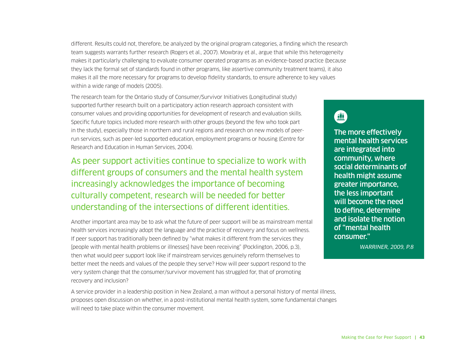different. Results could not, therefore, be analyzed by the original program categories, a finding which the research team suggests warrants further research (Rogers et al., 2007). Mowbray et al., argue that while this heterogeneity makes it particularly challenging to evaluate consumer operated programs as an evidence-based practice (because they lack the formal set of standards found in other programs, like assertive community treatment teams), it also makes it all the more necessary for programs to develop fidelity standards, to ensure adherence to key values within a wide range of models (2005).

The research team for the Ontario study of Consumer/Survivor Initiatives (Longitudinal study) supported further research built on a participatory action research approach consistent with consumer values and providing opportunities for development of research and evaluation skills. Specific future topics included more research with other groups (beyond the few who took part in the study), especially those in northern and rural regions and research on new models of peerrun services, such as peer-led supported education, employment programs or housing (Centre for Research and Education in Human Services, 2004).

As peer support activities continue to specialize to work with different groups of consumers and the mental health system increasingly acknowledges the importance of becoming culturally competent, research will be needed for better understanding of the intersections of different identities.

Another important area may be to ask what the future of peer support will be as mainstream mental health services increasingly adopt the language and the practice of recovery and focus on wellness. If peer support has traditionally been defined by "what makes it different from the services they [people with mental health problems or illnesses] have been receiving" (Pocklington, 2006, p.3), then what would peer support look like if mainstream services genuinely reform themselves to better meet the needs and values of the people they serve? How will peer support respond to the very system change that the consumer/survivor movement has struggled for, that of promoting recovery and inclusion?

A service provider in a leadership position in New Zealand, a man without a personal history of mental illness, proposes open discussion on whether, in a post-institutional mental health system, some fundamental changes will need to take place within the consumer movement.

鱼

The more effectively mental health services are integrated into community, where social determinants of health might assume greater importance, the less important will become the need to define, determine and isolate the notion of "mental health consumer."

*WARRINER, 2009, P.8*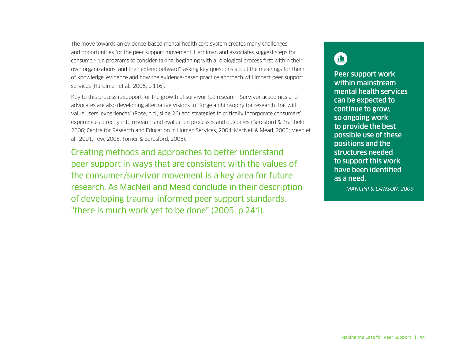The move towards an evidence-based mental health care system creates many challenges and opportunities for the peer support movement. Hardiman and associates suggest steps for consumer-run programs to consider taking, beginning with a "dialogical process first within their own organizations, and then extend outward", asking key questions about the meanings for them of knowledge, evidence and how the evidence-based practice approach will impact peer support services (Hardiman et al., 2005, p.116).

Key to this process is support for the growth of survivor-led research. Survivor academics and advocates are also developing alternative visions to "forge a philosophy for research that will value users' experiences" (Rose, n.d., slide 26) and strategies to critically incorporate consumers' experiences directly into research and evaluation processes and outcomes (Beresford & Branfield, 2006; Centre for Research and Education in Human Services, 2004; MacNeil & Mead, 2005; Mead et al., 2001; Tew, 2008; Turner & Beresford, 2005).

Creating methods and approaches to better understand peer support in ways that are consistent with the values of the consumer/survivor movement is a key area for future research. As MacNeil and Mead conclude in their description of developing trauma-informed peer support standards, "there is much work yet to be done" (2005, p.241).

## $\blacksquare$

Peer support work within mainstream mental health services can be expected to continue to grow, so ongoing work to provide the best possible use of these positions and the structures needed to support this work have been identified as a need.

*MANCINI & LAWSON, 2009*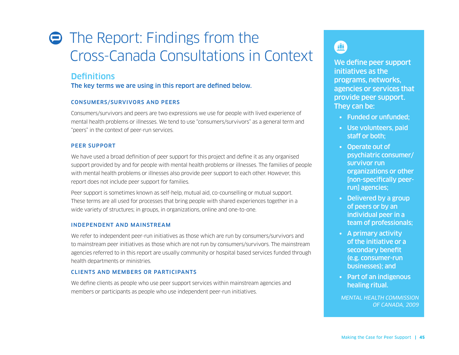# **● The Report: Findings from the** Cross-Canada Consultations in Context

### **Definitions**

The key terms we are using in this report are defined below.

#### CONSUMERS/SURVIVORS AND PEERS

Consumers/survivors and peers are two expressions we use for people with lived experience of mental health problems or illnesses. We tend to use "consumers/survivors" as a general term and "peers" in the context of peer-run services.

#### PEER SUPPORT

We have used a broad definition of peer support for this project and define it as any organised support provided by and for people with mental health problems or illnesses. The families of people with mental health problems or illnesses also provide peer support to each other. However, this report does not include peer support for families.

Peer support is sometimes known as self-help, mutual aid, co-counselling or mutual support. These terms are all used for processes that bring people with shared experiences together in a wide variety of structures; in groups, in organizations, online and one-to-one.

#### INDEPENDENT AND MAINSTREAM

We refer to independent peer-run initiatives as those which are run by consumers/survivors and to mainstream peer initiatives as those which are not run by consumers/survivors. The mainstream agencies referred to in this report are usually community or hospital based services funded through health departments or ministries.

#### CLIENTS AND MEMBERS OR PARTICIPANTS

We define clients as people who use peer support services within mainstream agencies and members or participants as people who use independent peer-run initiatives.

initiatives as the programs, networks, agencies or services that provide peer support. They can be:

- Funded or unfunded;
- Use volunteers, paid staff or both;
- Operate out of psychiatric consumer/ survivor run organizations or other [non-specifically peerrun] agencies;
- Delivered by a group of peers or by an individual peer in a team of professionals;
- A primary activity of the initiative or a secondary benefit (e.g. consumer-run businesses); and
- Part of an indigenous healing ritual.

*MENTAL HEALTH COMMISSION OF CANADA, 2009*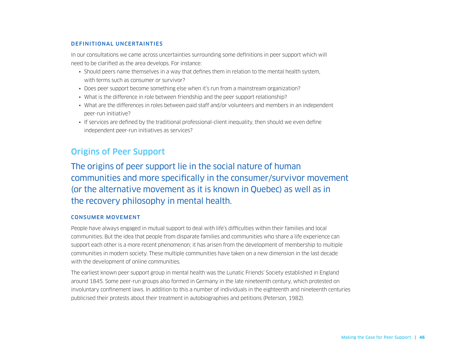#### DEFINITIONAL UNCERTAINTIES

In our consultations we came across uncertainties surrounding some definitions in peer support which will need to be clarified as the area develops. For instance:

- Should peers name themselves in a way that defines them in relation to the mental health system, with terms such as consumer or survivor?
- Does peer support become something else when it's run from a mainstream organization?
- What is the difference in role between friendship and the peer support relationship?
- What are the differences in roles between paid staff and/or volunteers and members in an independent peer-run initiative?
- If services are defined by the traditional professional-client inequality, then should we even define independent peer-run initiatives as services?

## Origins of Peer Support

The origins of peer support lie in the social nature of human communities and more specifically in the consumer/survivor movement (or the alternative movement as it is known in Quebec) as well as in the recovery philosophy in mental health.

#### CONSUMER MOVEMENT

People have always engaged in mutual support to deal with life's difficulties within their families and local communities. But the idea that people from disparate families and communities who share a life experience can support each other is a more recent phenomenon; it has arisen from the development of membership to multiple communities in modern society. These multiple communities have taken on a new dimension in the last decade with the development of online communities.

The earliest known peer support group in mental health was the Lunatic Friends' Society established in England around 1845. Some peer-run groups also formed in Germany in the late nineteenth century, which protested on involuntary confinement laws. In addition to this a number of individuals in the eighteenth and nineteenth centuries publicised their protests about their treatment in autobiographies and petitions (Peterson, 1982).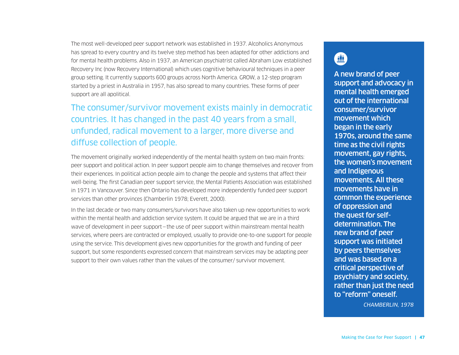The most well-developed peer support network was established in 1937. Alcoholics Anonymous has spread to every country and its twelve step method has been adapted for other addictions and for mental health problems. Also in 1937, an American psychiatrist called Abraham Low established Recovery Inc (now Recovery International) which uses cognitive behavioural techniques in a peer group setting. It currently supports 600 groups across North America. GROW, a 12-step program started by a priest in Australia in 1957, has also spread to many countries. These forms of peer support are all apolitical.

## The consumer/survivor movement exists mainly in democratic countries. It has changed in the past 40 years from a small, unfunded, radical movement to a larger, more diverse and diffuse collection of people.

The movement originally worked independently of the mental health system on two main fronts: peer support and political action. In peer support people aim to change themselves and recover from their experiences. In political action people aim to change the people and systems that affect their well-being. The first Canadian peer support service, the Mental Patients Association was established in 1971 in Vancouver. Since then Ontario has developed more independently funded peer support services than other provinces (Chamberlin 1978; Everett, 2000).

In the last decade or two many consumers/survivors have also taken up new opportunities to work within the mental health and addiction service system. It could be argued that we are in a third wave of development in peer support—the use of peer support within mainstream mental health services, where peers are contracted or employed, usually to provide one-to-one support for people using the service. This development gives new opportunities for the growth and funding of peer support, but some respondents expressed concern that mainstream services may be adapting peer support to their own values rather than the values of the consumer/ survivor movement.

## $\blacksquare$

A new brand of peer support and advocacy in mental health emerged out of the international consumer/survivor movement which began in the early 1970s, around the same time as the civil rights movement, gay rights, the women's movement and Indigenous movements. All these movements have in common the experience of oppression and the quest for selfdetermination. The new brand of peer support was initiated by peers themselves and was based on a critical perspective of psychiatry and society, rather than just the need to "reform" oneself.

*CHAMBERLIN, 1978*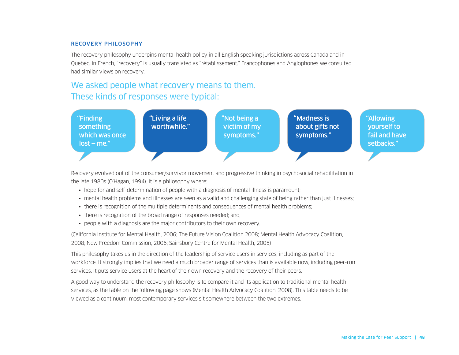#### RECOVERY PHILOSOPHY

The recovery philosophy underpins mental health policy in all English speaking jurisdictions across Canada and in Quebec. In French, "recovery" is usually translated as "rétablissement." Francophones and Anglophones we consulted had similar views on recovery.

## We asked people what recovery means to them. These kinds of responses were typical:



Recovery evolved out of the consumer/survivor movement and progressive thinking in psychosocial rehabilitation in the late 1980s (O'Hagan, 1994). It is a philosophy where:

- hope for and self-determination of people with a diagnosis of mental illness is paramount;
- mental health problems and illnesses are seen as a valid and challenging state of being rather than just illnesses;
- there is recognition of the multiple determinants and consequences of mental health problems;
- there is recognition of the broad range of responses needed; and,
- people with a diagnosis are the major contributors to their own recovery.

(California Institute for Mental Health, 2006; The Future Vision Coalition 2008; Mental Health Advocacy Coalition, 2008; New Freedom Commission, 2006; Sainsbury Centre for Mental Health, 2005)

This philosophy takes us in the direction of the leadership of service users in services, including as part of the workforce. It strongly implies that we need a much broader range of services than is available now, including peer-run services. It puts service users at the heart of their own recovery and the recovery of their peers.

A good way to understand the recovery philosophy is to compare it and its application to traditional mental health services, as the table on the following page shows (Mental Health Advocacy Coalition, 2008). This table needs to be viewed as a continuum; most contemporary services sit somewhere between the two extremes.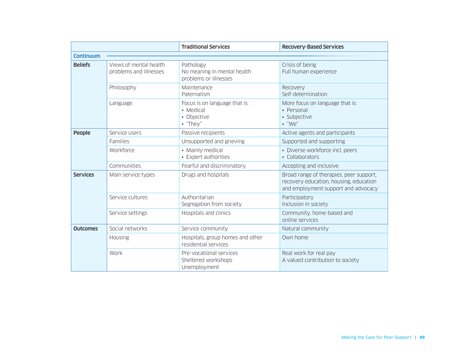|                 |                                                  | <b>Traditional Services</b>                                           | <b>Recovery-Based Services</b>                                                                                           |
|-----------------|--------------------------------------------------|-----------------------------------------------------------------------|--------------------------------------------------------------------------------------------------------------------------|
| Continuum       |                                                  |                                                                       |                                                                                                                          |
| <b>Beliefs</b>  | Views of mental health<br>problems and illnesses | Pathology<br>No meaning in mental health<br>problems or illnesses     | Crisis of being<br>Full human experience                                                                                 |
|                 | Philosophy                                       | Maintenance<br>Paternalism                                            | Recovery<br>Self-determination                                                                                           |
|                 | Language                                         | Focus is on language that is:<br>• Medical<br>• Objective<br>• "They" | More focus on language that is:<br>• Personal<br>· Subjective<br>$\cdot$ "We"                                            |
| People          | Service users                                    | Passive recipients                                                    | Active agents and participants                                                                                           |
|                 | Families                                         | Unsupported and grieving                                              | Supported and supporting                                                                                                 |
|                 | Workforce                                        | • Mainly medical<br>• Expert authorities                              | • Diverse workforce incl. peers<br>• Collaborators                                                                       |
|                 | Communities                                      | Fearful and discriminatory                                            | Accepting and inclusive                                                                                                  |
| <b>Services</b> | Main service types                               | Drugs and hospitals                                                   | Broad range of therapies, peer support,<br>recovery education, housing, education<br>and employment support and advocacy |
|                 | Service cultures                                 | Authoritarian<br>Segregation from society                             | Participatory<br>Inclusion in society                                                                                    |
|                 | Service settings                                 | Hospitals and clinics                                                 | Community, home-based and<br>online services                                                                             |
| <b>Outcomes</b> | Social networks                                  | Service community                                                     | Natural community                                                                                                        |
|                 | Housing                                          | Hospitals, group homes and other<br>residential services              | Own home                                                                                                                 |
|                 | Work                                             | Pre-vocational services<br>Sheltered workshops<br>Unemployment        | Real work for real pay<br>A valued contribution to society                                                               |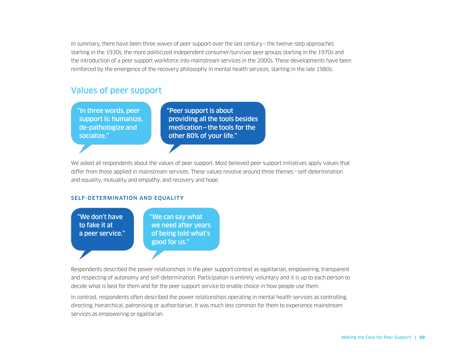In summary, there have been three waves of peer support over the last century—the twelve-step approaches starting in the 1930s, the more politicized independent consumer/survivor peer groups starting in the 1970s and the introduction of a peer support workforce into mainstream services in the 2000s. These developments have been reinforced by the emergence of the recovery philosophy in mental health services, starting in the late 1980s.

### Values of peer support

"In three words, peer support is: humanize, de-pathologize and socialize."

"Peer support is about providing all the tools besides medication—the tools for the other 80% of your life."

We asked all respondents about the values of peer support. Most believed peer support initiatives apply values that differ from those applied in mainstream services. These values revolve around three themes—self-determination and equality, mutuality and empathy, and recovery and hope.

#### SELF-DETERMINATION AND EQUALITY



Respondents described the power relationships in the peer support context as egalitarian, empowering, transparent and respecting of autonomy and self-determination. Participation is entirely voluntary and it is up to each person to decide what is best for them and for the peer support service to enable choice in how people use them.

In contrast, respondents often described the power relationships operating in mental health services as controlling, directing, hierarchical, patronising or authoritarian. It was much less common for them to experience mainstream services as empowering or egalitarian.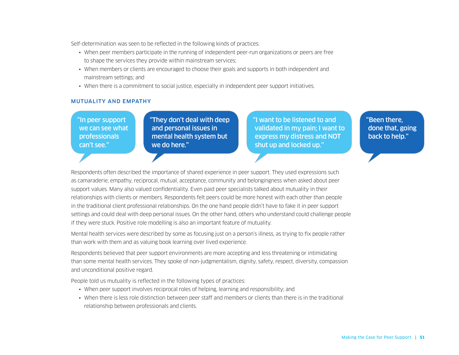Self-determination was seen to be reflected in the following kinds of practices:

- When peer members participate in the running of independent peer-run organizations or peers are free to shape the services they provide within mainstream services;
- When members or clients are encouraged to choose their goals and supports in both independent and mainstream settings; and
- When there is a commitment to social justice, especially in independent peer support initiatives.

#### MUTUALITY AND EMPATHY

"In peer support we can see what professionals can't see."

"They don't deal with deep and personal issues in mental health system but we do here."

"I want to be listened to and validated in my pain; I want to express my distress and NOT shut up and locked up."

"Been there, done that, going back to help."

Respondents often described the importance of shared experience in peer support. They used expressions such as camaraderie, empathy, reciprocal, mutual, acceptance, community and belongingness when asked about peer support values. Many also valued confidentiality. Even paid peer specialists talked about mutuality in their relationships with clients or members. Respondents felt peers could be more honest with each other than people in the traditional client professional relationships. On the one hand people didn't have to fake it in peer support settings and could deal with deep personal issues. On the other hand, others who understand could challenge people if they were stuck. Positive role modelling is also an important feature of mutuality.

Mental health services were described by some as focusing just on a person's illness, as trying to fix people rather than work with them and as valuing book learning over lived experience.

Respondents believed that peer support environments are more accepting and less threatening or intimidating than some mental health services. They spoke of non-judgmentalism, dignity, safety, respect, diversity, compassion and unconditional positive regard.

People told us mutuality is reflected in the following types of practices:

- When peer support involves reciprocal roles of helping, learning and responsibility; and
- When there is less role distinction between peer staff and members or clients than there is in the traditional relationship between professionals and clients.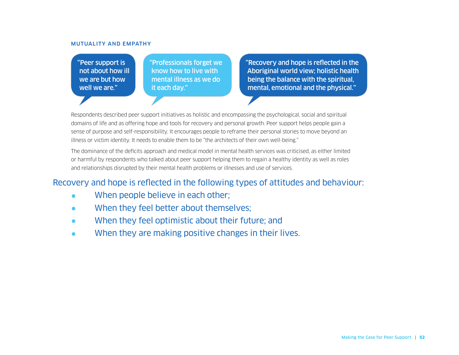#### MUTUALITY AND EMPATHY

"Peer support is not about how ill we are but how well we are."

"Professionals forget we know how to live with mental illness as we do it each day."

"Recovery and hope is reflected in the Aboriginal world view; holistic health being the balance with the spiritual, mental, emotional and the physical."

Respondents described peer support initiatives as holistic and encompassing the psychological, social and spiritual domains of life and as offering hope and tools for recovery and personal growth. Peer support helps people gain a sense of purpose and self-responsibility. It encourages people to reframe their personal stories to move beyond an illness or victim identity. It needs to enable them to be "the architects of their own well-being."

The dominance of the deficits approach and medical model in mental health services was criticised, as either limited or harmful by respondents who talked about peer support helping them to regain a healthy identity as well as roles and relationships disrupted by their mental health problems or illnesses and use of services.

### Recovery and hope is reflected in the following types of attitudes and behaviour:

- When people believe in each other;
- When they feel better about themselves;
- When they feel optimistic about their future; and
- When they are making positive changes in their lives.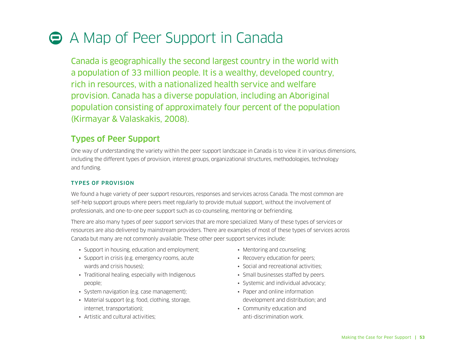## A Map of Peer Support in Canada

Canada is geographically the second largest country in the world with a population of 33 million people. It is a wealthy, developed country, rich in resources, with a nationalized health service and welfare provision. Canada has a diverse population, including an Aboriginal population consisting of approximately four percent of the population (Kirmayar & Valaskakis, 2008).

## Types of Peer Support

One way of understanding the variety within the peer support landscape in Canada is to view it in various dimensions, including the different types of provision, interest groups, organizational structures, methodologies, technology and funding.

#### TYPES OF PROVISION

We found a huge variety of peer support resources, responses and services across Canada. The most common are self-help support groups where peers meet regularly to provide mutual support, without the involvement of professionals, and one-to-one peer support such as co-counseling, mentoring or befriending.

There are also many types of peer support services that are more specialized. Many of these types of services or resources are also delivered by mainstream providers. There are examples of most of these types of services across Canada but many are not commonly available. These other peer support services include:

- Support in housing, education and employment;
- Support in crisis (e.g. emergency rooms, acute wards and crisis houses);
- Traditional healing, especially with Indigenous people;
- System navigation (e.g. case management);
- Material support (e.g. food, clothing, storage, internet, transportation);
- Artistic and cultural activities;
- Mentoring and counseling;
- Recovery education for peers;
- Social and recreational activities:
- Small businesses staffed by peers.
- Systemic and individual advocacy;
- Paper and online information development and distribution; and
- Community education and anti-discrimination work.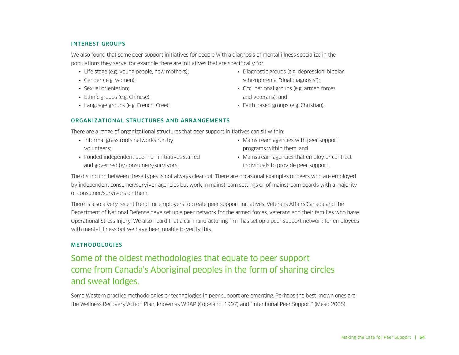#### INTEREST GROUPS

We also found that some peer support initiatives for people with a diagnosis of mental illness specialize in the populations they serve, for example there are initiatives that are specifically for:

- Life stage (e.g. young people, new mothers);
- Gender ( e.g. women);
- Sexual orientation;
- Ethnic groups (e.g. Chinese);
- Language groups (e.g. French, Cree);

#### ORGANIZATIONAL STRUCTURES AND ARRANGEMENTS

There are a range of organizational structures that peer support initiatives can sit within:

- Informal grass roots networks run by volunteers;
- Funded independent peer-run initiatives staffed and governed by consumers/survivors;
- Diagnostic groups (e.g. depression, bipolar, schizophrenia, "dual diagnosis");
- Occupational groups (e.g. armed forces and veterans); and
- Faith based groups (e.g. Christian).
- Mainstream agencies with peer support programs within them; and
- Mainstream agencies that employ or contract individuals to provide peer support.

The distinction between these types is not always clear cut. There are occasional examples of peers who are employed by independent consumer/survivor agencies but work in mainstream settings or of mainstream boards with a majority of consumer/survivors on them.

There is also a very recent trend for employers to create peer support initiatives. Veterans Affairs Canada and the Department of National Defense have set up a peer network for the armed forces, veterans and their families who have Operational Stress Injury. We also heard that a car manufacturing firm has set up a peer support network for employees with mental illness but we have been unable to verify this.

#### **METHODOLOGIES**

## Some of the oldest methodologies that equate to peer support come from Canada's Aboriginal peoples in the form of sharing circles and sweat lodges.

Some Western practice methodologies or technologies in peer support are emerging. Perhaps the best known ones are the Wellness Recovery Action Plan, known as WRAP (Copeland, 1997) and "Intentional Peer Support" (Mead 2005).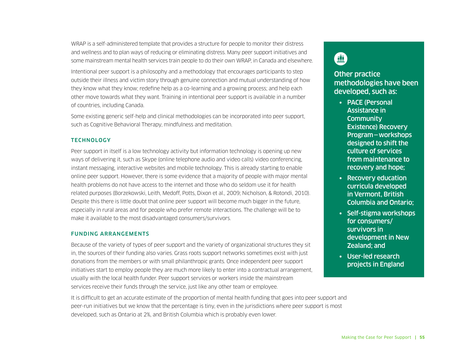WRAP is a self-administered template that provides a structure for people to monitor their distress and wellness and to plan ways of reducing or eliminating distress. Many peer support initiatives and some mainstream mental health services train people to do their own WRAP, in Canada and elsewhere.

Intentional peer support is a philosophy and a methodology that encourages participants to step outside their illness and victim story through genuine connection and mutual understanding of how they know what they know; redefine help as a co-learning and a growing process; and help each other move towards what they want. Training in intentional peer support is available in a number of countries, including Canada.

Some existing generic self-help and clinical methodologies can be incorporated into peer support, such as Cognitive Behavioral Therapy, mindfulness and meditation.

#### **TECHNOLOGY**

Peer support in itself is a low technology activity but information technology is opening up new ways of delivering it, such as Skype (online telephone audio and video calls) video conferencing, instant messaging, interactive websites and mobile technology. This is already starting to enable online peer support. However, there is some evidence that a majority of people with major mental health problems do not have access to the internet and those who do seldom use it for health related purposes (Borzekowski, Leith, Medoff, Potts, Dixon et al., 2009; Nicholson, & Rotondi, 2010). Despite this there is little doubt that online peer support will become much bigger in the future, especially in rural areas and for people who prefer remote interactions. The challenge will be to make it available to the most disadvantaged consumers/survivors.

#### FUNDING ARRANGEMENTS

Because of the variety of types of peer support and the variety of organizational structures they sit in, the sources of their funding also varies. Grass roots support networks sometimes exist with just donations from the members or with small philanthropic grants. Once independent peer support initiatives start to employ people they are much more likely to enter into a contractual arrangement, usually with the local health funder. Peer support services or workers inside the mainstream services receive their funds through the service, just like any other team or employee.

It is difficult to get an accurate estimate of the proportion of mental health funding that goes into peer support and peer-run initiatives but we know that the percentage is tiny, even in the jurisdictions where peer support is most developed, such as Ontario at 2%, and British Columbia which is probably even lower.

## 鱼

### **Other practice** methodologies have been developed, such as:

- PACE (Personal Assistance in **Community** Existence) Recovery Program—workshops designed to shift the culture of services from maintenance to recovery and hope;
- Recovery education curricula developed in Vermont, British Columbia and Ontario;
- Self-stigma workshops for consumers/ survivors in development in New Zealand; and
- User-led research projects in England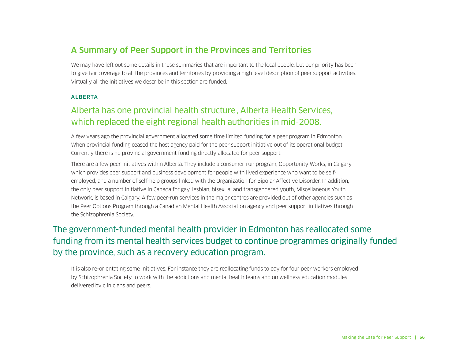## A Summary of Peer Support in the Provinces and Territories

We may have left out some details in these summaries that are important to the local people, but our priority has been to give fair coverage to all the provinces and territories by providing a high level description of peer support activities. Virtually all the initiatives we describe in this section are funded.

#### ALBERTA

## Alberta has one provincial health structure, Alberta Health Services, which replaced the eight regional health authorities in mid-2008.

A few years ago the provincial government allocated some time limited funding for a peer program in Edmonton. When provincial funding ceased the host agency paid for the peer support initiative out of its operational budget. Currently there is no provincial government funding directly allocated for peer support.

There are a few peer initiatives within Alberta. They include a consumer-run program, Opportunity Works, in Calgary which provides peer support and business development for people with lived experience who want to be selfemployed, and a number of self-help groups linked with the Organization for Bipolar Affective Disorder. In addition, the only peer support initiative in Canada for gay, lesbian, bisexual and transgendered youth, Miscellaneous Youth Network, is based in Calgary. A few peer-run services in the major centres are provided out of other agencies such as the Peer Options Program through a Canadian Mental Health Association agency and peer support initiatives through the Schizophrenia Society.

## The government-funded mental health provider in Edmonton has reallocated some funding from its mental health services budget to continue programmes originally funded by the province, such as a recovery education program.

It is also re-orientating some initiatives. For instance they are reallocating funds to pay for four peer workers employed by Schizophrenia Society to work with the addictions and mental health teams and on wellness education modules delivered by clinicians and peers.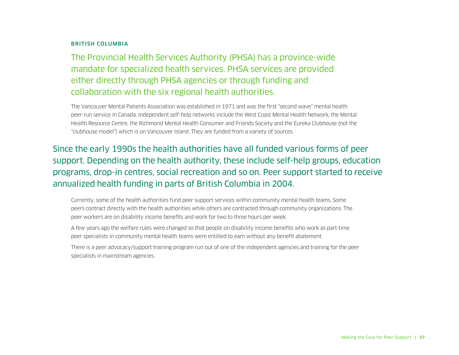#### BRITISH COLUMBIA

The Provincial Health Services Authority (PHSA) has a province-wide mandate for specialized health services. PHSA services are provided either directly through PHSA agencies or through funding and collaboration with the six regional health authorities.

The Vancouver Mental Patients Association was established in 1971 and was the first "second wave" mental health peer-run service in Canada. Independent self-help networks include the West Coast Mental Health Network, the Mental Health Resource Centre, the Richmond Mental Health Consumer and Friends Society and the Eureka Clubhouse (not the "clubhouse model") which is on Vancouver Island. They are funded from a variety of sources.

Since the early 1990s the health authorities have all funded various forms of peer support. Depending on the health authority, these include self-help groups, education programs, drop-in centres, social recreation and so on. Peer support started to receive annualized health funding in parts of British Columbia in 2004.

Currently, some of the health authorities fund peer support services within community mental health teams. Some peers contract directly with the health authorities while others are contracted through community organizations. The peer workers are on disability income benefits and work for two to three hours per week.

A few years ago the welfare rules were changed so that people on disability income benefits who work as part-time peer specialists in community mental health teams were entitled to earn without any benefit abatement.

There is a peer advocacy/support training program run out of one of the independent agencies and training for the peer specialists in mainstream agencies.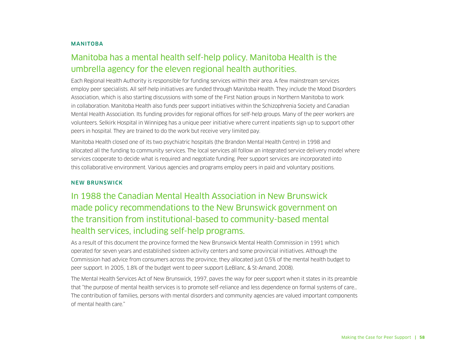#### MANITOBA

## Manitoba has a mental health self-help policy. Manitoba Health is the umbrella agency for the eleven regional health authorities.

Each Regional Health Authority is responsible for funding services within their area. A few mainstream services employ peer specialists. All self-help initiatives are funded through Manitoba Health. They include the Mood Disorders Association, which is also starting discussions with some of the First Nation groups in Northern Manitoba to work in collaboration. Manitoba Health also funds peer support initiatives within the Schizophrenia Society and Canadian Mental Health Association. Its funding provides for regional offices for self-help groups. Many of the peer workers are volunteers. Selkirk Hospital in Winnipeg has a unique peer initiative where current inpatients sign up to support other peers in hospital. They are trained to do the work but receive very limited pay.

Manitoba Health closed one of its two psychiatric hospitals (the Brandon Mental Health Centre) in 1998 and allocated all the funding to community services. The local services all follow an integrated service delivery model where services cooperate to decide what is required and negotiate funding. Peer support services are incorporated into this collaborative environment. Various agencies and programs employ peers in paid and voluntary positions.

#### NEW BRUNSWICK

## In 1988 the Canadian Mental Health Association in New Brunswick made policy recommendations to the New Brunswick government on the transition from institutional-based to community-based mental health services, including self-help programs.

As a result of this document the province formed the New Brunswick Mental Health Commission in 1991 which operated for seven years and established sixteen activity centers and some provincial initiatives. Although the Commission had advice from consumers across the province, they allocated just 0.5% of the mental health budget to peer support. In 2005, 1.8% of the budget went to peer support (LeBlanc, & St-Amand, 2008).

The Mental Health Services Act of New Brunswick, 1997, paves the way for peer support when it states in its preamble that "the purpose of mental health services is to promote self-reliance and less dependence on formal systems of care… The contribution of families, persons with mental disorders and community agencies are valued important components of mental health care."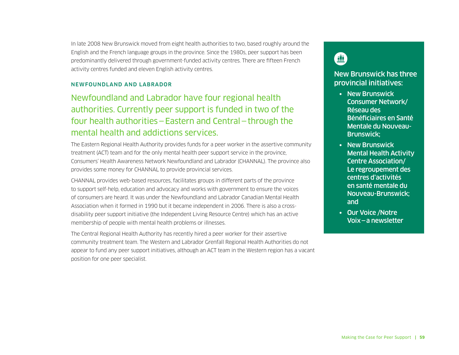In late 2008 New Brunswick moved from eight health authorities to two, based roughly around the English and the French language groups in the province. Since the 1980s, peer support has been predominantly delivered through government-funded activity centres. There are fifteen French activity centres funded and eleven English activity centres.

#### NEWFOUNDLAND AND LABRADOR

Newfoundland and Labrador have four regional health authorities. Currently peer support is funded in two of the four health authorities—Eastern and Central—through the mental health and addictions services.

The Eastern Regional Health Authority provides funds for a peer worker in the assertive community treatment (ACT) team and for the only mental health peer support service in the province, Consumers' Health Awareness Network Newfoundland and Labrador (CHANNAL). The province also provides some money for CHANNAL to provide provincial services.

CHANNAL provides web-based resources, facilitates groups in different parts of the province to support self-help, education and advocacy and works with government to ensure the voices of consumers are heard. It was under the Newfoundland and Labrador Canadian Mental Health Association when it formed in 1990 but it became independent in 2006. There is also a crossdisability peer support initiative (the Independent Living Resource Centre) which has an active membership of people with mental health problems or illnesses.

The Central Regional Health Authority has recently hired a peer worker for their assertive community treatment team. The Western and Labrador Grenfall Regional Health Authorities do not appear to fund any peer support initiatives, although an ACT team in the Western region has a vacant position for one peer specialist.

## $\blacksquare$

#### New Brunswick has three provincial initiatives:

- New Brunswick Consumer Network/ Réseau des Bénéficiaires en Santé Mentale du Nouveau-Brunswick;
- New Brunswick Mental Health Activity Centre Association/ Le regroupement des centres d'activités en santé mentale du Nouveau-Brunswick; and
- Our Voice /Notre Voix—a newsletter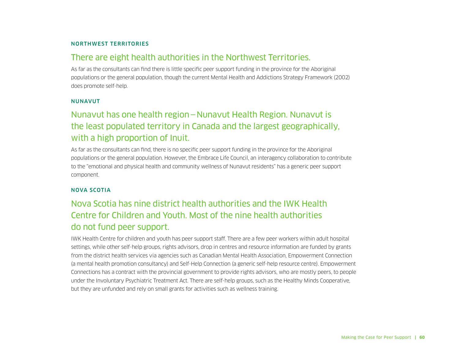#### NORTHWEST TERRITORIES

### There are eight health authorities in the Northwest Territories.

As far as the consultants can find there is little specific peer support funding in the province for the Aboriginal populations or the general population, though the current Mental Health and Addictions Strategy Framework (2002) does promote self-help.

#### NUNAVUT

## Nunavut has one health region—Nunavut Health Region. Nunavut is the least populated territory in Canada and the largest geographically, with a high proportion of Inuit.

As far as the consultants can find, there is no specific peer support funding in the province for the Aboriginal populations or the general population. However, the Embrace Life Council, an interagency collaboration to contribute to the "emotional and physical health and community wellness of Nunavut residents" has a generic peer support component.

#### NOVA SCOTIA

## Nova Scotia has nine district health authorities and the IWK Health Centre for Children and Youth. Most of the nine health authorities do not fund peer support.

IWK Health Centre for children and youth has peer support staff. There are a few peer workers within adult hospital settings, while other self-help groups, rights advisors, drop in centres and resource information are funded by grants from the district health services via agencies such as Canadian Mental Health Association, Empowerment Connection (a mental health promotion consultancy) and Self-Help Connection (a generic self-help resource centre). Empowerment Connections has a contract with the provincial government to provide rights advisors, who are mostly peers, to people under the Involuntary Psychiatric Treatment Act. There are self-help groups, such as the Healthy Minds Cooperative, but they are unfunded and rely on small grants for activities such as wellness training.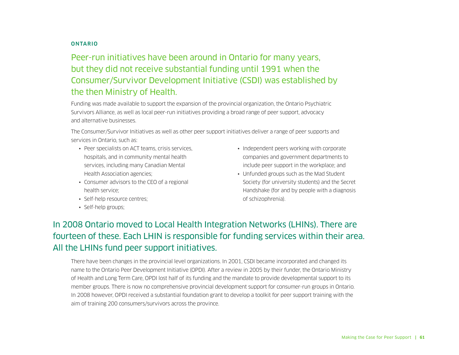#### **ONTARIO**

Peer-run initiatives have been around in Ontario for many years, but they did not receive substantial funding until 1991 when the Consumer/Survivor Development Initiative (CSDI) was established by the then Ministry of Health.

Funding was made available to support the expansion of the provincial organization, the Ontario Psychiatric Survivors Alliance, as well as local peer-run initiatives providing a broad range of peer support, advocacy and alternative businesses.

The Consumer/Survivor Initiatives as well as other peer support initiatives deliver a range of peer supports and services in Ontario, such as:

- Peer specialists on ACT teams, crisis services, hospitals, and in community mental health services, including many Canadian Mental Health Association agencies;
- Consumer advisors to the CEO of a regional health service;
- Self-help resource centres;
- Self-help groups;
- Independent peers working with corporate companies and government departments to include peer support in the workplace; and
- Unfunded groups such as the Mad Student Society (for university students) and the Secret Handshake (for and by people with a diagnosis of schizophrenia).

## In 2008 Ontario moved to Local Health Integration Networks (LHINs). There are fourteen of these. Each LHIN is responsible for funding services within their area. All the LHINs fund peer support initiatives.

There have been changes in the provincial level organizations. In 2001, CSDI became incorporated and changed its name to the Ontario Peer Development Initiative (OPDI). After a review in 2005 by their funder, the Ontario Ministry of Health and Long Term Care, OPDI lost half of its funding and the mandate to provide developmental support to its member groups. There is now no comprehensive provincial development support for consumer-run groups in Ontario. In 2008 however, OPDI received a substantial foundation grant to develop a toolkit for peer support training with the aim of training 200 consumers/survivors across the province.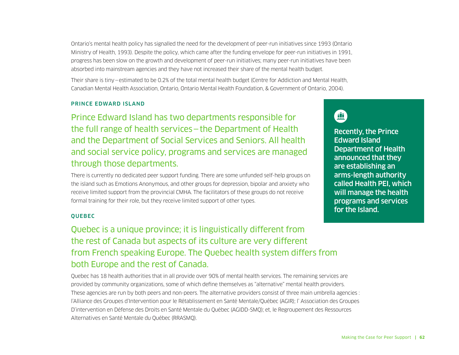Ontario's mental health policy has signalled the need for the development of peer-run initiatives since 1993 (Ontario Ministry of Health, 1993). Despite the policy, which came after the funding envelope for peer-run initiatives in 1991, progress has been slow on the growth and development of peer-run initiatives; many peer-run initiatives have been absorbed into mainstream agencies and they have not increased their share of the mental health budget.

Their share is tiny—estimated to be 0.2% of the total mental health budget (Centre for Addiction and Mental Health, Canadian Mental Health Association, Ontario, Ontario Mental Health Foundation, & Government of Ontario, 2004).

#### PRINCE EDWARD ISLAND

Prince Edward Island has two departments responsible for the full range of health services—the Department of Health and the Department of Social Services and Seniors. All health and social service policy, programs and services are managed through those departments.

There is currently no dedicated peer support funding. There are some unfunded self-help groups on the island such as Emotions Anonymous, and other groups for depression, bipolar and anxiety who receive limited support from the provincial CMHA. The facilitators of these groups do not receive formal training for their role, but they receive limited support of other types.

#### QUEBEC

## Quebec is a unique province; it is linguistically different from the rest of Canada but aspects of its culture are very different from French speaking Europe. The Quebec health system differs from both Europe and the rest of Canada.

Quebec has 18 health authorities that in all provide over 90% of mental health services. The remaining services are provided by community organizations, some of which define themselves as "alternative" mental health providers. These agencies are run by both peers and non-peers. The alternative providers consist of three main umbrella agencies : l'Alliance des Groupes d'Intervention pour le Rétablissement en Santé Mentale/Québec (AGIR); l' Association des Groupes D'intervention en Défense des Droits en Santé Mentale du Québec (AGIDD-SMQ); et, le Regroupement des Ressources Alternatives en Santé Mentale du Québec (RRASMQ).



Recently, the Prince Edward Island Department of Health announced that they are establishing an arms-length authority called Health PEI, which will manage the health programs and services for the Island.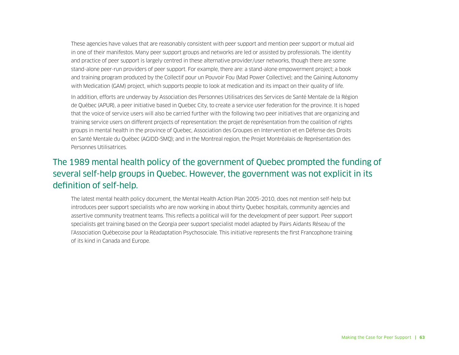These agencies have values that are reasonably consistent with peer support and mention peer support or mutual aid in one of their manifestos. Many peer support groups and networks are led or assisted by professionals. The identity and practice of peer support is largely centred in these alternative provider/user networks, though there are some stand-alone peer-run providers of peer support. For example, there are: a stand-alone empowerment project; a book and training program produced by the Collectif pour un Pouvoir Fou (Mad Power Collective); and the Gaining Autonomy with Medication (GAM) project, which supports people to look at medication and its impact on their quality of life.

In addition, efforts are underway by Association des Personnes Utilisatrices des Services de Santé Mentale de la Région de Québec (APUR), a peer initiative based in Quebec City, to create a service user federation for the province. It is hoped that the voice of service users will also be carried further with the following two peer initiatives that are organizing and training service users on different projects of representation: the projet de représentation from the coalition of rights groups in mental health in the province of Quebec, Association des Groupes en Intervention et en Défense des Droits en Santé Mentale du Québec (AGIDD-SMQ); and in the Montreal region, the Projet Montréalais de Représentation des Personnes Utilisatrices.

## The 1989 mental health policy of the government of Quebec prompted the funding of several self-help groups in Quebec. However, the government was not explicit in its definition of self-help.

The latest mental health policy document, the Mental Health Action Plan 2005-2010, does not mention self-help but introduces peer support specialists who are now working in about thirty Quebec hospitals, community agencies and assertive community treatment teams. This reflects a political will for the development of peer support. Peer support specialists get training based on the Georgia peer support specialist model adapted by Pairs Aidants Réseau of the l'Association Québecoise pour la Réadaptation Psychosociale. This initiative represents the first Francophone training of its kind in Canada and Europe.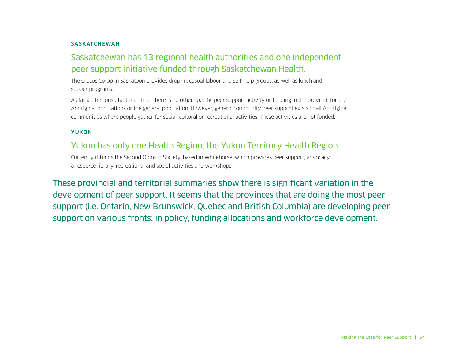#### **SASKATCHEWAN**

## Saskatchewan has 13 regional health authorities and one independent peer support initiative funded through Saskatchewan Health.

The Crocus Co-op in Saskatoon provides drop-in, casual labour and self-help groups, as well as lunch and supper programs.

As far as the consultants can find, there is no other specific peer support activity or funding in the province for the Aboriginal populations or the general population. However, generic community peer support exists in all Aboriginal communities where people gather for social, cultural or recreational activities. These activities are not funded.

#### YUKON

### Yukon has only one Health Region, the Yukon Territory Health Region.

Currently it funds the Second Opinion Society, based in Whitehorse, which provides peer support, advocacy, a resource library, recreational and social activities and workshops.

These provincial and territorial summaries show there is significant variation in the development of peer support. It seems that the provinces that are doing the most peer support (i.e. Ontario, New Brunswick, Quebec and British Columbia) are developing peer support on various fronts: in policy, funding allocations and workforce development.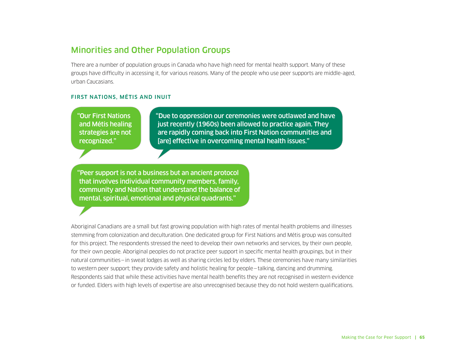## Minorities and Other Population Groups

There are a number of population groups in Canada who have high need for mental health support. Many of these groups have difficulty in accessing it, for various reasons. Many of the people who use peer supports are middle-aged, urban Caucasians.

#### FIRST NATIONS, MÉTIS AND INUIT

"Our First Nations and Métis healing strategies are not recognized."

"Due to oppression our ceremonies were outlawed and have just recently (1960s) been allowed to practice again. They are rapidly coming back into First Nation communities and [are] effective in overcoming mental health issues."

"Peer support is not a business but an ancient protocol that involves individual community members, family, community and Nation that understand the balance of mental, spiritual, emotional and physical quadrants."

Aboriginal Canadians are a small but fast growing population with high rates of mental health problems and illnesses stemming from colonization and deculturation. One dedicated group for First Nations and Métis group was consulted for this project. The respondents stressed the need to develop their own networks and services, by their own people, for their own people. Aboriginal peoples do not practice peer support in specific mental health groupings, but in their natural communities—in sweat lodges as well as sharing circles led by elders. These ceremonies have many similarities to western peer support; they provide safety and holistic healing for people—talking, dancing and drumming. Respondents said that while these activities have mental health benefits they are not recognised in western evidence or funded. Elders with high levels of expertise are also unrecognised because they do not hold western qualifications.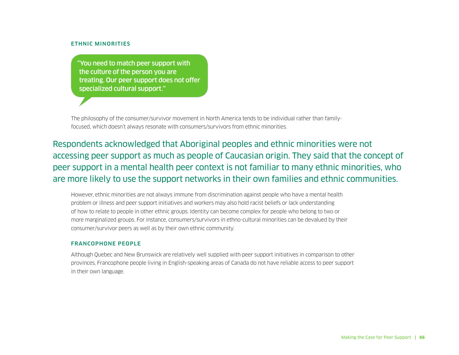#### ETHNIC MINORITIES

"You need to match peer support with the culture of the person you are treating. Our peer support does not offer specialized cultural support."

The philosophy of the consumer/survivor movement in North America tends to be individual rather than familyfocused, which doesn't always resonate with consumers/survivors from ethnic minorities.

Respondents acknowledged that Aboriginal peoples and ethnic minorities were not accessing peer support as much as people of Caucasian origin. They said that the concept of peer support in a mental health peer context is not familiar to many ethnic minorities, who are more likely to use the support networks in their own families and ethnic communities.

However, ethnic minorities are not always immune from discrimination against people who have a mental health problem or illness and peer support initiatives and workers may also hold racist beliefs or lack understanding of how to relate to people in other ethnic groups. Identity can become complex for people who belong to two or more marginalized groups. For instance, consumers/survivors in ethno-cultural minorities can be devalued by their consumer/survivor peers as well as by their own ethnic community.

#### FRANCOPHONE PEOPLE

Although Quebec and New Brunswick are relatively well supplied with peer support initiatives in comparison to other provinces, Francophone people living in English-speaking areas of Canada do not have reliable access to peer support in their own language.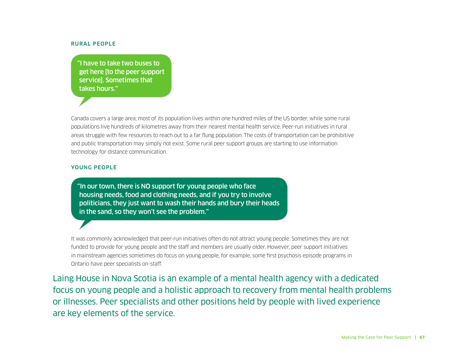#### RURAL PEOPLE

"I have to take two buses to get here [to the peer support service]. Sometimes that takes hours."

Canada covers a large area; most of its population lives within one hundred miles of the US border, while some rural populations live hundreds of kilometres away from their nearest mental health service. Peer-run initiatives in rural areas struggle with few resources to reach out to a far flung population. The costs of transportation can be prohibitive and public transportation may simply not exist. Some rural peer support groups are starting to use information technology for distance communication.

#### YOUNG PEOPLE

"In our town, there is NO support for young people who face housing needs, food and clothing needs, and if you try to involve politicians, they just want to wash their hands and bury their heads in the sand, so they won't see the problem."

It was commonly acknowledged that peer-run initiatives often do not attract young people. Sometimes they are not funded to provide for young people and the staff and members are usually older. However, peer support initiatives in mainstream agencies sometimes do focus on young people, for example, some first psychosis episode programs in Ontario have peer specialists on-staff.

Laing House in Nova Scotia is an example of a mental health agency with a dedicated focus on young people and a holistic approach to recovery from mental health problems or illnesses. Peer specialists and other positions held by people with lived experience are key elements of the service.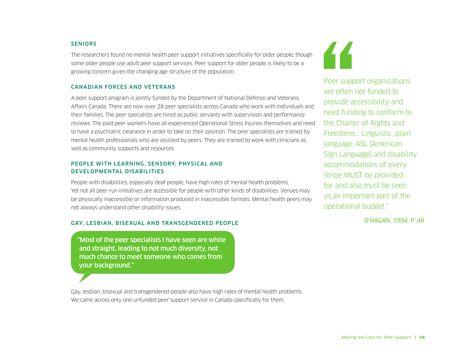#### **SENIORS**

The researchers found no mental health peer support initiatives specifically for older people, though some older people use adult peer support services. Peer support for older people is likely to be a growing concern given the changing age structure of the population.

#### CANADIAN FORCES AND VETERANS

A peer support program is jointly funded by the Department of National Defence and Veterans Affairs Canada. There are now over 28 peer specialists across Canada who work with individuals and their families. The peer specialists are hired as public servants with supervision and performance reviews. The paid peer workers have all experienced Operational Stress Injuries themselves and need to have a psychiatric clearance in order to take on their position. The peer specialists are trained by mental health professionals who are assisted by peers. They are trained to work with clinicians as well as community supports and resources.

#### PEOPLE WITH LEARNING, SENSORY, PHYSICAL AND DEVELOPMENTAL DISABILITIES

People with disabilities, especially deaf people, have high rates of mental health problems. Yet not all peer-run initiatives are accessible for people with other kinds of disabilities. Venues may be physically inaccessible or information produced in inaccessible formats. Mental health peers may not always understand other disability issues.

#### GAY, LESBIAN, BISEXUAL AND TRANSGENDERED PEOPLE

"Most of the peer specialists I have seen are white and straight, leading to not much diversity, not much chance to meet someone who comes from your background."

Gay, lesbian, bisexual and transgendered people also have high rates of mental health problems. We came across only one unfunded peer support service in Canada specifically for them.



Peer support organizations are often not funded to provide accessibility and need funding to conform to the Charter of Rights and Freedoms… Linguistic, plain language, ASL [American Sign Language] and disability accommodations of every stripe MUST be provided for and also must be seen as an important part of the operational budget."

*O'HAGAN, 1994, P. 48*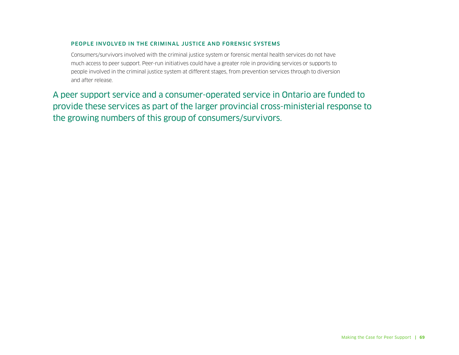#### PEOPLE INVOLVED IN THE CRIMINAL JUSTICE AND FORENSIC SYSTEMS

Consumers/survivors involved with the criminal justice system or forensic mental health services do not have much access to peer support. Peer-run initiatives could have a greater role in providing services or supports to people involved in the criminal justice system at different stages, from prevention services through to diversion and after release.

A peer support service and a consumer-operated service in Ontario are funded to provide these services as part of the larger provincial cross-ministerial response to the growing numbers of this group of consumers/survivors.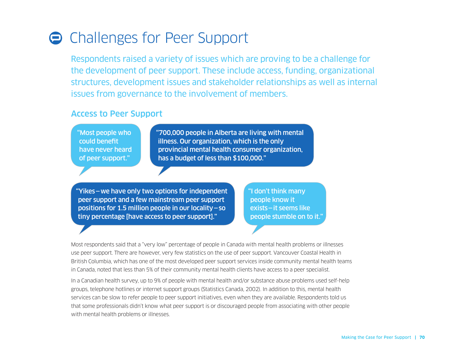## **Challenges for Peer Support**

Respondents raised a variety of issues which are proving to be a challenge for the development of peer support. These include access, funding, organizational structures, development issues and stakeholder relationships as well as internal issues from governance to the involvement of members.

### Access to Peer Support

"Most people who could benefit have never heard of peer support."

"700,000 people in Alberta are living with mental illness. Our organization, which is the only provincial mental health consumer organization, has a budget of less than \$100,000."

"Yikes—we have only two options for independent peer support and a few mainstream peer support positions for 1.5 million people in our locality—so tiny percentage [have access to peer support]."

"I don't think many people know it exists—it seems like people stumble on to it."

Most respondents said that a "very low" percentage of people in Canada with mental health problems or illnesses use peer support. There are however, very few statistics on the use of peer support. Vancouver Coastal Health in British Columbia, which has one of the most developed peer support services inside community mental health teams in Canada, noted that less than 5% of their community mental health clients have access to a peer specialist.

In a Canadian health survey, up to 9% of people with mental health and/or substance abuse problems used self-help groups, telephone hotlines or internet support groups (Statistics Canada, 2002). In addition to this, mental health services can be slow to refer people to peer support initiatives, even when they are available. Respondents told us that some professionals didn't know what peer support is or discouraged people from associating with other people with mental health problems or illnesses.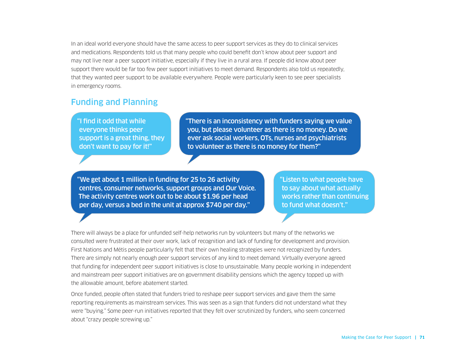In an ideal world everyone should have the same access to peer support services as they do to clinical services and medications. Respondents told us that many people who could benefit don't know about peer support and may not live near a peer support initiative, especially if they live in a rural area. If people did know about peer support there would be far too few peer support initiatives to meet demand. Respondents also told us repeatedly, that they wanted peer support to be available everywhere. People were particularly keen to see peer specialists in emergency rooms.

### Funding and Planning

"I find it odd that while everyone thinks peer support is a great thing, they don't want to pay for it!"

"There is an inconsistency with funders saying we value you, but please volunteer as there is no money. Do we ever ask social workers, OTs, nurses and psychiatrists to volunteer as there is no money for them?"

"We get about 1 million in funding for 25 to 26 activity centres, consumer networks, support groups and Our Voice. The activity centres work out to be about \$1.96 per head per day, versus a bed in the unit at approx \$740 per day."

"Listen to what people have to say about what actually works rather than continuing to fund what doesn't."

There will always be a place for unfunded self-help networks run by volunteers but many of the networks we consulted were frustrated at their over work, lack of recognition and lack of funding for development and provision. First Nations and Métis people particularly felt that their own healing strategies were not recognized by funders. There are simply not nearly enough peer support services of any kind to meet demand. Virtually everyone agreed that funding for independent peer support initiatives is close to unsustainable. Many people working in independent and mainstream peer support initiatives are on government disability pensions which the agency topped up with the allowable amount, before abatement started.

Once funded, people often stated that funders tried to reshape peer support services and gave them the same reporting requirements as mainstream services. This was seen as a sign that funders did not understand what they were "buying." Some peer-run initiatives reported that they felt over scrutinized by funders, who seem concerned about "crazy people screwing up."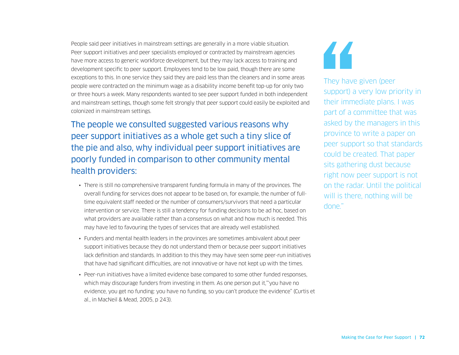People said peer initiatives in mainstream settings are generally in a more viable situation. Peer support initiatives and peer specialists employed or contracted by mainstream agencies have more access to generic workforce development, but they may lack access to training and development specific to peer support. Employees tend to be low paid, though there are some exceptions to this. In one service they said they are paid less than the cleaners and in some areas people were contracted on the minimum wage as a disability income benefit top-up for only two or three hours a week. Many respondents wanted to see peer support funded in both independent and mainstream settings, though some felt strongly that peer support could easily be exploited and colonized in mainstream settings.

The people we consulted suggested various reasons why peer support initiatives as a whole get such a tiny slice of the pie and also, why individual peer support initiatives are poorly funded in comparison to other community mental health providers:

- There is still no comprehensive transparent funding formula in many of the provinces. The overall funding for services does not appear to be based on, for example, the number of fulltime equivalent staff needed or the number of consumers/survivors that need a particular intervention or service. There is still a tendency for funding decisions to be ad hoc, based on what providers are available rather than a consensus on what and how much is needed. This may have led to favouring the types of services that are already well established.
- Funders and mental health leaders in the provinces are sometimes ambivalent about peer support initiatives because they do not understand them or because peer support initiatives lack definition and standards. In addition to this they may have seen some peer-run initiatives that have had significant difficulties, are not innovative or have not kept up with the times.
- Peer-run initiatives have a limited evidence base compared to some other funded responses, which may discourage funders from investing in them. As one person put it,"'you have no evidence, you get no funding: you have no funding, so you can't produce the evidence" (Curtis et al., in MacNeil & Mead, 2005, p 243).



They have given (peer support) a very low priority in their immediate plans. I was part of a committee that was asked by the managers in this province to write a paper on peer support so that standards could be created. That paper sits gathering dust because right now peer support is not on the radar. Until the political will is there, nothing will be done."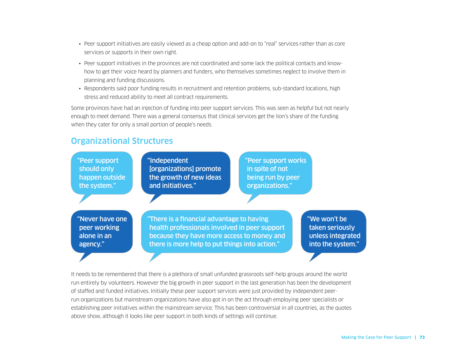- Peer support initiatives are easily viewed as a cheap option and add-on to "real" services rather than as core services or supports in their own right.
- Peer support initiatives in the provinces are not coordinated and some lack the political contacts and knowhow to get their voice heard by planners and funders, who themselves sometimes neglect to involve them in planning and funding discussions.
- Respondents said poor funding results in recruitment and retention problems, sub-standard locations, high stress and reduced ability to meet all contract requirements.

Some provinces have had an injection of funding into peer support services. This was seen as helpful but not nearly enough to meet demand. There was a general consensus that clinical services get the lion's share of the funding when they cater for only a small portion of people's needs.

## Organizational Structures



It needs to be remembered that there is a plethora of small unfunded grassroots self-help groups around the world run entirely by volunteers. However the big growth in peer support in the last generation has been the development of staffed and funded initiatives. Initially these peer support services were just provided by independent peerrun organizations but mainstream organizations have also got in on the act through employing peer specialists or establishing peer initiatives within the mainstream service. This has been controversial in all countries, as the quotes above show, although it looks like peer support in both kinds of settings will continue.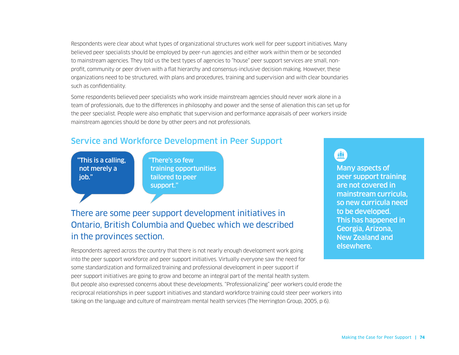Respondents were clear about what types of organizational structures work well for peer support initiatives. Many believed peer specialists should be employed by peer-run agencies and either work within them or be seconded to mainstream agencies. They told us the best types of agencies to "house" peer support services are small, nonprofit, community or peer driven with a flat hierarchy and consensus-inclusive decision making. However, these organizations need to be structured, with plans and procedures, training and supervision and with clear boundaries such as confidentiality.

Some respondents believed peer specialists who work inside mainstream agencies should never work alone in a team of professionals, due to the differences in philosophy and power and the sense of alienation this can set up for the peer specialist. People were also emphatic that supervision and performance appraisals of peer workers inside mainstream agencies should be done by other peers and not professionals.

## Service and Workforce Development in Peer Support

"This is a calling, not merely a iob."

"There's so few training opportunities tailored to peer support."

## There are some peer support development initiatives in Ontario, British Columbia and Quebec which we described in the provinces section.

Respondents agreed across the country that there is not nearly enough development work going into the peer support workforce and peer support initiatives. Virtually everyone saw the need for some standardization and formalized training and professional development in peer support if peer support initiatives are going to grow and become an integral part of the mental health system. But people also expressed concerns about these developments. "Professionalizing" peer workers could erode the reciprocal relationships in peer support initiatives and standard workforce training could steer peer workers into taking on the language and culture of mainstream mental health services (The Herrington Group, 2005, p 6).

û

Many aspects of peer support training are not covered in mainstream curricula, so new curricula need to be developed. This has happened in Georgia, Arizona, New Zealand and elsewhere.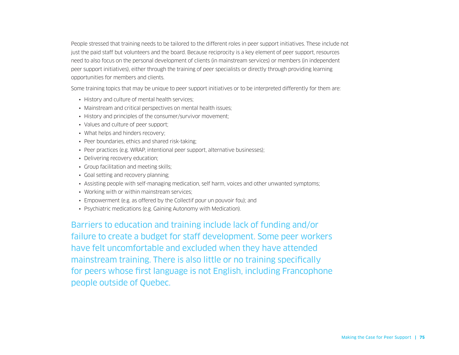People stressed that training needs to be tailored to the different roles in peer support initiatives. These include not just the paid staff but volunteers and the board. Because reciprocity is a key element of peer support, resources need to also focus on the personal development of clients (in mainstream services) or members (in independent peer support initiatives), either through the training of peer specialists or directly through providing learning opportunities for members and clients.

Some training topics that may be unique to peer support initiatives or to be interpreted differently for them are:

- History and culture of mental health services;
- Mainstream and critical perspectives on mental health issues;
- History and principles of the consumer/survivor movement;
- Values and culture of peer support;
- What helps and hinders recovery;
- Peer boundaries, ethics and shared risk-taking;
- Peer practices (e.g. WRAP, intentional peer support, alternative businesses);
- Delivering recovery education;
- Group facilitation and meeting skills;
- Goal setting and recovery planning;
- Assisting people with self-managing medication, self harm, voices and other unwanted symptoms;
- Working with or within mainstream services;
- Empowerment (e.g. as offered by the Collectif pour un pouvoir fou); and
- Psychiatric medications (e.g. Gaining Autonomy with Medication).

Barriers to education and training include lack of funding and/or failure to create a budget for staff development. Some peer workers have felt uncomfortable and excluded when they have attended mainstream training. There is also little or no training specifically for peers whose first language is not English, including Francophone people outside of Quebec.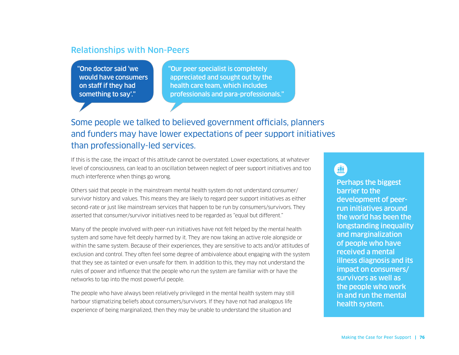### Relationships with Non-Peers

"One doctor said 'we would have consumers on staff if they had something to say'."

"Our peer specialist is completely appreciated and sought out by the health care team, which includes professionals and para-professionals."

## Some people we talked to believed government officials, planners and funders may have lower expectations of peer support initiatives than professionally-led services.

If this is the case, the impact of this attitude cannot be overstated. Lower expectations, at whatever level of consciousness, can lead to an oscillation between neglect of peer support initiatives and too much interference when things go wrong.

Others said that people in the mainstream mental health system do not understand consumer/ survivor history and values. This means they are likely to regard peer support initiatives as either second-rate or just like mainstream services that happen to be run by consumers/survivors. They asserted that consumer/survivor initiatives need to be regarded as "equal but different."

Many of the people involved with peer-run initiatives have not felt helped by the mental health system and some have felt deeply harmed by it. They are now taking an active role alongside or within the same system. Because of their experiences, they are sensitive to acts and/or attitudes of exclusion and control. They often feel some degree of ambivalence about engaging with the system that they see as tainted or even unsafe for them. In addition to this, they may not understand the rules of power and influence that the people who run the system are familiar with or have the networks to tap into the most powerful people.

The people who have always been relatively privileged in the mental health system may still harbour stigmatizing beliefs about consumers/survivors. If they have not had analogous life experience of being marginalized, then they may be unable to understand the situation and

## **il**

Perhaps the biggest barrier to the development of peerrun initiatives around the world has been the longstanding inequality and marginalization of people who have received a mental illness diagnosis and its impact on consumers/ survivors as well as the people who work in and run the mental health system.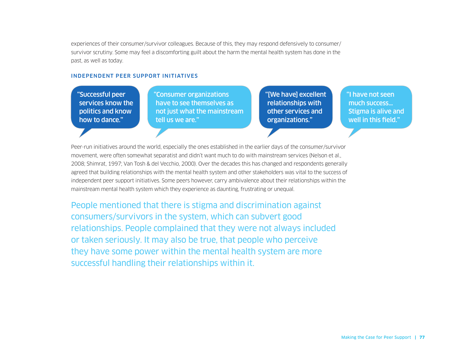experiences of their consumer/survivor colleagues. Because of this, they may respond defensively to consumer/ survivor scrutiny. Some may feel a discomforting guilt about the harm the mental health system has done in the past, as well as today.

#### INDEPENDENT PEER SUPPORT INITIATIVES

"Successful peer services know the politics and know how to dance."

"Consumer organizations have to see themselves as not just what the mainstream tell us we are."

"[We have] excellent relationships with other services and organizations."

"I have not seen much success… Stigma is alive and well in this field."

Peer-run initiatives around the world, especially the ones established in the earlier days of the consumer/survivor movement, were often somewhat separatist and didn't want much to do with mainstream services (Nelson et al., 2008; Shimrat, 1997; Van Tosh & del Vecchio, 2000). Over the decades this has changed and respondents generally agreed that building relationships with the mental health system and other stakeholders was vital to the success of independent peer support initiatives. Some peers however, carry ambivalence about their relationships within the mainstream mental health system which they experience as daunting, frustrating or unequal.

People mentioned that there is stigma and discrimination against consumers/survivors in the system, which can subvert good relationships. People complained that they were not always included or taken seriously. It may also be true, that people who perceive they have some power within the mental health system are more successful handling their relationships within it.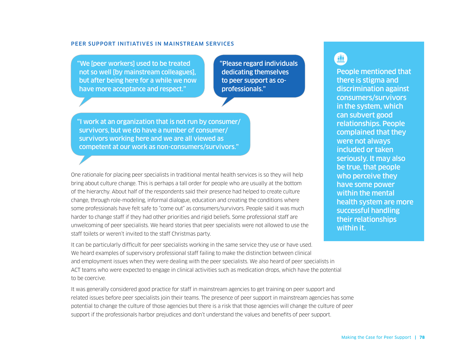#### PEER SUPPORT INITIATIVES IN MAINSTREAM SERVICES

"We [peer workers] used to be treated not so well [by mainstream colleagues], but after being here for a while we now have more acceptance and respect."

"Please regard individuals dedicating themselves to peer support as coprofessionals."

"I work at an organization that is not run by consumer/ survivors, but we do have a number of consumer/ survivors working here and we are all viewed as competent at our work as non-consumers/survivors."

One rationale for placing peer specialists in traditional mental health services is so they will help bring about culture change. This is perhaps a tall order for people who are usually at the bottom of the hierarchy. About half of the respondents said their presence had helped to create culture change, through role-modeling, informal dialogue, education and creating the conditions where some professionals have felt safe to "come out" as consumers/survivors. People said it was much harder to change staff if they had other priorities and rigid beliefs. Some professional staff are unwelcoming of peer specialists. We heard stories that peer specialists were not allowed to use the staff toilets or weren't invited to the staff Christmas party.

It can be particularly difficult for peer specialists working in the same service they use or have used. We heard examples of supervisory professional staff failing to make the distinction between clinical and employment issues when they were dealing with the peer specialists. We also heard of peer specialists in ACT teams who were expected to engage in clinical activities such as medication drops, which have the potential to be coercive.

It was generally considered good practice for staff in mainstream agencies to get training on peer support and related issues before peer specialists join their teams. The presence of peer support in mainstream agencies has some potential to change the culture of those agencies but there is a risk that those agencies will change the culture of peer support if the professionals harbor prejudices and don't understand the values and benefits of peer support.

## ii

People mentioned that there is stigma and discrimination against consumers/survivors in the system, which can subvert good relationships. People complained that they were not always included or taken seriously. It may also be true, that people who perceive they have some power within the mental health system are more successful handling their relationships within it.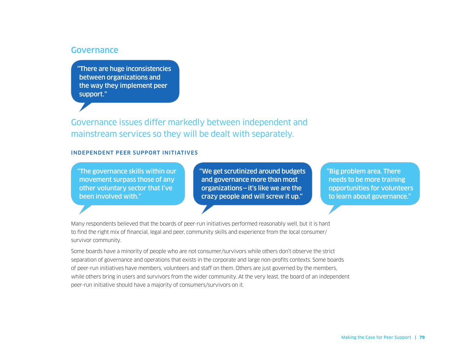#### **Governance**

"There are huge inconsistencies between organizations and the way they implement peer support."

Governance issues differ markedly between independent and mainstream services so they will be dealt with separately.

#### INDEPENDENT PEER SUPPORT INITIATIVES

"The governance skills within our movement surpass those of any other voluntary sector that I've been involved with."

"We get scrutinized around budgets and governance more than most organizations—it's like we are the crazy people and will screw it up."

"Big problem area. There needs to be more training opportunities for volunteers to learn about governance."

Many respondents believed that the boards of peer-run initiatives performed reasonably well, but it is hard to find the right mix of financial, legal and peer, community skills and experience from the local consumer/ survivor community.

Some boards have a minority of people who are not consumer/survivors while others don't observe the strict separation of governance and operations that exists in the corporate and large non-profits contexts. Some boards of peer-run initiatives have members, volunteers and staff on them. Others are just governed by the members, while others bring in users and survivors from the wider community. At the very least, the board of an independent peer-run initiative should have a majority of consumers/survivors on it.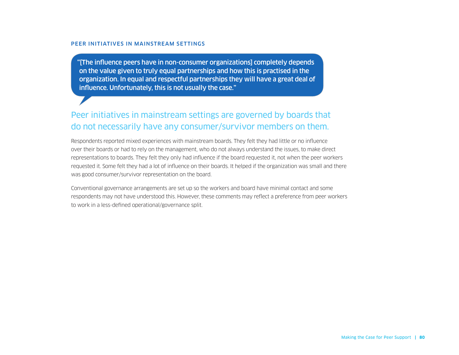#### PEER INITIATIVES IN MAINSTREAM SETTINGS

"[The influence peers have in non-consumer organizations] completely depends on the value given to truly equal partnerships and how this is practised in the organization. In equal and respectful partnerships they will have a great deal of influence. Unfortunately, this is not usually the case."

## Peer initiatives in mainstream settings are governed by boards that do not necessarily have any consumer/survivor members on them.

Respondents reported mixed experiences with mainstream boards. They felt they had little or no influence over their boards or had to rely on the management, who do not always understand the issues, to make direct representations to boards. They felt they only had influence if the board requested it, not when the peer workers requested it. Some felt they had a lot of influence on their boards. It helped if the organization was small and there was good consumer/survivor representation on the board.

Conventional governance arrangements are set up so the workers and board have minimal contact and some respondents may not have understood this. However, these comments may reflect a preference from peer workers to work in a less-defined operational/governance split.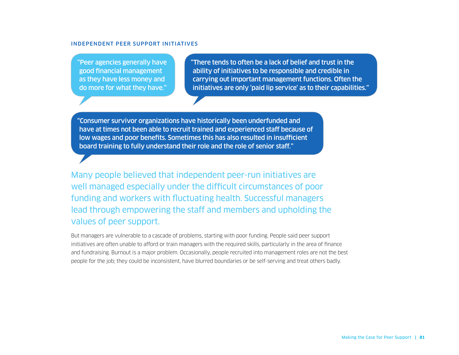#### INDEPENDENT PEER SUPPORT INITIATIVES

"Peer agencies generally have good financial management as they have less money and do more for what they have."

"There tends to often be a lack of belief and trust in the ability of initiatives to be responsible and credible in carrying out important management functions. Often the initiatives are only 'paid lip service' as to their capabilities."

"Consumer survivor organizations have historically been underfunded and have at times not been able to recruit trained and experienced staff because of low wages and poor benefits. Sometimes this has also resulted in insufficient board training to fully understand their role and the role of senior staff."

Many people believed that independent peer-run initiatives are well managed especially under the difficult circumstances of poor funding and workers with fluctuating health. Successful managers lead through empowering the staff and members and upholding the values of peer support.

But managers are vulnerable to a cascade of problems, starting with poor funding. People said peer support initiatives are often unable to afford or train managers with the required skills, particularly in the area of finance and fundraising. Burnout is a major problem. Occasionally, people recruited into management roles are not the best people for the job; they could be inconsistent, have blurred boundaries or be self-serving and treat others badly.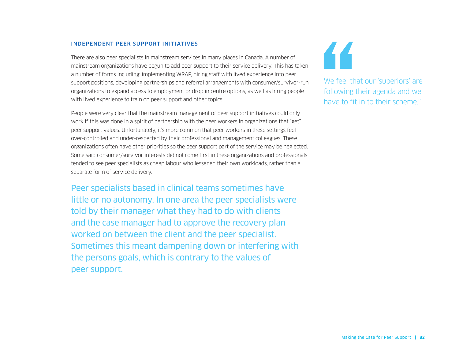#### INDEPENDENT PEER SUPPORT INITIATIVES

There are also peer specialists in mainstream services in many places in Canada. A number of mainstream organizations have begun to add peer support to their service delivery. This has taken a number of forms including: implementing WRAP, hiring staff with lived experience into peer support positions, developing partnerships and referral arrangements with consumer/survivor-run organizations to expand access to employment or drop in centre options, as well as hiring people with lived experience to train on peer support and other topics.

People were very clear that the mainstream management of peer support initiatives could only work if this was done in a spirit of partnership with the peer workers in organizations that "get" peer support values. Unfortunately, it's more common that peer workers in these settings feel over-controlled and under-respected by their professional and management colleagues. These organizations often have other priorities so the peer support part of the service may be neglected. Some said consumer/survivor interests did not come first in these organizations and professionals tended to see peer specialists as cheap labour who lessened their own workloads, rather than a separate form of service delivery.

Peer specialists based in clinical teams sometimes have little or no autonomy. In one area the peer specialists were told by their manager what they had to do with clients and the case manager had to approve the recovery plan worked on between the client and the peer specialist. Sometimes this meant dampening down or interfering with the persons goals, which is contrary to the values of peer support.



We feel that our 'superiors' are following their agenda and we have to fit in to their scheme."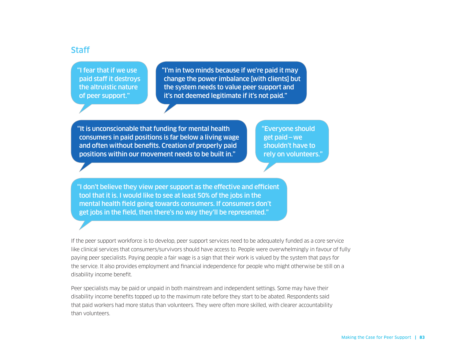### **Staff**

"I fear that if we use paid staff it destroys the altruistic nature of peer support."

"I'm in two minds because if we're paid it may change the power imbalance [with clients] but the system needs to value peer support and it's not deemed legitimate if it's not paid."

"It is unconscionable that funding for mental health consumers in paid positions is far below a living wage and often without benefits. Creation of properly paid positions within our movement needs to be built in."

"Everyone should get paid—we shouldn't have to rely on volunteers."

"I don't believe they view peer support as the effective and efficient tool that it is. I would like to see at least 50% of the jobs in the mental health field going towards consumers. If consumers don't get jobs in the field, then there's no way they'll be represented."

If the peer support workforce is to develop, peer support services need to be adequately funded as a core service like clinical services that consumers/survivors should have access to. People were overwhelmingly in favour of fully paying peer specialists. Paying people a fair wage is a sign that their work is valued by the system that pays for the service. It also provides employment and financial independence for people who might otherwise be still on a disability income benefit.

Peer specialists may be paid or unpaid in both mainstream and independent settings. Some may have their disability income benefits topped up to the maximum rate before they start to be abated. Respondents said that paid workers had more status than volunteers. They were often more skilled, with clearer accountability than volunteers.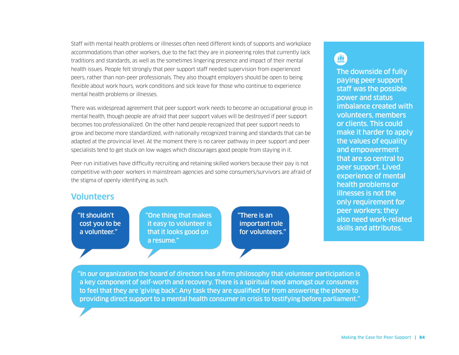Staff with mental health problems or illnesses often need different kinds of supports and workplace accommodations than other workers, due to the fact they are in pioneering roles that currently lack traditions and standards, as well as the sometimes lingering presence and impact of their mental health issues. People felt strongly that peer support staff needed supervision from experienced peers, rather than non-peer professionals. They also thought employers should be open to being flexible about work hours, work conditions and sick leave for those who continue to experience mental health problems or illnesses.

There was widespread agreement that peer support work needs to become an occupational group in mental health, though people are afraid that peer support values will be destroyed if peer support becomes too professionalized. On the other hand people recognized that peer support needs to grow and become more standardized, with nationally recognized training and standards that can be adapted at the provincial level. At the moment there is no career pathway in peer support and peer specialists tend to get stuck on low wages which discourages good people from staying in it.

Peer-run initiatives have difficulty recruiting and retaining skilled workers because their pay is not competitive with peer workers in mainstream agencies and some consumers/survivors are afraid of the stigma of openly identifying as such.

### Volunteers

"It shouldn't cost you to be a volunteer."

"One thing that makes it easy to volunteer is that it looks good on a resume."

"There is an important role for volunteers."

## 亜

The downside of fully paying peer support staff was the possible power and status imbalance created with volunteers, members or clients. This could make it harder to apply the values of equality and empowerment that are so central to peer support. Lived experience of mental health problems or illnesses is not the only requirement for peer workers; they also need work-related skills and attributes.

"In our organization the board of directors has a firm philosophy that volunteer participation is a key component of self-worth and recovery. There is a spiritual need amongst our consumers to feel that they are 'giving back'. Any task they are qualified for from answering the phone to providing direct support to a mental health consumer in crisis to testifying before parliament."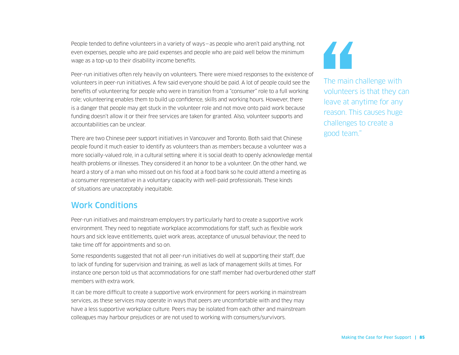People tended to define volunteers in a variety of ways—as people who aren't paid anything, not even expenses, people who are paid expenses and people who are paid well below the minimum wage as a top-up to their disability income benefits.

Peer-run initiatives often rely heavily on volunteers. There were mixed responses to the existence of volunteers in peer-run initiatives. A few said everyone should be paid. A lot of people could see the benefits of volunteering for people who were in transition from a "consumer" role to a full working role; volunteering enables them to build up confidence, skills and working hours. However, there is a danger that people may get stuck in the volunteer role and not move onto paid work because funding doesn't allow it or their free services are taken for granted. Also, volunteer supports and accountabilities can be unclear.

There are two Chinese peer support initiatives in Vancouver and Toronto. Both said that Chinese people found it much easier to identify as volunteers than as members because a volunteer was a more socially-valued role, in a cultural setting where it is social death to openly acknowledge mental health problems or illnesses. They considered it an honor to be a volunteer. On the other hand, we heard a story of a man who missed out on his food at a food bank so he could attend a meeting as a consumer representative in a voluntary capacity with well-paid professionals. These kinds of situations are unacceptably inequitable.

## Work Conditions

Peer-run initiatives and mainstream employers try particularly hard to create a supportive work environment. They need to negotiate workplace accommodations for staff, such as flexible work hours and sick leave entitlements, quiet work areas, acceptance of unusual behaviour, the need to take time off for appointments and so on.

Some respondents suggested that not all peer-run initiatives do well at supporting their staff, due to lack of funding for supervision and training, as well as lack of management skills at times. For instance one person told us that accommodations for one staff member had overburdened other staff members with extra work.

It can be more difficult to create a supportive work environment for peers working in mainstream services, as these services may operate in ways that peers are uncomfortable with and they may have a less supportive workplace culture. Peers may be isolated from each other and mainstream colleagues may harbour prejudices or are not used to working with consumers/survivors.



The main challenge with volunteers is that they can leave at anytime for any reason. This causes huge challenges to create a good team."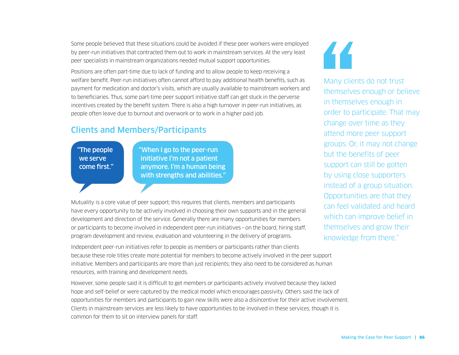Some people believed that these situations could be avoided if these peer workers were employed by peer-run initiatives that contracted them out to work in mainstream services. At the very least peer specialists in mainstream organizations needed mutual support opportunities.

Positions are often part-time due to lack of funding and to allow people to keep receiving a welfare benefit. Peer-run initiatives often cannot afford to pay additional health benefits, such as payment for medication and doctor's visits, which are usually available to mainstream workers and to beneficiaries. Thus, some part-time peer support initiative staff can get stuck in the perverse incentives created by the benefit system. There is also a high turnover in peer-run initiatives, as people often leave due to burnout and overwork or to work in a higher paid job.

## Clients and Members/Participants

"The people we serve come first." "When I go to the peer-run initiative I'm not a patient anymore. I'm a human being with strengths and abilities."

Mutuality is a core value of peer support; this requires that clients, members and participants have every opportunity to be actively involved in choosing their own supports and in the general development and direction of the service. Generally there are many opportunities for members or participants to become involved in independent peer-run initiatives—on the board, hiring staff, program development and review, evaluation and volunteering in the delivery of programs.

Independent peer-run initiatives refer to people as members or participants rather than clients because these role titles create more potential for members to become actively involved in the peer support initiative. Members and participants are more than just recipients; they also need to be considered as human resources, with training and development needs.

However, some people said it is difficult to get members or participants actively involved because they lacked hope and self-belief or were captured by the medical model which encourages passivity. Others said the lack of opportunities for members and participants to gain new skills were also a disincentive for their active involvement. Clients in mainstream services are less likely to have opportunities to be involved in these services, though it is common for them to sit on interview panels for staff.



Many clients do not trust themselves enough or believe in themselves enough in order to participate. That may change over time as they attend more peer support groups. Or, it may not change but the benefits of peer support can still be gotten by using close supporters instead of a group situation. Opportunities are that they can feel validated and heard which can improve belief in themselves and grow their knowledge from there."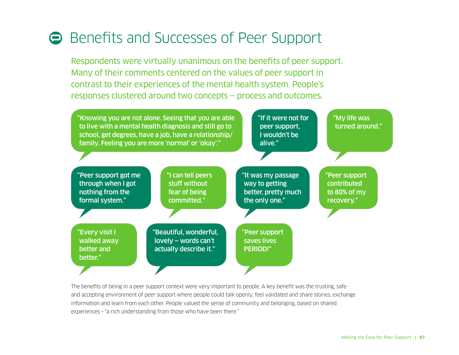# **Benefits and Successes of Peer Support**

Respondents were virtually unanimous on the benefits of peer support. Many of their comments centered on the values of peer support in contrast to their experiences of the mental health system. People's responses clustered around two concepts — process and outcomes.



The benefits of being in a peer support context were very important to people. A key benefit was the trusting, safe and accepting environment of peer support where people could talk openly, feel validated and share stories, exchange information and learn from each other. People valued the sense of community and belonging, based on shared experiences—"a rich understanding from those who have been there."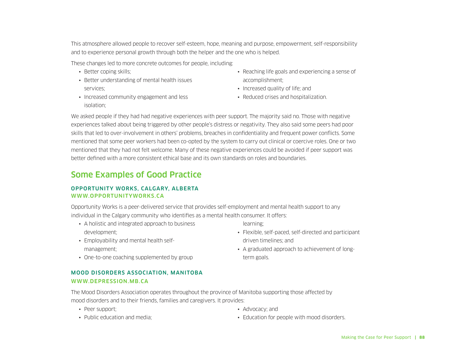This atmosphere allowed people to recover self-esteem, hope, meaning and purpose, empowerment, self-responsibility and to experience personal growth through both the helper and the one who is helped.

These changes led to more concrete outcomes for people, including:

- Better coping skills;
- Better understanding of mental health issues services;
- Increased community engagement and less isolation;
- Reaching life goals and experiencing a sense of accomplishment;
- Increased quality of life; and
- Reduced crises and hospitalization.

We asked people if they had had negative experiences with peer support. The majority said no. Those with negative experiences talked about being triggered by other people's distress or negativity. They also said some peers had poor skills that led to over-involvement in others' problems, breaches in confidentiality and frequent power conflicts. Some mentioned that some peer workers had been co-opted by the system to carry out clinical or coercive roles. One or two mentioned that they had not felt welcome. Many of these negative experiences could be avoided if peer support was better defined with a more consistent ethical base and its own standards on roles and boundaries.

## Some Examples of Good Practice

#### OPPORTUNITY WORKS, CALGARY, ALBERTA WWW.OPPORTUNITYWORKS.CA

Opportunity Works is a peer-delivered service that provides self-employment and mental health support to any individual in the Calgary community who identifies as a mental health consumer. It offers:

- A holistic and integrated approach to business development;
- Employability and mental health selfmanagement;
- learning;
- Flexible, self-paced, self-directed and participant driven timelines; and
- A graduated approach to achievement of longterm goals.

• One-to-one coaching supplemented by group

#### MOOD DISORDERS ASSOCIATION, MANITOBA WWW.DEPRESSION.MB.CA

The Mood Disorders Association operates throughout the province of Manitoba supporting those affected by mood disorders and to their friends, families and caregivers. It provides:

- Peer support;
- Public education and media;

• Advocacy; and

• Education for people with mood disorders.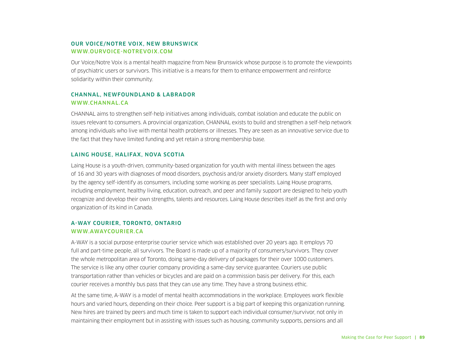#### OUR VOICE/NOTRE VOIX, NEW BRUNSWICK WWW.OURVOICE-NOTREVOIX.COM

Our Voice/Notre Voix is a mental health magazine from New Brunswick whose purpose is to promote the viewpoints of psychiatric users or survivors. This initiative is a means for them to enhance empowerment and reinforce solidarity within their community.

#### CHANNAL, NEWFOUNDLAND & LABRADOR WWW.CHANNAL.CA

CHANNAL aims to strengthen self-help initiatives among individuals, combat isolation and educate the public on issues relevant to consumers. A provincial organization, CHANNAL exists to build and strengthen a self-help network among individuals who live with mental health problems or illnesses. They are seen as an innovative service due to the fact that they have limited funding and yet retain a strong membership base.

#### LAING HOUSE, HALIFAX, NOVA SCOTIA

Laing House is a youth-driven, community-based organization for youth with mental illness between the ages of 16 and 30 years with diagnoses of mood disorders, psychosis and/or anxiety disorders. Many staff employed by the agency self-identify as consumers, including some working as peer specialists. Laing House programs, including employment, healthy living, education, outreach, and peer and family support are designed to help youth recognize and develop their own strengths, talents and resources. Laing House describes itself as the first and only organization of its kind in Canada.

#### A-WAY COURIER, TORONTO, ONTARIO WWW.AWAYCOURIER.CA

A-WAY is a social purpose enterprise courier service which was established over 20 years ago. It employs 70 full and part-time people, all survivors. The Board is made up of a majority of consumers/survivors. They cover the whole metropolitan area of Toronto, doing same-day delivery of packages for their over 1000 customers. The service is like any other courier company providing a same-day service guarantee. Couriers use public transportation rather than vehicles or bicycles and are paid on a commission basis per delivery. For this, each courier receives a monthly bus pass that they can use any time. They have a strong business ethic.

At the same time, A-WAY is a model of mental health accommodations in the workplace. Employees work flexible hours and varied hours, depending on their choice. Peer support is a big part of keeping this organization running. New hires are trained by peers and much time is taken to support each individual consumer/survivor, not only in maintaining their employment but in assisting with issues such as housing, community supports, pensions and all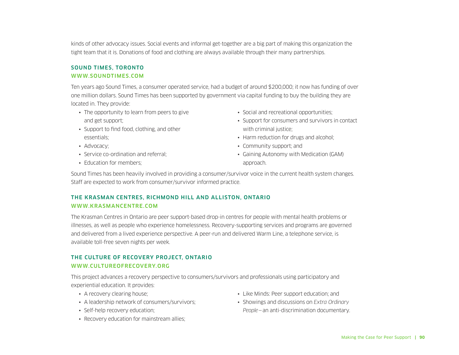kinds of other advocacy issues. Social events and informal get-together are a big part of making this organization the tight team that it is. Donations of food and clothing are always available through their many partnerships.

#### SOUND TIMES, TORONTO WWW.SOUNDTIMES.COM

Ten years ago Sound Times, a consumer operated service, had a budget of around \$200,000; it now has funding of over one million dollars. Sound Times has been supported by government via capital funding to buy the building they are located in. They provide:

- The opportunity to learn from peers to give and get support;
- Support to find food, clothing, and other essentials;
- Advocacy;
- Service co-ordination and referral;
- Education for members:
- Social and recreational opportunities:
- Support for consumers and survivors in contact with criminal justice:
- Harm reduction for drugs and alcohol:
- Community support; and
- Gaining Autonomy with Medication (GAM) approach.

Sound Times has been heavily involved in providing a consumer/survivor voice in the current health system changes. Staff are expected to work from consumer/survivor informed practice.

#### THE KRASMAN CENTRES, RICHMOND HILL AND ALLISTON, ONTARIO WWW.KRASMANCENTRE.COM

The Krasman Centres in Ontario are peer support-based drop-in centres for people with mental health problems or illnesses, as well as people who experience homelessness. Recovery-supporting services and programs are governed and delivered from a lived experience perspective. A peer-run and delivered Warm Line, a telephone service, is available toll-free seven nights per week.

#### THE CULTURE OF RECOVERY PROJECT, ONTARIO WWW.CULTUREOFRECOVERY.ORG

This project advances a recovery perspective to consumers/survivors and professionals using participatory and experiential education. It provides:

- A recovery clearing house;
- A leadership network of consumers/survivors;
- Self-help recovery education;
- Recovery education for mainstream allies;
- Like Minds: Peer support education; and
- Showings and discussions on *Extra Ordinary People*—an anti-discrimination documentary.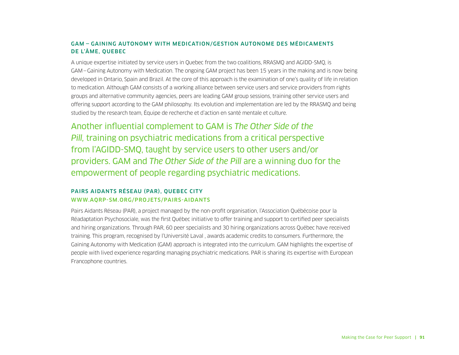#### GAM — GAINING AUTONOMY WITH MEDICATION/GESTION AUTONOME DES MÉDICAMENTS DE L'ÂME, QUEBEC

A unique expertise initiated by service users in Quebec from the two coalitions, RRASMQ and AGIDD-SMQ, is GAM—Gaining Autonomy with Medication. The ongoing GAM project has been 15 years in the making and is now being developed in Ontario, Spain and Brazil. At the core of this approach is the examination of one's quality of life in relation to medication. Although GAM consists of a working alliance between service users and service providers from rights groups and alternative community agencies, peers are leading GAM group sessions, training other service users and offering support according to the GAM philosophy. Its evolution and implementation are led by the RRASMQ and being studied by the research team, Équipe de recherche et d'action en santé mentale et culture.

Another influential complement to GAM is *The Other Side of the Pill,* training on psychiatric medications from a critical perspective from l'AGIDD-SMQ, taught by service users to other users and/or providers. GAM and *The Other Side of the Pill* are a winning duo for the empowerment of people regarding psychiatric medications.

#### PAIRS AIDANTS RÉSEAU (PAR), QUEBEC CITY WWW.AQRP-SM.ORG/PROJETS/PAIRS-AIDANTS

Pairs Aidants Réseau (PAR), a project managed by the non-profit organisation, l'Association Québécoise pour la Réadaptation Psychosociale, was the first Québec initiative to offer training and support to certified peer specialists and hiring organizations. Through PAR, 60 peer specialists and 30 hiring organizations across Québec have received training. This program, recognised by l'Université Laval , awards academic credits to consumers. Furthermore, the Gaining Autonomy with Medication (GAM) approach is integrated into the curriculum. GAM highlights the expertise of people with lived experience regarding managing psychiatric medications. PAR is sharing its expertise with European Francophone countries.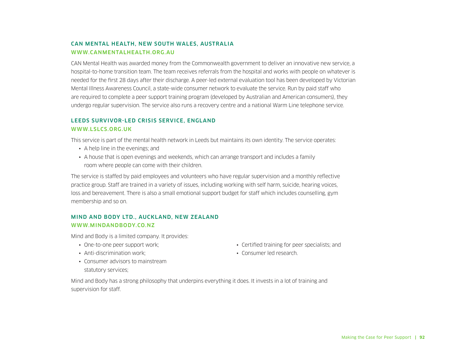#### CAN MENTAL HEALTH, NEW SOUTH WALES, AUSTRALIA WWW.CANMENTALHEALTH.ORG.AU

CAN Mental Health was awarded money from the Commonwealth government to deliver an innovative new service, a hospital-to-home transition team. The team receives referrals from the hospital and works with people on whatever is needed for the first 28 days after their discharge. A peer-led external evaluation tool has been developed by Victorian Mental Illness Awareness Council, a state-wide consumer network to evaluate the service. Run by paid staff who are required to complete a peer support training program (developed by Australian and American consumers), they undergo regular supervision. The service also runs a recovery centre and a national Warm Line telephone service.

#### LEEDS SURVIVOR-LED CRISIS SERVICE, ENGLAND WWW.LSLCS.ORG.UK

This service is part of the mental health network in Leeds but maintains its own identity. The service operates:

- A help line in the evenings; and
- A house that is open evenings and weekends, which can arrange transport and includes a family room where people can come with their children.

The service is staffed by paid employees and volunteers who have regular supervision and a monthly reflective practice group. Staff are trained in a variety of issues, including working with self harm, suicide, hearing voices, loss and bereavement. There is also a small emotional support budget for staff which includes counselling, gym membership and so on.

#### MIND AND BODY LTD., AUCKLAND, NEW ZEALAND WWW.MINDANDBODY.CO.NZ

Mind and Body is a limited company. It provides:

- One-to-one peer support work;
- Anti-discrimination work:
- Consumer advisors to mainstream statutory services;
- Certified training for peer specialists; and
- Consumer led research.

Mind and Body has a strong philosophy that underpins everything it does. It invests in a lot of training and supervision for staff.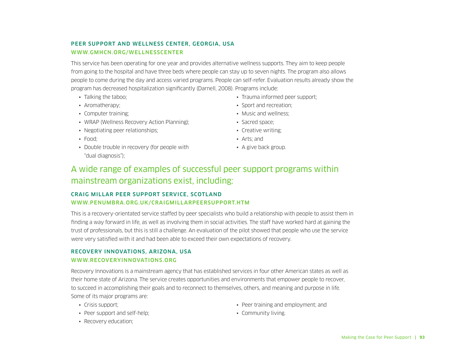#### PEER SUPPORT AND WELLNESS CENTER, GEORGIA, USA WWW.GMHCN.ORG/WELLNESSCENTER

This service has been operating for one year and provides alternative wellness supports. They aim to keep people from going to the hospital and have three beds where people can stay up to seven nights. The program also allows people to come during the day and access varied programs. People can self-refer. Evaluation results already show the program has decreased hospitalization significantly (Darnell, 2008). Programs include:

- Talking the taboo;
- Aromatherapy;
- Computer training;
- WRAP (Wellness Recovery Action Planning);
- Negotiating peer relationships;
- Food;
- Double trouble in recovery (for people with "dual diagnosis");
- Trauma informed peer support;
- Sport and recreation:
- Music and wellness;
- Sacred space;
- Creative writing;
- Arts; and
- A give back group.

## A wide range of examples of successful peer support programs within mainstream organizations exist, including:

#### CRAIG MILLAR PEER SUPPORT SERVICE, SCOTLAND WWW.PENUMBRA.ORG.UK/CRAIGMILLARPEERSUPPORT.HTM

This is a recovery-orientated service staffed by peer specialists who build a relationship with people to assist them in finding a way forward in life, as well as involving them in social activities. The staff have worked hard at gaining the trust of professionals, but this is still a challenge. An evaluation of the pilot showed that people who use the service were very satisfied with it and had been able to exceed their own expectations of recovery.

#### RECOVERY INNOVATIONS, ARIZONA, USA WWW.RECOVERYINNOVATIONS.ORG

Recovery Innovations is a mainstream agency that has established services in four other American states as well as their home state of Arizona. The service creates opportunities and environments that empower people to recover, to succeed in accomplishing their goals and to reconnect to themselves, others, and meaning and purpose in life. Some of its major programs are:

- Crisis support;
- Peer support and self-help;
- Recovery education;
- Peer training and employment; and
- Community living.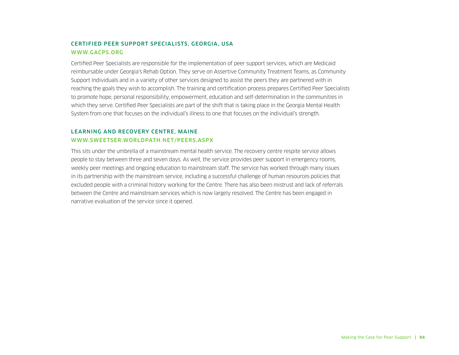#### CERTIFIED PEER SUPPORT SPECIALISTS, GEORGIA, USA WWW.GACPS.ORG

Certified Peer Specialists are responsible for the implementation of peer support services, which are Medicaid reimbursable under Georgia's Rehab Option. They serve on Assertive Community Treatment Teams, as Community Support Individuals and in a variety of other services designed to assist the peers they are partnered with in reaching the goals they wish to accomplish. The training and certification process prepares Certified Peer Specialists to promote hope, personal responsibility, empowerment, education and self-determination in the communities in which they serve. Certified Peer Specialists are part of the shift that is taking place in the Georgia Mental Health System from one that focuses on the individual's illness to one that focuses on the individual's strength.

#### LEARNING AND RECOVERY CENTRE, MAINE WWW.SWEETSER.WORLDPATH.NET/PEERS.ASPX

This sits under the umbrella of a mainstream mental health service. The recovery centre respite service allows people to stay between three and seven days. As well, the service provides peer support in emergency rooms, weekly peer meetings and ongoing education to mainstream staff. The service has worked through many issues in its partnership with the mainstream service, including a successful challenge of human resources policies that excluded people with a criminal history working for the Centre. There has also been mistrust and lack of referrals between the Centre and mainstream services which is now largely resolved. The Centre has been engaged in narrative evaluation of the service since it opened.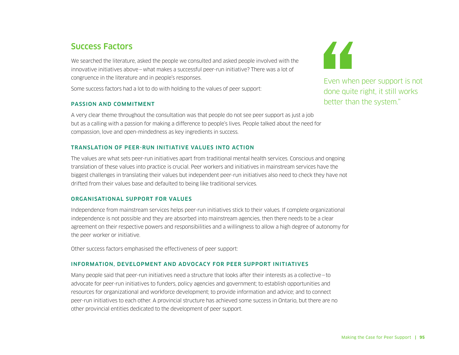## Success Factors

We searched the literature, asked the people we consulted and asked people involved with the innovative initiatives above—what makes a successful peer-run initiative? There was a lot of congruence in the literature and in people's responses.

Some success factors had a lot to do with holding to the values of peer support:

#### PASSION AND COMMITMENT

A very clear theme throughout the consultation was that people do not see peer support as just a job but as a calling with a passion for making a difference to people's lives. People talked about the need for compassion, love and open-mindedness as key ingredients in success.

#### TRANSLATION OF PEER-RUN INITIATIVE VALUES INTO ACTION

The values are what sets peer-run initiatives apart from traditional mental health services. Conscious and ongoing translation of these values into practice is crucial. Peer workers and initiatives in mainstream services have the biggest challenges in translating their values but independent peer-run initiatives also need to check they have not drifted from their values base and defaulted to being like traditional services.

#### ORGANISATIONAL SUPPORT FOR VALUES

Independence from mainstream services helps peer-run initiatives stick to their values. If complete organizational independence is not possible and they are absorbed into mainstream agencies, then there needs to be a clear agreement on their respective powers and responsibilities and a willingness to allow a high degree of autonomy for the peer worker or initiative.

Other success factors emphasised the effectiveness of peer support:

#### INFORMATION, DEVELOPMENT AND ADVOCACY FOR PEER SUPPORT INITIATIVES

Many people said that peer-run initiatives need a structure that looks after their interests as a collective—to advocate for peer-run initiatives to funders, policy agencies and government; to establish opportunities and resources for organizational and workforce development; to provide information and advice; and to connect peer-run initiatives to each other. A provincial structure has achieved some success in Ontario, but there are no other provincial entities dedicated to the development of peer support.



Even when peer support is not done quite right, it still works better than the system."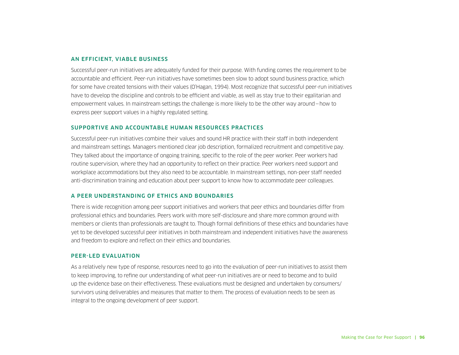#### AN EFFICIENT, VIABLE BUSINESS

Successful peer-run initiatives are adequately funded for their purpose. With funding comes the requirement to be accountable and efficient. Peer-run initiatives have sometimes been slow to adopt sound business practice, which for some have created tensions with their values (O'Hagan, 1994). Most recognize that successful peer-run initiatives have to develop the discipline and controls to be efficient and viable, as well as stay true to their egalitarian and empowerment values. In mainstream settings the challenge is more likely to be the other way around—how to express peer support values in a highly regulated setting.

#### SUPPORTIVE AND ACCOUNTABLE HUMAN RESOURCES PRACTICES

Successful peer-run initiatives combine their values and sound HR practice with their staff in both independent and mainstream settings. Managers mentioned clear job description, formalized recruitment and competitive pay. They talked about the importance of ongoing training, specific to the role of the peer worker. Peer workers had routine supervision, where they had an opportunity to reflect on their practice. Peer workers need support and workplace accommodations but they also need to be accountable. In mainstream settings, non-peer staff needed anti-discrimination training and education about peer support to know how to accommodate peer colleagues.

#### A PEER UNDERSTANDING OF ETHICS AND BOUNDARIES

There is wide recognition among peer support initiatives and workers that peer ethics and boundaries differ from professional ethics and boundaries. Peers work with more self-disclosure and share more common ground with members or clients than professionals are taught to. Though formal definitions of these ethics and boundaries have yet to be developed successful peer initiatives in both mainstream and independent initiatives have the awareness and freedom to explore and reflect on their ethics and boundaries.

#### PEER-LED EVALUATION

As a relatively new type of response, resources need to go into the evaluation of peer-run initiatives to assist them to keep improving, to refine our understanding of what peer-run initiatives are or need to become and to build up the evidence base on their effectiveness. These evaluations must be designed and undertaken by consumers/ survivors using deliverables and measures that matter to them. The process of evaluation needs to be seen as integral to the ongoing development of peer support.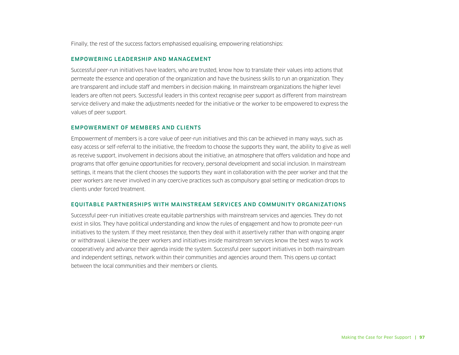Finally, the rest of the success factors emphasised equalising, empowering relationships:

#### EMPOWERING LEADERSHIP AND MANAGEMENT

Successful peer-run initiatives have leaders, who are trusted, know how to translate their values into actions that permeate the essence and operation of the organization and have the business skills to run an organization. They are transparent and include staff and members in decision making. In mainstream organizations the higher level leaders are often not peers. Successful leaders in this context recognise peer support as different from mainstream service delivery and make the adjustments needed for the initiative or the worker to be empowered to express the values of peer support.

#### EMPOWERMENT OF MEMBERS AND CLIENTS

Empowerment of members is a core value of peer-run initiatives and this can be achieved in many ways, such as easy access or self-referral to the initiative, the freedom to choose the supports they want, the ability to give as well as receive support, involvement in decisions about the initiative, an atmosphere that offers validation and hope and programs that offer genuine opportunities for recovery, personal development and social inclusion. In mainstream settings, it means that the client chooses the supports they want in collaboration with the peer worker and that the peer workers are never involved in any coercive practices such as compulsory goal setting or medication drops to clients under forced treatment.

#### EQUITABLE PARTNERSHIPS WITH MAINSTREAM SERVICES AND COMMUNITY ORGANIZATIONS

Successful peer-run initiatives create equitable partnerships with mainstream services and agencies. They do not exist in silos. They have political understanding and know the rules of engagement and how to promote peer-run initiatives to the system. If they meet resistance, then they deal with it assertively rather than with ongoing anger or withdrawal. Likewise the peer workers and initiatives inside mainstream services know the best ways to work cooperatively and advance their agenda inside the system. Successful peer support initiatives in both mainstream and independent settings, network within their communities and agencies around them. This opens up contact between the local communities and their members or clients.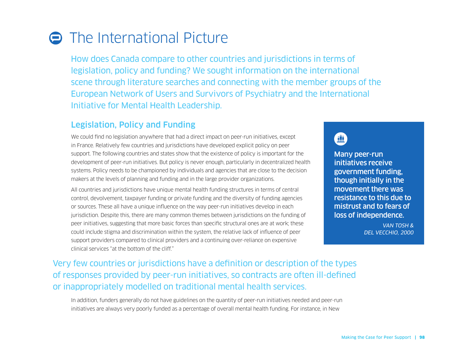# **O** The International Picture

How does Canada compare to other countries and jurisdictions in terms of legislation, policy and funding? We sought information on the international scene through literature searches and connecting with the member groups of the European Network of Users and Survivors of Psychiatry and the International Initiative for Mental Health Leadership.

## Legislation, Policy and Funding

We could find no legislation anywhere that had a direct impact on peer-run initiatives, except in France. Relatively few countries and jurisdictions have developed explicit policy on peer support. The following countries and states show that the existence of policy is important for the development of peer-run initiatives. But policy is never enough, particularly in decentralized health systems. Policy needs to be championed by individuals and agencies that are close to the decision makers at the levels of planning and funding and in the large provider organizations.

All countries and jurisdictions have unique mental health funding structures in terms of central control, devolvement, taxpayer funding or private funding and the diversity of funding agencies or sources. These all have a unique influence on the way peer-run initiatives develop in each jurisdiction. Despite this, there are many common themes between jurisdictions on the funding of peer initiatives, suggesting that more basic forces than specific structural ones are at work; these could include stigma and discrimination within the system, the relative lack of influence of peer support providers compared to clinical providers and a continuing over-reliance on expensive clinical services "at the bottom of the cliff."

## 亜

Many peer-run initiatives receive government funding, though initially in the movement there was resistance to this due to mistrust and to fears of loss of independence.

> *VAN TOSH & DEL VECCHIO, 2000*

Very few countries or jurisdictions have a definition or description of the types of responses provided by peer-run initiatives, so contracts are often ill-defined or inappropriately modelled on traditional mental health services.

In addition, funders generally do not have guidelines on the quantity of peer-run initiatives needed and peer-run initiatives are always very poorly funded as a percentage of overall mental health funding. For instance, in New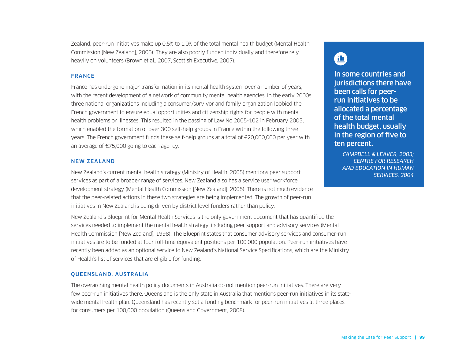Zealand, peer-run initiatives make up 0.5% to 1.0% of the total mental health budget (Mental Health Commission [New Zealand], 2005). They are also poorly funded individually and therefore rely heavily on volunteers (Brown et al., 2007, Scottish Executive, 2007).

#### FRANCE

France has undergone major transformation in its mental health system over a number of years, with the recent development of a network of community mental health agencies. In the early 2000s three national organizations including a consumer/survivor and family organization lobbied the French government to ensure equal opportunities and citizenship rights for people with mental health problems or illnesses. This resulted in the passing of Law No 2005-102 in February 2005, which enabled the formation of over 300 self-help groups in France within the following three years. The French government funds these self-help groups at a total of €20,000,000 per year with an average of €75,000 going to each agency.

#### NEW ZEALAND

New Zealand's current mental health strategy (Ministry of Health, 2005) mentions peer support services as part of a broader range of services. New Zealand also has a service user workforce development strategy (Mental Health Commission [New Zealand], 2005). There is not much evidence that the peer-related actions in these two strategies are being implemented. The growth of peer-run initiatives in New Zealand is being driven by district level funders rather than policy.

New Zealand's Blueprint for Mental Health Services is the only government document that has quantified the services needed to implement the mental health strategy, including peer support and advisory services (Mental Health Commission [New Zealand], 1998). The Blueprint states that consumer advisory services and consumer-run initiatives are to be funded at four full-time equivalent positions per 100,000 population. Peer-run initiatives have recently been added as an optional service to New Zealand's National Service Specifications, which are the Ministry of Health's list of services that are eligible for funding.

#### QUEENSLAND, AUSTRALIA

The overarching mental health policy documents in Australia do not mention peer-run initiatives. There are very few peer-run initiatives there. Queensland is the only state in Australia that mentions peer-run initiatives in its statewide mental health plan. Queensland has recently set a funding benchmark for peer-run initiatives at three places for consumers per 100,000 population (Queensland Government, 2008).

# 血

In some countries and jurisdictions there have been calls for peerrun initiatives to be allocated a percentage of the total mental health budget, usually in the region of five to ten percent.

*CAMPBELL & LEAVER, 2003; CENTRE FOR RESEARCH AND EDUCATION IN HUMAN SERVICES, 2004*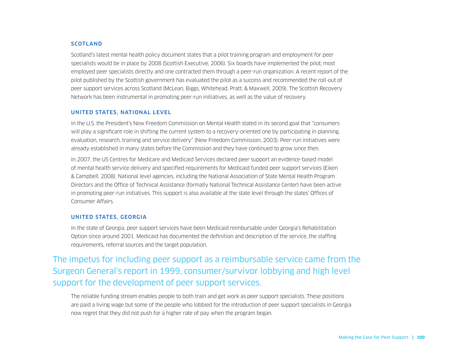#### SCOTLAND

Scotland's latest mental health policy document states that a pilot training program and employment for peer specialists would be in place by 2008 (Scottish Executive, 2006). Six boards have implemented the pilot; most employed peer specialists directly and one contracted them through a peer-run organization. A recent report of the pilot published by the Scottish government has evaluated the pilot as a success and recommended the roll-out of peer support services across Scotland (McLean, Biggs, Whitehead, Pratt, & Maxwell, 2009). The Scottish Recovery Network has been instrumental in promoting peer-run initiatives, as well as the value of recovery.

#### UNITED STATES, NATIONAL LEVEL

In the U.S. the President's New Freedom Commission on Mental Health stated in its second goal that "consumers will play a significant role in shifting the current system to a recovery-oriented one by participating in planning, evaluation, research, training and service delivery" (New Freedom Commission, 2003). Peer-run initiatives were already established in many states before the Commission and they have continued to grow since then.

In 2007, the US Centres for Medicare and Medicaid Services declared peer support an evidence-based model of mental health service delivery and specified requirements for Medicaid funded peer support services (Eiken & Campbell, 2008). National level agencies, including the National Association of State Mental Health Program Directors and the Office of Technical Assistance (formally National Technical Assistance Center) have been active in promoting peer-run initiatives. This support is also available at the state level through the states' Offices of Consumer Affairs.

#### UNITED STATES, GEORGIA

In the state of Georgia, peer support services have been Medicaid reimbursable under Georgia's Rehabilitation Option since around 2001. Medicaid has documented the definition and description of the service, the staffing requirements, referral sources and the target population.

## The impetus for including peer support as a reimbursable service came from the Surgeon General's report in 1999, consumer/survivor lobbying and high level support for the development of peer support services.

The reliable funding stream enables people to both train and get work as peer support specialists. These positions are paid a living wage but some of the people who lobbied for the introduction of peer support specialists in Georgia now regret that they did not push for a higher rate of pay when the program began.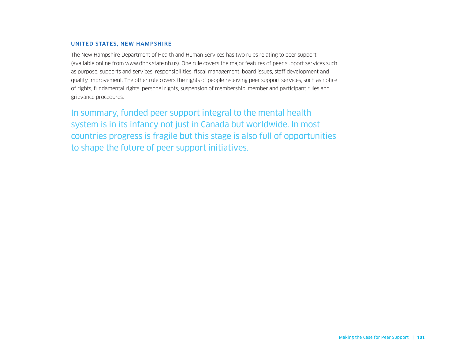#### UNITED STATES, NEW HAMPSHIRE

The New Hampshire Department of Health and Human Services has two rules relating to peer support (available online from www.dhhs.state.nh.us). One rule covers the major features of peer support services such as purpose, supports and services, responsibilities, fiscal management, board issues, staff development and quality improvement. The other rule covers the rights of people receiving peer support services, such as notice of rights, fundamental rights, personal rights, suspension of membership, member and participant rules and grievance procedures.

In summary, funded peer support integral to the mental health system is in its infancy not just in Canada but worldwide. In most countries progress is fragile but this stage is also full of opportunities to shape the future of peer support initiatives.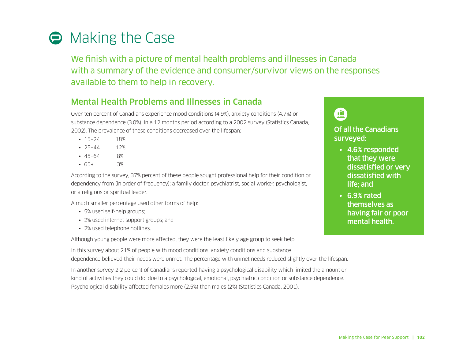

We finish with a picture of mental health problems and illnesses in Canada with a summary of the evidence and consumer/survivor views on the responses available to them to help in recovery.

## Mental Health Problems and Illnesses in Canada

Over ten percent of Canadians experience mood conditions (4.9%), anxiety conditions (4.7%) or substance dependence (3.0%), in a 12 months period according to a 2002 survey (Statistics Canada, 2002). The prevalence of these conditions decreased over the lifespan:

- 15–24 18%
- 25–44 12%
- 45–64 8%
- 65+ 3%

According to the survey, 37% percent of these people sought professional help for their condition or dependency from (in order of frequency): a family doctor, psychiatrist, social worker, psychologist, or a religious or spiritual leader.

A much smaller percentage used other forms of help:

- 5% used self-help groups;
- 2% used internet support groups; and
- 2% used telephone hotlines.

Although young people were more affected, they were the least likely age group to seek help.

In this survey about 21% of people with mood conditions, anxiety conditions and substance dependence believed their needs were unmet. The percentage with unmet needs reduced slightly over the lifespan.

In another survey 2.2 percent of Canadians reported having a psychological disability which limited the amount or kind of activities they could do, due to a psychological, emotional, psychiatric condition or substance dependence. Psychological disability affected females more (2.5%) than males (2%) (Statistics Canada, 2001).



Of all the Canadians surveyed:

- 4.6% responded that they were dissatisfied or very dissatisfied with life; and
- 6.9% rated themselves as having fair or poor mental health.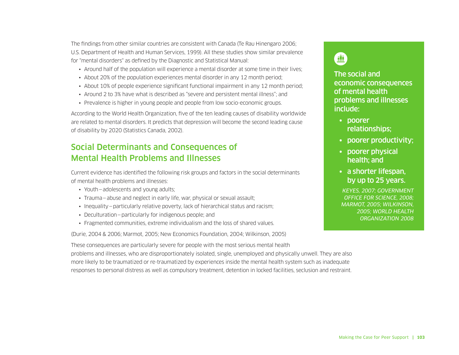The findings from other similar countries are consistent with Canada (Te Rau Hinengaro 2006; U.S. Department of Health and Human Services, 1999). All these studies show similar prevalence for "mental disorders" as defined by the Diagnostic and Statistical Manual:

- Around half of the population will experience a mental disorder at some time in their lives;
- About 20% of the population experiences mental disorder in any 12 month period;
- About 10% of people experience significant functional impairment in any 12 month period;
- Around 2 to 3% have what is described as "severe and persistent mental illness"; and
- Prevalence is higher in young people and people from low socio-economic groups.

According to the World Health Organization, five of the ten leading causes of disability worldwide are related to mental disorders. It predicts that depression will become the second leading cause of disability by 2020 (Statistics Canada, 2002).

## Social Determinants and Consequences of Mental Health Problems and Illnesses

Current evidence has identified the following risk groups and factors in the social determinants of mental health problems and illnesses:

- Youth—adolescents and young adults;
- Trauma abuse and neglect in early life, war, physical or sexual assault;
- Inequality particularly relative poverty, lack of hierarchical status and racism;
- Deculturation—particularly for indigenous people; and
- Fragmented communities, extreme individualism and the loss of shared values.

(Durie, 2004 & 2006; Marmot, 2005; New Economics Foundation, 2004; Wilkinson, 2005)

These consequences are particularly severe for people with the most serious mental health problems and illnesses, who are disproportionately isolated, single, unemployed and physically unwell. They are also more likely to be traumatized or re-traumatized by experiences inside the mental health system such as inadequate responses to personal distress as well as compulsory treatment, detention in locked facilities, seclusion and restraint.

## 鱼

The social and economic consequences of mental health problems and illnesses include:

- poorer relationships;
- poorer productivity;
- poorer physical health; and
- a shorter lifespan, by up to 25 years.

*KEYES, 2007; GOVERNMENT OFFICE FOR SCIENCE, 2008; MARMOT, 2005; WILKINSON, 2005; WORLD HEALTH ORGANIZATION 2008*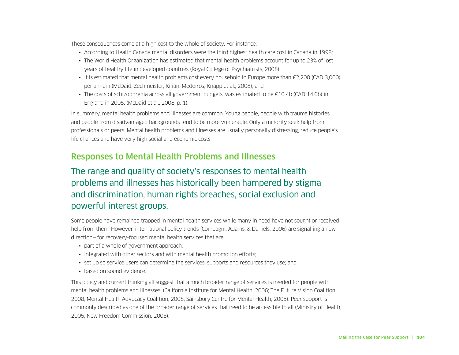These consequences come at a high cost to the whole of society. For instance:

- According to Health Canada mental disorders were the third highest health care cost in Canada in 1998;
- The World Health Organization has estimated that mental health problems account for up to 23% of lost years of healthy life in developed countries (Royal College of Psychiatrists, 2008);
- It is estimated that mental health problems cost every household in Europe more than €2,200 (CAD 3,000) per annum (McDaid, Zechmeister, Kilian, Medeiros, Knapp et al., 2008); and
- The costs of schizophrenia across all government budgets, was estimated to be €10.4b (CAD 14.6b) in England in 2005. (McDaid et al., 2008, p. 1).

In summary, mental health problems and illnesses are common. Young people, people with trauma histories and people from disadvantaged backgrounds tend to be more vulnerable. Only a minority seek help from professionals or peers. Mental health problems and illnesses are usually personally distressing, reduce people's life chances and have very high social and economic costs.

## Responses to Mental Health Problems and Illnesses

## The range and quality of society's responses to mental health problems and illnesses has historically been hampered by stigma and discrimination, human rights breaches, social exclusion and powerful interest groups.

Some people have remained trapped in mental health services while many in need have not sought or received help from them. However, international policy trends (Compagni, Adams, & Daniels, 2006) are signalling a new direction—for recovery-focused mental health services that are:

- part of a whole of government approach;
- integrated with other sectors and with mental health promotion efforts;
- set up so service users can determine the services, supports and resources they use; and
- based on sound evidence.

This policy and current thinking all suggest that a much broader range of services is needed for people with mental health problems and illnesses. (California Institute for Mental Health, 2006; The Future Vision Coalition, 2008; Mental Health Advocacy Coalition, 2008; Sainsbury Centre for Mental Health, 2005). Peer support is commonly described as one of the broader range of services that need to be accessible to all (Ministry of Health, 2005; New Freedom Commission, 2006).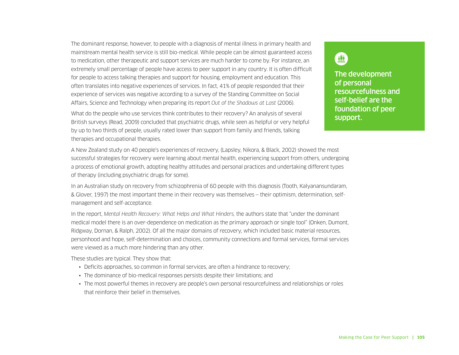The dominant response, however, to people with a diagnosis of mental illness in primary health and mainstream mental health service is still bio-medical. While people can be almost guaranteed access to medication, other therapeutic and support services are much harder to come by. For instance, an extremely small percentage of people have access to peer support in any country. It is often difficult for people to access talking therapies and support for housing, employment and education. This often translates into negative experiences of services. In fact, 41% of people responded that their experience of services was negative according to a survey of the Standing Committee on Social Affairs, Science and Technology when preparing its report *Out of the Shadows at Last* (2006).

What do the people who use services think contributes to their recovery? An analysis of several British surveys (Read, 2009) concluded that psychiatric drugs, while seen as helpful or very helpful by up to two thirds of people, usually rated lower than support from family and friends, talking therapies and occupational therapies.

A New Zealand study on 40 people's experiences of recovery, (Lapsley, Nikora, & Black, 2002) showed the most successful strategies for recovery were learning about mental health, experiencing support from others, undergoing a process of emotional growth, adopting healthy attitudes and personal practices and undertaking different types of therapy (including psychiatric drugs for some).

In an Australian study on recovery from schizophrenia of 60 people with this diagnosis (Tooth, Kalyanansundaram, & Glover, 1997) the most important theme in their recovery was themselves — their optimism, determination, selfmanagement and self-acceptance.

In the report, *Mental Health Recovery: What Helps and What Hinders,* the authors state that "under the dominant medical model there is an over-dependence on medication as the primary approach or single tool" (Onken, Dumont, Ridgway, Dornan, & Ralph, 2002). Of all the major domains of recovery, which included basic material resources, personhood and hope, self-determination and choices, community connections and formal services, formal services were viewed as a much more hindering than any other.

These studies are typical. They show that:

- Deficits approaches, so common in formal services, are often a hindrance to recovery;
- The dominance of bio-medical responses persists despite their limitations; and
- The most powerful themes in recovery are people's own personal resourcefulness and relationships or roles that reinforce their belief in themselves.



The development of personal resourcefulness and self-belief are the foundation of peer support.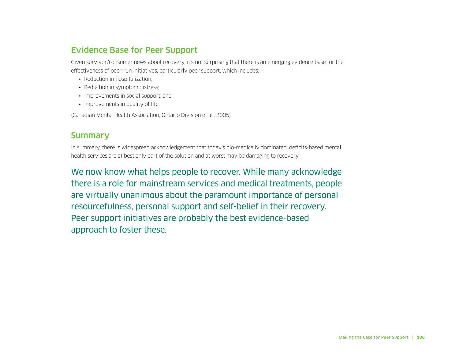## Evidence Base for Peer Support

Given survivor/consumer news about recovery, it's not surprising that there is an emerging evidence base for the effectiveness of peer-run initiatives, particularly peer support, which includes:

- Reduction in hospitalization;
- Reduction in symptom distress;
- Improvements in social support; and
- Improvements in quality of life.

(Canadian Mental Health Association, Ontario Division et al., 2005)

## **Summary**

In summary, there is widespread acknowledgement that today's bio-medically dominated, deficits-based mental health services are at best only part of the solution and at worst may be damaging to recovery.

We now know what helps people to recover. While many acknowledge there is a role for mainstream services and medical treatments, people are virtually unanimous about the paramount importance of personal resourcefulness, personal support and self-belief in their recovery. Peer support initiatives are probably the best evidence-based approach to foster these.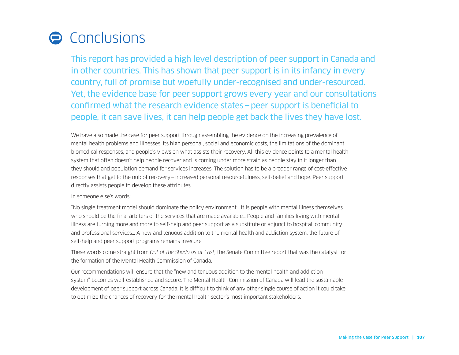## Conclusions

This report has provided a high level description of peer support in Canada and in other countries. This has shown that peer support is in its infancy in every country, full of promise but woefully under-recognised and under-resourced. Yet, the evidence base for peer support grows every year and our consultations confirmed what the research evidence states—peer support is beneficial to people, it can save lives, it can help people get back the lives they have lost.

We have also made the case for peer support through assembling the evidence on the increasing prevalence of mental health problems and illnesses, its high personal, social and economic costs, the limitations of the dominant biomedical responses, and people's views on what assists their recovery. All this evidence points to a mental health system that often doesn't help people recover and is coming under more strain as people stay in it longer than they should and population demand for services increases. The solution has to be a broader range of cost-effective responses that get to the nub of recovery—increased personal resourcefulness, self-belief and hope. Peer support directly assists people to develop these attributes.

#### In someone else's words:

"No single treatment model should dominate the policy environment… it is people with mental illness themselves who should be the final arbiters of the services that are made available… People and families living with mental illness are turning more and more to self-help and peer support as a substitute or adjunct to hospital, community and professional services… A new and tenuous addition to the mental health and addiction system, the future of self-help and peer support programs remains insecure."

These words come straight from *Out of the Shadows at Last,* the Senate Committee report that was the catalyst for the formation of the Mental Health Commission of Canada.

Our recommendations will ensure that the "new and tenuous addition to the mental health and addiction system" becomes well-established and secure. The Mental Health Commission of Canada will lead the sustainable development of peer support across Canada. It is difficult to think of any other single course of action it could take to optimize the chances of recovery for the mental health sector's most important stakeholders.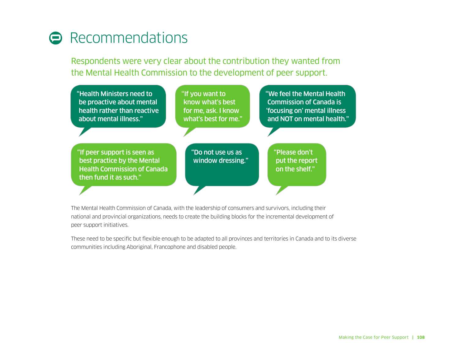## **A** Recommendations

Respondents were very clear about the contribution they wanted from the Mental Health Commission to the development of peer support.



The Mental Health Commission of Canada, with the leadership of consumers and survivors, including their national and provincial organizations, needs to create the building blocks for the incremental development of peer support initiatives.

These need to be specific but flexible enough to be adapted to all provinces and territories in Canada and to its diverse communities including Aboriginal, Francophone and disabled people.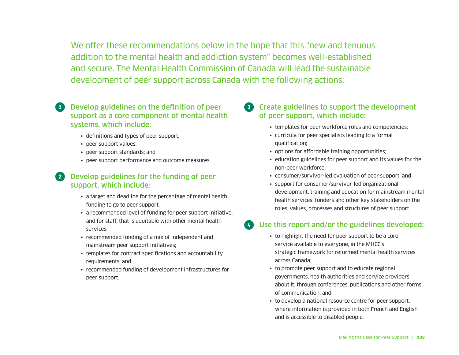We offer these recommendations below in the hope that this "new and tenuous addition to the mental health and addiction system" becomes well-established and secure. The Mental Health Commission of Canada will lead the sustainable development of peer support across Canada with the following actions:

- **CO** Develop guidelines on the definition of peer support as a core component of mental health systems, which include:
	- definitions and types of peer support;
	- peer support values;
	- peer support standards; and
	- peer support performance and outcome measures.

### **2** Develop guidelines for the funding of peer support, which include:

- a target and deadline for the percentage of mental health funding to go to peer support;
- a recommended level of funding for peer support initiative, and for staff, that is equitable with other mental health services;
- recommended funding of a mix of independent and mainstream peer support initiatives;
- templates for contract specifications and accountability requirements; and
- recommended funding of development infrastructures for peer support.
- ° Create guidelines to support the development of peer support, which include:
	- templates for peer workforce roles and competencies;
	- curricula for peer specialists leading to a formal qualification;
	- options for affordable training opportunities;
	- education guidelines for peer support and its values for the non-peer workforce;
	- consumer/survivor-led evaluation of peer support; and
	- support for consumer/survivor-led organizational development, training and education for mainstream mental health services, funders and other key stakeholders on the roles, values, processes and structures of peer support.

### Use this report and/or the guidelines developed:

- to highlight the need for peer support to be a core service available to everyone, in the MHCC's strategic framework for reformed mental health services across Canada;
- to promote peer support and to educate regional governments, health authorities and service providers about it, through conferences, publications and other forms of communication; and
- to develop a national resource centre for peer support, where information is provided in both French and English and is accessible to disabled people.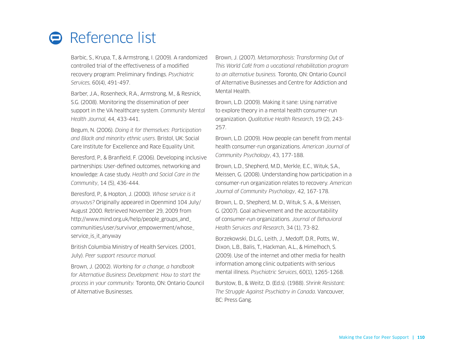## **Reference list**

Barbic, S., Krupa, T., & Armstrong, I. (2009). A randomized controlled trial of the effectiveness of a modified recovery program: Preliminary findings. *Psychiatric Services,* 60(4), 491-497.

Barber, J.A., Rosenheck, R.A., Armstrong, M., & Resnick, S.G. (2008). Monitoring the dissemination of peer support in the VA healthcare system. *Community Mental Health Journal*, 44, 433-441.

Begum, N. (2006). *Doing it for themselves: Participation and Black and minority ethnic users*. Bristol, UK: Social Care Institute for Excellence and Race Equality Unit.

Beresford, P., & Branfield, F. (2006). Developing inclusive partnerships: User-defined outcomes, networking and knowledge: A case study. *Health and Social Care in the Community*, 14 (5), 436-444.

Beresford, P., & Hopton, J. (2000). *Whose service is it anyways?* Originally appeared in Openmind 104 July/ August 2000. Retrieved November 29, 2009 from http://www.mind.org.uk/help/people\_groups\_and\_ communities/user/survivor\_empowerment/whose\_ service is it anyway

British Columbia Ministry of Health Services. (2001, July). *Peer support resource manual.* 

Brown, J. (2002). *Working for a change, a handbook for Alternative Business Development: How to start the process in your community.* Toronto, ON: Ontario Council of Alternative Businesses.

Brown, J. (2007). *Metamorphosis: Transforming Out of This World Café from a vocational rehabilitation program to an alternative business.* Toronto, ON: Ontario Council of Alternative Businesses and Centre for Addiction and Mental Health.

Brown, L.D. (2009). Making it sane: Using narrative to explore theory in a mental health consumer-run organization. *Qualitative Health Research*, 19 (2), 243- 257.

Brown, L.D. (2009). How people can benefit from mental health consumer-run organizations. *American Journal of Community Psychology*, 43, 177-188.

Brown, L.D., Shepherd, M.D., Merkle, E.C., Wituk, S.A., Meissen, G. (2008). Understanding how participation in a consumer-run organization relates to recovery. *American Journal of Community Psychology*, 42, 167-178.

Brown, L. D., Shepherd, M. D., Wituk, S. A., & Meissen, G. (2007). Goal achievement and the accountability of consumer-run organizations. *Journal of Behavioral Health Services and Research*, 34 (1), 73-82.

Borzekowski, D.L.G., Leith, J., Medoff, D.R., Potts, W., Dixon, L.B., Balis, T., Hackman, A.L., & Himelhoch, S. (2009). Use of the internet and other media for health information among clinic outpatients with serious mental illness. *Psychiatric Services*, 60(1), 1265-1268.

Burstow, B., & Weitz, D. (Ed.s). (1988). *Shrink Resistant: The Struggle Against Psychiatry in Canada*. Vancouver, BC: Press Gang.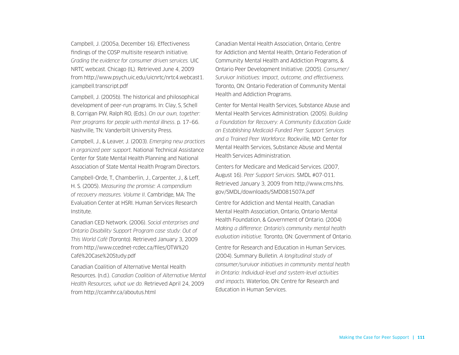Campbell, J. (2005a, December 16). Effectiveness findings of the COSP multisite research initiative. *Grading the evidence for consumer driven services.* UIC NRTC webcast. Chicago (IL). Retrieved June 4, 2009 from http://www.psych.uic.edu/uicnrtc/nrtc4.webcast1. jcampbell.transcript.pdf

Campbell, J. (2005b). The historical and philosophical development of peer-run programs. In: Clay, S, Schell B, Corrigan PW, Ralph RO, (Eds.). *On our own, together: Peer programs for people with mental illness*. p. 17–66. Nashville, TN: Vanderbilt University Press.

Campbell, J., & Leaver, J. (2003). *Emerging new practices in organized peer support*. National Technical Assistance Center for State Mental Health Planning and National Association of State Mental Health Program Directors.

Campbell-Orde, T., Chamberlin, J., Carpenter, J., & Leff, H. S. (2005). *Measuring the promise: A compendium of recovery measures. Volume II*. Cambridge, MA: The Evaluation Center at HSRI. Human Services Research Institute.

Canadian CED Network. (2006). *Social enterprises and Ontario Disability Support Program case study: Out of This World Café* (Toronto). Retrieved January 3, 2009 from http://www.ccednet-rcdec.ca/files/OTW%20 Café%20Case%20Study.pdf

Canadian Coalition of Alternative Mental Health Resources. (n.d.). *Canadian Coalition of Alternative Mental Health Resources, what we do.* Retrieved April 24, 2009 from http://ccamhr.ca/aboutus.html

Canadian Mental Health Association, Ontario, Centre for Addiction and Mental Health, Ontario Federation of Community Mental Health and Addiction Programs, & Ontario Peer Development Initiative. (2005). *Consumer/ Survivor Initiatives: Impact, outcome, and effectiveness.*  Toronto, ON: Ontario Federation of Community Mental Health and Addiction Programs.

Center for Mental Health Services, Substance Abuse and Mental Health Services Administration. (2005). *Building a Foundation for Recovery: A Community Education Guide on Establishing Medicaid-Funded Peer Support Services and a Trained Peer Workforce.* Rockville, MD: Center for Mental Health Services, Substance Abuse and Mental Health Services Administration.

Centers for Medicare and Medicaid Services. (2007, August 16). *Peer Support Services*. SMDL #07-011. Retrieved January 3, 2009 from http://www.cms.hhs. gov/SMDL/downloads/SMD081507A.pdf

Centre for Addiction and Mental Health, Canadian Mental Health Association, Ontario, Ontario Mental Health Foundation, & Government of Ontario. (2004) *Making a difference: Ontario's community mental health evaluation initiative.* Toronto, ON: Government of Ontario.

Centre for Research and Education in Human Services. (2004). Summary Bulletin. *A longitudinal study of consumer/survivor initiatives in community mental health in Ontario: Individual-level and system-level activities and impacts.* Waterloo, ON: Centre for Research and Education in Human Services.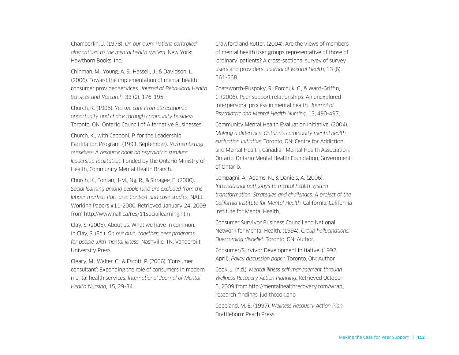Chamberlin, J. (1978). *On our own: Patient-controlled alternatives to the mental health system*. New York: Hawthorn Books, Inc.

Chinman, M., Young, A. S., Hassell, J., & Davidson, L. (2006). Toward the implementation of mental health consumer provider services. *Journal of Behavioral Health Services and Research*, 33 (2), 176-195.

Church, K. (1995). *Yes we can! Promote economic opportunity and choice through community business.*  Toronto, ON: Ontario Council of Alternative Businesses.

Church, K., with Capponi, P. for the Leadership Facilitation Program. (1991, September). *Re/membering ourselves: A resource book on psychiatric survivor leadership facilitation*. Funded by the Ontario Ministry of Health, Community Mental Health Branch.

Church, K., Fontan, J-M., Ng, R., & Shragee, E. (2000). *Social learning among people who are excluded from the labour market. Part one: Context and case studies.* NALL Working Papers #11-2000. Retrieved January 24, 2009 from http://www.nall.ca/res/11sociallearning.htm

Clay, S. (2005). About us: What we have in common. In Clay, S. (Ed.). *On our own, together: peer programs for people with mental illness.* Nashville, TN: Vanderbilt University Press.

Cleary, M., Walter, G., & Escott, P. (2006). 'Consumer consultant': Expanding the role of consumers in modern mental health services. *International Journal of Mental Health Nursing*, 15, 29-34.

Crawford and Rutter. (2004). Are the views of members of mental health user groups representative of those of 'ordinary' patients? A cross-sectional survey of survey users and providers. *Journal of Mental Health*, 13 (6), 561-568.

Coatsworth-Puspoky, R., Forchuk, C., & Ward-Griffin, C. (2006). Peer support relationships: An unexplored interpersonal process in mental health. *Journal of Psychiatric and Mental Health Nursing*, 13, 490-497.

Community Mental Health Evaluation Initiative. (2004). *Making a difference: Ontario's community mental health evaluation initiative*. Toronto, ON: Centre for Addiction and Mental Health, Canadian Mental Health Association, Ontario, Ontario Mental Health Foundation, Government of Ontario.

Compagni, A., Adams, N., & Daniels, A. (2006). *International pathways to mental health system transformation: Strategies and challenges. A project of the California Institute for Mental Health.* California: California Institute for Mental Health.

Consumer Survivor Business Council and National Network for Mental Health. (1994). *Group hallucinations: Overcoming disbelief*. Toronto, ON: Author.

Consumer/Survivor Development Initiative. (1992, April). *Policy discussion paper*. Toronto, ON: Author.

Cook, J. (n.d.). *Mental illness self-management through Wellness Recovery Action Planning*. Retrieved October 5, 2009 from http://mentalhealthrecovery.com/wrap\_ research\_findings\_judithcook.php

Copeland, M. E. (1997). *Wellness Recovery Action Plan*. Brattleboro: Peach Press.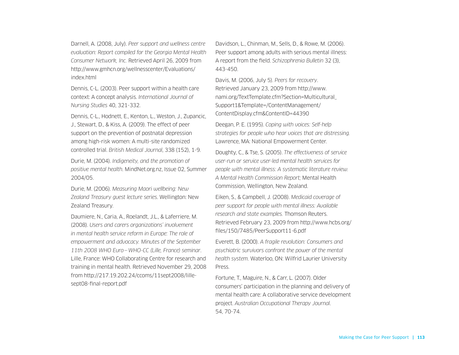Darnell, A. (2008, July). *Peer support and wellness centre evaluation: Report compiled for the Georgia Mental Health Consumer Network, Inc.* Retrieved April 26, 2009 from http://www.gmhcn.org/wellnesscenter/Evaluations/ index.html

Dennis, C-L. (2003). Peer support within a health care context: A concept analysis. *International Journal of Nursing Studies* 40, 321-332.

Dennis, C-L., Hodnett, E., Kenton, L., Weston, J., Zupancic, J., Stewart, D., & Kiss, A. (2009). The effect of peer support on the prevention of postnatal depression among high-risk women: A multi-site randomized controlled trial. *British Medical Journal*, 338 (152), 1-9.

Durie, M. (2004). *Indigeneity, and the promotion of positive mental health*. MindNet.org.nz, Issue 02, Summer 2004/05.

Durie, M. (2006). *Measuring Maori wellbeing: New Zealand Treasury guest lecture series*. Wellington: New Zealand Treasury.

Daumiere, N., Caria, A., Roelandt, J.L., & Laferriere, M. (2008). *Users and carers organizations' involvement in mental health service reform in Europe: The role of empowerment and advocacy. Minutes of the September 11th 2008 WHO Euro—WHO-CC (Lille, France) seminar*. Lille, France: WHO Collaborating Centre for research and training in mental health. Retrieved November 29, 2008 from http://217.19.202.24/ccoms/11sept2008/lillesept08-final-report.pdf

Davidson, L., Chinman, M., Sells, D., & Rowe, M. (2006). Peer support among adults with serious mental illness: A report from the field. *Schizophrenia Bulletin* 32 (3), 443-450.

Davis, M. (2006, July 5). *Peers for recovery*. Retrieved January 23, 2009 from http://www. nami.org/TextTemplate.cfm?Section=Multicultural\_ Support1&Template=/ContentManagement/ ContentDisplay.cfm&ContentID=44390

Deegan, P. E. (1995). *Coping with voices: Self-help strategies for people who hear voices that are distressing.*  Lawrence, MA: National Empowerment Center.

Doughty, C., & Tse, S. (2005). *The effectiveness of service user-run or service user-led mental health services for people with mental illness: A systematic literature review. A Mental Health Commission Report;* Mental Health Commission, Wellington, New Zealand.

Eiken, S., & Campbell, J. (2008). *Medicaid coverage of peer support for people with mental illness: Available research and state examples.* Thomson Reuters. Retrieved February 23, 2009 from http://www.hcbs.org/ files/150/7485/PeerSupport11-6.pdf

Everett, B. (2000). *A fragile revolution: Consumers and psychiatric survivors confront the power of the mental health system*. Waterloo, ON: Wilfrid Laurier University Press.

Fortune, T., Maguire, N., & Carr, L. (2007). Older consumers' participation in the planning and delivery of mental health care: A collaborative service development project. *Australian Occupational Therapy Journal*. 54, 70-74.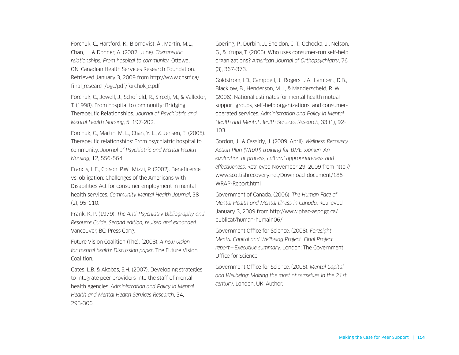Forchuk, C., Hartford, K., Blomqvist, Å., Martin, M.L., Chan, L., & Donner, A. (2002, June). *Therapeutic relationships: From hospital to community.* Ottawa, ON: Canadian Health Services Research Foundation. Retrieved January 3, 2009 from http://www.chsrf.ca/ final\_research/ogc/pdf/forchuk\_e.pdf

Forchuk, C., Jewell, J., Schofield, R., Sircelj, M., & Valledor, T. (1998). From hospital to community: Bridging Therapeutic Relationships. *Journal of Psychiatric and Mental Health Nursing*, 5, 197-202.

Forchuk, C., Martin, M. L., Chan, Y. L., & Jensen, E. (2005). Therapeutic relationships: From psychiatric hospital to community. *Journal of Psychiatric and Mental Health Nursing*, 12, 556-564.

Francis, L.E., Colson, P.W., Mizzi, P. (2002). Beneficence vs. obligation: Challenges of the Americans with Disabilities Act for consumer employment in mental health services. *Community Mental Health Journal*, 38 (2), 95-110.

Frank, K. P. (1979). *The Anti-Psychiatry Bibliography and Resource Guide. Second edition, revised and expanded*. Vancouver, BC: Press Gang.

Future Vision Coalition (The). (2008). *A new vision for mental health: Discussion paper*. The Future Vision Coalition.

Gates, L.B. & Akabas, S.H. (2007). Developing strategies to integrate peer providers into the staff of mental health agencies. *Administration and Policy in Mental Health and Mental Health Services Research*, 34, 293-306.

Goering, P., Durbin, J., Sheldon, C. T., Ochocka, J., Nelson, G., & Krupa, T. (2006). Who uses consumer-run self-help organizations? *American Journal of Orthopsychiatry*, 76 (3), 367-373.

Goldstrom, I.D., Campbell, J., Rogers, J.A., Lambert, D.B., Blacklow, B., Henderson, M.J., & Manderscheid, R. W. (2006). National estimates for mental health mutual support groups, self-help organizations, and consumeroperated services. *Administration and Policy in Mental Health and Mental Health Services Research*, 33 (1), 92- 103.

Gordon, J., & Cassidy, J. (2009, April). *Wellness Recovery Action Plan (WRAP) training for BME women: An evaluation of process, cultural appropriateness and effectiveness*. Retrieved November 29, 2009 from http:// www.scottishrecovery.net/Download-document/185- WRAP-Report.html

Government of Canada. (2006). *The Human Face of Mental Health and Mental Illness in Canada*. Retrieved January 3, 2009 from http://www.phac-aspc.gc.ca/ publicat/human-humain06/

Government Office for Science. (2008). *Foresight Mental Capital and Wellbeing Project. Final Project report—Executive summary.* London: The Government Office for Science.

Government Office for Science. (2008). *Mental Capital and Wellbeing: Making the most of ourselves in the 21st century*. London, UK: Author.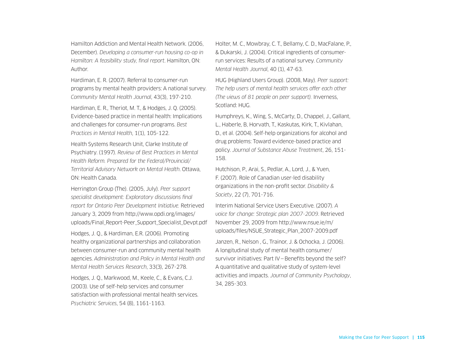Hamilton Addiction and Mental Health Network. (2006, December). *Developing a consumer-run housing co-op in Hamilton: A feasibility study, final report*. Hamilton, ON: Author.

Hardiman, E. R. (2007). Referral to consumer-run programs by mental health providers: A national survey. *Community Mental Health Journal*, 43(3), 197-210.

Hardiman, E. R., Theriot, M. T., & Hodges, J. Q. (2005). Evidence-based practice in mental health: Implications and challenges for consumer-run programs. *Best Practices in Mental Health*, 1(1), 105-122.

Health Systems Research Unit, Clarke Institute of Psychiatry. (1997). *Review of Best Practices in Mental Health Reform. Prepared for the Federal/Provincial/ Territorial Advisory Network on Mental Health*. Ottawa, ON: Health Canada.

Herrington Group (The). (2005, July). *Peer support specialist development: Exploratory discussions final report for Ontario Peer Development Initiative.* Retrieved January 3, 2009 from http://www.opdi.org/images/ uploads/Final\_Report-Peer\_Support\_Specialist\_Devpt.pdf

Hodges, J. Q., & Hardiman, E.R. (2006). Promoting healthy organizational partnerships and collaboration between consumer-run and community mental health agencies. *Administration and Policy in Mental Health and Mental Health Services Research*, 33(3), 267-278.

Hodges, J. Q., Markwood, M., Keele, C., & Evans, C.J. (2003). Use of self-help services and consumer satisfaction with professional mental health services. *Psychiatric Services*, 54 (8), 1161-1163.

Holter, M. C., Mowbray, C. T., Bellamy, C. D., MacFalane, P., & Dukarski, J. (2004). Critical ingredients of consumerrun services: Results of a national survey. *Community Mental Health Journal*, 40 (1), 47-63.

HUG (Highland Users Group). (2008, May). *Peer support: The help users of mental health services offer each other (The views of 81 people on peer support).* Inverness, Scotland: HUG.

Humphreys, K., Wing, S., McCarty, D., Chappel, J., Gallant, L., Haberle, B, Horvath, T., Kaskutas, Kirk, T., Kivlahan, D., et al. (2004). Self-help organizations for alcohol and drug problems: Toward evidence-based practice and policy. *Journal of Substance Abuse Treatment*, 26, 151- 158.

Hutchison, P., Arai, S., Pedlar, A., Lord, J., & Yuen, F. (2007). Role of Canadian user-led disability organizations in the non-profit sector. *Disability & Society*, 22 (7), 701-716.

Interim National Service Users Executive. (2007). *A voice for change: Strategic plan 2007-2009*. Retrieved November 29, 2009 from http://www.nsue.ie/m/ uploads/files/NSUE\_Strategic\_Plan\_2007-2009.pdf

Janzen, R., Nelson , G., Trainor, J. & Ochocka, J. (2006). A longitudinal study of mental health consumer/ survivor initiatives: Part IV—Benefits beyond the self? A quantitative and qualitative study of system-level activities and impacts. *Journal of Community Psychology*, 34, 285-303.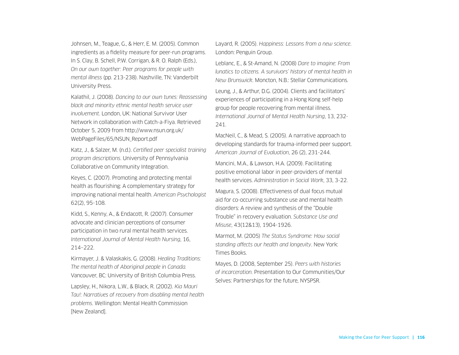Johnsen, M., Teague, G., & Herr, E. M. (2005). Common ingredients as a fidelity measure for peer-run programs. In S. Clay, B. Schell, P.W. Corrigan, & R. O. Ralph (Eds.), *On our own together: Peer programs for people with mental illness* (pp. 213-238). Nashville, TN: Vanderbilt University Press.

Kalathil, J. (2008). *Dancing to our own tunes: Reassessing black and minority ethnic mental health service user involvement*. London, UK: National Survivor User Network in collaboration with Catch-a-Fiya. Retrieved October 5, 2009 from http://www.nsun.org.uk/ WebPageFiles/65/NSUN\_Report.pdf

Katz, J., & Salzer, M. (n.d.). *Certified peer specialist training program descriptions*. University of Pennsylvania Collaborative on Community Integration.

Keyes, C. (2007). Promoting and protecting mental health as flourishing: A complementary strategy for improving national mental health. *American Psychologist* 62(2), 95-108.

Kidd, S., Kenny, A., & Endacott, R. (2007). Consumer advocate and clinician perceptions of consumer participation in two rural mental health services. *International Journal of Mental Health Nursing*, 16, 214–222.

Kirmayer, J. & Valaskakis, G. (2008). *Healing Traditions: The mental health of Aboriginal people in Canada.*  Vancouver, BC: University of British Columbia Press.

Lapsley, H., Nikora, L.W., & Black, R. (2002). *Kia Mauri Tau!: Narratives of recovery from disabling mental health problems*. Wellington: Mental Health Commission [New Zealand].

Layard, R. (2005). *Happiness: Lessons from a new science*. London: Penguin Group.

Leblanc, E., & St-Amand, N. (2008) *Dare to imagine: From lunatics to citizens. A survivors' history of mental health in New Brunswick*. Moncton, N.B.: Stellar Communications.

Leung, J., & Arthur, D.G. (2004). Clients and facilitators' experiences of participating in a Hong Kong self-help group for people recovering from mental illness. *International Journal of Mental Health Nursing*, 13, 232- 241.

MacNeil, C., & Mead, S. (2005). A narrative approach to developing standards for trauma-informed peer support. *American Journal of Evaluation*, 26 (2), 231-244.

Mancini, M.A., & Lawson, H.A. (2009). Facilitating positive emotional labor in peer-providers of mental health services. *Administration in Social Work*, 33, 3-22.

Magura, S. (2008). Effectiveness of dual focus mutual aid for co-occurring substance use and mental health disorders: A review and synthesis of the "Double Trouble" in recovery evaluation. *Substance Use and Misuse*, 43(12&13), 1904-1926.

Marmot, M. (2005) *The Status Syndrome: How social standing affects our health and longevity*. New York: Times Books.

Mayes, D. (2008, September 25). *Peers with histories of incarceration.* Presentation to Our Communities/Our Selves: Partnerships for the future, NYSPSR.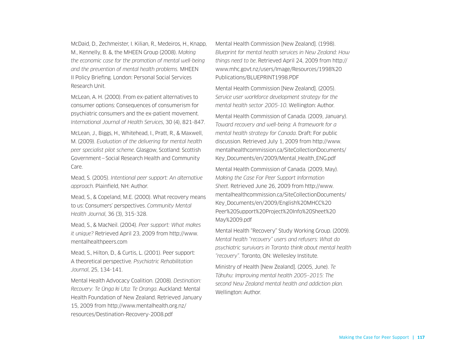McDaid, D., Zechmeister, I. Kilian, R., Medeiros, H., Knapp, M., Kennelly, B. &, the MHEEN Group (2008). *Making the economic case for the promotion of mental well-being and the prevention of mental health problems.* MHEEN II Policy Briefing. London: Personal Social Services Research Unit.

McLean, A. H. (2000). From ex-patient alternatives to consumer options: Consequences of consumerism for psychiatric consumers and the ex-patient movement. *International Journal of Health Services*, 30 (4), 821-847.

McLean, J., Biggs, H., Whitehead, I., Pratt, R., & Maxwell, M. (2009). *Evaluation of the delivering for mental health peer specialist pilot scheme*. Glasgow, Scotland: Scottish Government—Social Research Health and Community Care.

Mead, S. (2005). *Intentional peer support: An alternative approach*. Plainfield, NH: Author.

Mead, S., & Copeland, M.E. (2000). What recovery means to us: Consumers' perspectives. *Community Mental Health Journal*, 36 (3), 315-328.

Mead, S., & MacNeil. (2004). *Peer support: What makes it unique?* Retrieved April 23, 2009 from http://www. mentalhealthpeers.com

Mead, S., Hilton, D., & Curtis, L. (2001). Peer support: A theoretical perspective. *Psychiatric Rehabilitation Journal*, 25, 134-141.

Mental Health Advocacy Coalition. (2008). *Destination: Recovery: Te U¯nga ki Uta: Te Oranga*. Auckland: Mental Health Foundation of New Zealand. Retrieved January 15, 2009 from http://www.mentalhealth.org.nz/ resources/Destination-Recovery-2008.pdf

Mental Health Commission [New Zealand]. (1998). *Blueprint for mental health services in New Zealand: How things need to be*. Retrieved April 24, 2009 from http:// www.mhc.govt.nz/users/Image/Resources/1998%20 Publications/BLUEPRINT1998.PDF

Mental Health Commission [New Zealand]. (2005). *Service user workforce development strategy for the mental health sector 2005-10*. Wellington: Author.

Mental Health Commission of Canada. (2009, January). *Toward recovery and well-being: A framework for a mental health strategy for Canada*. Draft: For public discussion. Retrieved July 1, 2009 from http://www. mentalhealthcommission.ca/SiteCollectionDocuments/ Key\_Documents/en/2009/Mental\_Health\_ENG.pdf

Mental Health Commission of Canada. (2009, May). *Making the Case For Peer Support Information Sheet*. Retrieved June 26, 2009 from http://www. mentalhealthcommission.ca/SiteCollectionDocuments/ Key\_Documents/en/2009/English%20MHCC%20 Peer%20Support%20Project%20Info%20Sheet%20 May%2009.pdf

Mental Health "Recovery" Study Working Group. (2009). *Mental health "recovery" users and refusers: What do psychiatric survivors in Toronto think about mental health "recovery".* Toronto, ON: Wellesley Institute.

Ministry of Health [New Zealand]. (2005, June). *Te Ta¯huhu: Improving mental health 2005–2015: The second New Zealand mental health and addiction plan.*  Wellington: Author.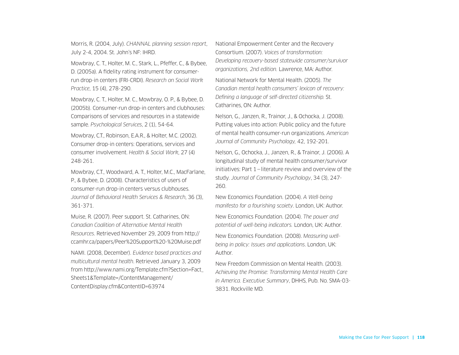Morris, R. (2004, July). *CHANNAL planning session report*, July 2-4, 2004. St. John's NF: IHRD.

Mowbray, C. T., Holter, M. C., Stark, L., Pfeffer, C., & Bybee, D. (2005a). A fidelity rating instrument for consumerrun drop-in centers (FRI-CRDI). *Research on Social Work Practice*, 15 (4), 278-290.

Mowbray, C. T., Holter, M. C., Mowbray, O. P., & Bybee, D. (2005b). Consumer-run drop-in centers and clubhouses: Comparisons of services and resources in a statewide sample. *Psychological Services*, 2 (1), 54-64.

Mowbray, C.T., Robinson, E.A.R., & Holter, M.C. (2002). Consumer drop-in centers: Operations, services and consumer involvement. *Health & Social Work*, 27 (4) 248-261.

Mowbray, C.T., Woodward, A. T., Holter, M.C., MacFarlane, P., & Bybee, D. (2008). Characteristics of users of consumer-run drop-in centers versus clubhouses. *Journal of Behavioral Health Services & Research*, 36 (3), 361-371.

Muise, R. (2007). Peer support. St. Catharines, ON: *Canadian Coalition of Alternative Mental Health Resources*. Retrieved November 29, 2009 from http:// ccamhr.ca/papers/Peer%20Support%20-%20Muise.pdf

NAMI. (2008, December). *Evidence based practices and multicultural mental health*. Retrieved January 3, 2009 from http://www.nami.org/Template.cfm?Section=Fact\_ Sheets1&Template=/ContentManagement/ ContentDisplay.cfm&ContentID=63974

National Empowerment Center and the Recovery Consortium. (2007). *Voices of transformation: Developing recovery-based statewide consumer/survivor organizations, 2nd edition.* Lawrence, MA: Author.

National Network for Mental Health. (2005). *The Canadian mental health consumers' lexicon of recovery: Defining a language of self-directed citizenship.* St. Catharines, ON: Author.

Nelson, G., Janzen, R., Trainor, J., & Ochocka, J. (2008). Putting values into action: Public policy and the future of mental health consumer-run organizations. *American Journal of Community Psychology,* 42, 192-201.

Nelson, G., Ochocka, J., Janzen, R., & Trainor, J. (2006). A longitudinal study of mental health consumer/survivor initiatives: Part 1—literature review and overview of the study. *Journal of Community Psychology*, 34 (3), 247- 260.

New Economics Foundation. (2004). *A Well-being manifesto for a fourishing scoiety*. London, UK: Author.

New Economics Foundation. (2004). *The power and potential of well-being indicators.* London, UK: Author.

New Economics Foundation. (2008). *Measuring wellbeing in policy: Issues and applications*. London, UK: Author.

New Freedom Commission on Mental Health. (2003). *Achieving the Promise: Transforming Mental Health Care in America. Executive Summary*, DHHS, Pub. No. SMA-03- 3831. Rockville MD.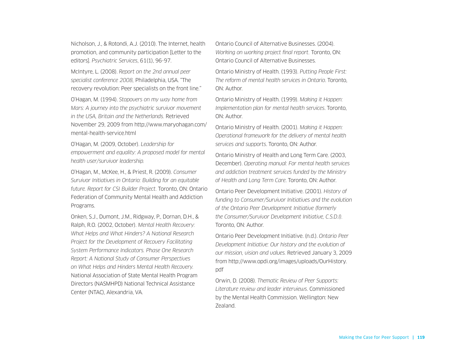Nicholson, J., & Rotondi, A.J. (2010). The Internet, health promotion, and community participation [Letter to the editors]. *Psychiatric Services*, 61(1), 96-97.

McIntyre, L. (2008). *Report on the 2nd annual peer specialist conference 2008,* Philadelphia, USA. "The recovery revolution: Peer specialists on the front line."

O'Hagan, M. (1994). *Stopovers on my way home from Mars: A journey into the psychiatric survivor movement in the USA, Britain and the Netherlands.* Retrieved November 29, 2009 from http://www.maryohagan.com/ mental-health-service.html

O'Hagan, M. (2009, October). *Leadership for empowerment and equality: A proposed model for mental health user/survivor leadership.* 

O'Hagan, M., McKee, H., & Priest, R. (2009). *Consumer Survivor Initiatives in Ontario: Building for an equitable future. Report for CSI Builder Project.* Toronto, ON: Ontario Federation of Community Mental Health and Addiction Programs.

Onken, S.J., Dumont, J.M., Ridgway, P., Dornan, D.H., & Ralph, R.O. (2002, October). *Mental Health Recovery: What Helps and What Hinders? A National Research Project for the Development of Recovery Facilitating System Performance Indicators. Phase One Research Report: A National Study of Consumer Perspectives on What Helps and Hinders Mental Health Recovery.*  National Association of State Mental Health Program Directors (NASMHPD) National Technical Assistance Center (NTAC), Alexandria, VA.

Ontario Council of Alternative Businesses. (2004). *Working on working project final report.* Toronto, ON: Ontario Council of Alternative Businesses.

Ontario Ministry of Health. (1993). *Putting People First: The reform of mental health services in Ontario*. Toronto, ON: Author.

Ontario Ministry of Health. (1999). *Making it Happen: Implementation plan for mental health services*. Toronto, ON: Author.

Ontario Ministry of Health. (2001). *Making it Happen: Operational framework for the delivery of mental health services and supports*. Toronto, ON: Author.

Ontario Ministry of Health and Long Term Care. (2003, December). *Operating manual: For mental health services and addiction treatment services funded by the Ministry of Health and Long Term Care*. Toronto, ON: Author.

Ontario Peer Development Initiative. (2001). *History of funding to Consumer/Survivor Initiatives and the evolution of the Ontario Peer Development Initiative (formerly the Consumer/Survivor Development Initiative, C.S.D.I).* Toronto, ON: Author.

Ontario Peer Development Initiative. (n.d.). *Ontario Peer Development Initiative: Our history and the evolution of our mission, vision and values.* Retrieved January 3, 2009 from http://www.opdi.org/images/uploads/OurHistory. pdf

Orwin, D. (2008). *Thematic Review of Peer Supports: Literature review and leader interviews*. Commissioned by the Mental Health Commission. Wellington: New Zealand.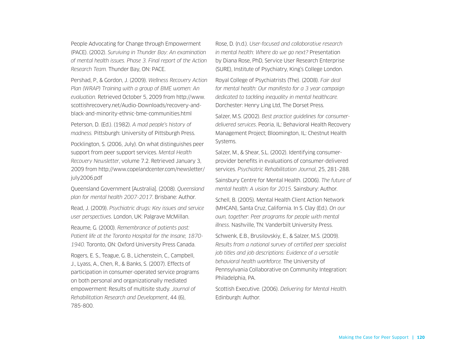People Advocating for Change through Empowerment (PACE). (2002). *Surviving in Thunder Bay: An examination of mental health issues. Phase 3. Final report of the Action Research Team.* Thunder Bay, ON: PACE.

Pershad, P., & Gordon, J. (2009). *Wellness Recovery Action Plan (WRAP) Training with a group of BME women: An evaluation.* Retrieved October 5, 2009 from http://www. scottishrecovery.net/Audio-Downloads/recovery-andblack-and-minority-ethnic-bme-communities.html Peterson, D. (Ed.). (1982). *A mad people's history of madness.* Pittsburgh: University of Pittsburgh Press. Pocklington, S. (2006, July). On what distinguishes peer support from peer support services. *Mental Health Recovery Newsletter*, volume 7.2. Retrieved January 3, 2009 from http://www.copelandcenter.com/newsletter/ july2006.pdf

Queensland Government [Australia]. (2008). *Queensland plan for mental health 2007-2017*. Brisbane: Author.

Read, J. (2009). *Psychiatric drugs: Key issues and service user perspectives*. London, UK: Palgrave McMillan.

Reaume, G. (2000). *Remembrance of patients past: Patient life at the Toronto Hospital for the Insane, 1870- 1940.* Toronto, ON: Oxford University Press Canada.

Rogers, E. S., Teague, G. B., Lichenstein, C., Campbell, J., Lyass, A., Chen, R., & Banks, S. (2007). Effects of participation in consumer-operated service programs on both personal and organizationally mediated empowerment: Results of multisite study. *Journal of Rehabilitation Research and Development*, 44 (6), 785-800.

Rose, D. (n.d.). *User-focused and collaborative research in mental health: Where do we go next?* Presentation by Diana Rose, PhD, Service User Research Enterprise (SURE), Institute of Psychiatry, King's College London.

Royal College of Psychiatrists (The). (2008). *Fair deal for mental health: Our manifesto for a 3 year campaign dedicated to tackling inequality in mental healthcare.*  Dorchester: Henry Ling Ltd, The Dorset Press.

Salzer, M.S. (2002). *Best practice guidelines for consumerdelivered services*. Peoria, IL: Behavioral Health Recovery Management Project; Bloomington, IL: Chestnut Health Systems.

Salzer, M., & Shear, S.L. (2002). Identifying consumerprovider benefits in evaluations of consumer-delivered services. *Psychiatric Rehabilitation Journal*, 25, 281-288.

Sainsbury Centre for Mental Health. (2006). *The future of mental health: A vision for 2015*. Sainsbury: Author.

Schell, B. (2005). Mental Health Client Action Network (MHCAN), Santa Cruz, California. In S. Clay (Ed.). *On our own, together: Peer programs for people with mental illness*. Nashville, TN: Vanderbilt University Press.

Schwenk, E.B., Brusilovskiy, E., & Salzer, M.S. (2009). *Results from a national survey of certified peer specialist job titles and job descriptions: Evidence of a versatile behavioral health workforce.* The University of Pennsylvania Collaborative on Community Integration: Philadelphia, PA.

Scottish Executive. (2006). *Delivering for Mental Health.* Edinburgh: Author.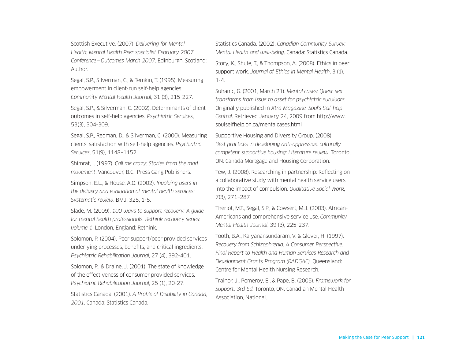Scottish Executive. (2007). *Delivering for Mental Health: Mental Health Peer specialist February 2007 Conference—Outcomes March 2007*. Edinburgh, Scotland: Author.

Segal, S.P., Silverman, C., & Temkin, T. (1995). Measuring empowerment in client-run self-help agencies. *Community Mental Health Journal*, 31 (3), 215-227.

Segal, S.P., & Silverman, C. (2002). Determinants of client outcomes in self-help agencies. *Psychiatric Services*, 53(3), 304-309.

Segal, S.P., Redman, D., & Silverman, C. (2000). Measuring clients' satisfaction with self-help agencies. *Psychiatric Services*, 51(9), 1148–1152.

Shimrat, I. (1997). *Call me crazy: Stories from the mad movement*. Vancouver, B.C.: Press Gang Publishers.

Simpson, E.L., & House, A.O. (2002). *Involving users in the delivery and evaluation of mental health services: Systematic review*. BMJ, 325, 1-5.

Slade, M. (2009). *100 ways to support recovery: A guide for mental health professionals. Rethink recovery series: volume 1*. London, England: Rethink.

Solomon, P. (2004). Peer support/peer provided services underlying processes, benefits, and critical ingredients. *Psychiatric Rehabilitation Journal*, 27 (4), 392-401.

Solomon, P., & Draine, J. (2001). The state of knowledge of the effectiveness of consumer provided services. *Psychiatric Rehabilitation Journal*, 25 (1), 20-27.

Statistics Canada. (2001). *A Profile of Disability in Canada, 2001*. Canada: Statistics Canada.

Statistics Canada. (2002). *Canadian Community Survey: Mental Health and well-being*. Canada: Statistics Canada. Story, K., Shute, T., & Thompson, A. (2008). Ethics in peer support work. *Journal of Ethics in Mental Health*, 3 (1),

Suhanic, G. (2001, March 21). *Mental cases: Queer sex transforms from issue to asset for psychiatric survivors.*  Originally published in *Xtra Magazine. Soul's Self-help Central*. Retrieved January 24, 2009 from http://www. soulselfhelp.on.ca/mentalcases.html

1-4.

Supportive Housing and Diversity Group. (2008). *Best practices in developing anti-oppressive, culturally competent supportive housing: Literature review*. Toronto, ON: Canada Mortgage and Housing Corporation.

Tew, J. (2008). Researching in partnership: Reflecting on a collaborative study with mental health service users into the impact of compulsion. *Qualitative Social Work*, 7(3), 271–287

Theriot, M.T., Segal, S.P., & Cowsert, M.J. (2003). African-Americans and comprehensive service use. *Community Mental Health Journal*, 39 (3), 225-237.

Tooth, B.A., Kalyanansundaram, V. & Glover, H. (1997). *Recovery from Schizophrenia: A Consumer Perspective. Final Report to Health and Human Services Research and Development Grants Program (RADGAC).* Queensland: Centre for Mental Health Nursing Research.

Trainor, J., Pomeroy, E., & Pape, B. (2005). *Framework for Support, 3rd Ed.* Toronto, ON: Canadian Mental Health Association, National.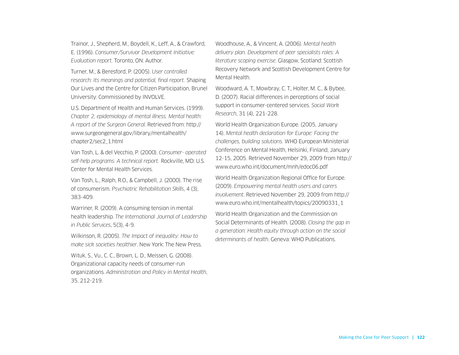Trainor, J., Shepherd, M., Boydell, K., Leff, A., & Crawford, E. (1996). *Consumer/Survivor Development Initiative: Evaluation report*. Toronto, ON: Author.

Turner, M., & Beresford, P. (2005). *User controlled research: Its meanings and potential, final report.* Shaping Our Lives and the Centre for Citizen Participation, Brunel University. Commissioned by INVOLVE.

U.S. Department of Health and Human Services. (1999). *Chapter 2, epidemiology of mental illness. Mental health: A report of the Surgeon General*. Retrieved from: http:// www.surgeongeneral.gov/library/mentalhealth/ chapter2/sec2\_1.html

Van Tosh, L. & del Vecchio, P. (2000). *Consumer- operated self-help programs: A technical report.* Rockville, MD: U.S. Center for Mental Health Services.

Van Tosh, L., Ralph, R.O., & Campbell, J. (2000). The rise of consumerism. *Psychiatric Rehabilitation Skills*, 4 (3), 383-409.

Warriner, R. (2009). A consuming tension in mental health leadership. *The International Journal of Leadership in Public Services*, 5(3), 4-9.

Wilkinson, R. (2005). *The Impact of inequality: How to make sick societies healthier*. New York: The New Press.

Wituk, S., Vu., C. C., Brown, L. D., Meissen, G. (2008). Organizational capacity needs of consumer-run organizations. *Administration and Policy in Mental Health*, 35, 212-219.

Woodhouse, A., & Vincent, A. (2006). *Mental health delivery plan. Development of peer specialists roles: A literature scoping exercise*. Glasgow, Scotland: Scottish Recovery Network and Scottish Development Centre for Mental Health.

Woodward, A. T., Mowbray, C. T., Holter, M. C., & Bybee, D. (2007). Racial differences in perceptions of social support in consumer-centered services. *Social Work Research*, 31 (4), 221-228.

World Health Organization Europe. (2005, January 14). *Mental health declaration for Europe: Facing the challenges, building solutions.* WHO European Ministerial Conference on Mental Health, Helsinki, Finland, January 12-15, 2005. Retrieved November 29, 2009 from http:// www.euro.who.int/document/mnh/edoc06.pdf

World Health Organization Regional Office for Europe. (2009). *Empowering mental health users and carers involvement*. Retrieved November 29, 2009 from http:// www.euro.who.int/mentalhealth/topics/20090331\_1

World Health Organization and the Commission on Social Determinants of Health. (2008). *Closing the gap in a generation: Health equity through action on the social determinants of health*. Geneva: WHO Publications.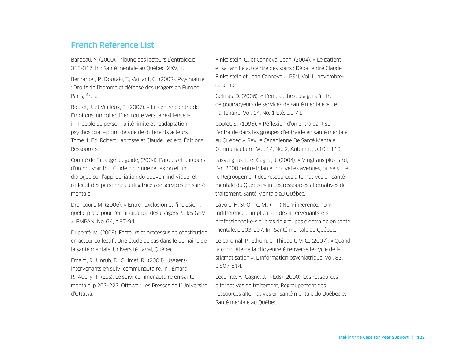### French Reference List

Barbeau, Y. (2000). Tribune des lecteurs L'entraide.p. 313-317. In : Santé mentale au Québec. XXV, 1.

Bernardet, P., Douraki, T., Vaillant, C., (2002). Psychiatrie : Droits de l'homme et défense des usagers en Europe. Paris, Érès.

Boutet, J. et Veilleux, E. (2007). « Le centre d'entraide Émotions, un collectif en route vers la résilience » in Trouble de personnalité limite et réadaptation psychosocial—point de vue de différents acteurs, Tome 1, Ed. Robert Labrosse et Claude Leclerc. Éditions Ressources.

Comité de Pilotage du guide, (2004). Paroles et parcours d'un pouvoir fou, Guide pour une réflexion et un dialogue sur l'appropriation du pouvoir individuel et collectif des personnes utilisatrices de services en santé mentale.

Drancourt, M. (2006). « Entre l'exclusion et l'inclusion : quelle place pour l'émancipation des usagers ?… les GEM ». EMPAN, No. 64, p.87-94.

Duperré, M. (2009). Facteurs et processus de constitution en acteur collectif : Une étude de cas dans le domaine de la santé mentale. Université Laval, Québec

Émard, R., Unruh, D., Ouimet, R., (2004). Usagersintervenants en suivi communautaire. In : Émard, R., Aubry, T., (Eds). Le suivi communautaire en santé mentale. p.203-223. Ottawa : Les Presses de L'Université d'Ottawa.

Finkelstein, C., et Canneva, Jean. (2004). « Le patient et sa famille au centre des soins : Débat entre Claude Finkelstein et Jean Canneva ». PSN, Vol. II, novembredécembre.

Gélinas, D. (2006). « L'embauche d'usagers à titre de pourvoyeurs de services de santé mentale ». Le Partenaire. Vol. 14, No. 1 Été, p.9-41.

Goulet, S., (1995). « Réflexion d'un entraidant sur l'entraide dans les groupes d'entraide en santé mentale au Québec ». Revue Canadienne De Santé Mentale Communautaire. Vol. 14, No. 2, Automne, p.101-110.

Lasvergnas, I., et Gagné, J. (2004). « Vingt ans plus tard, l'an 2000 : entre bilan et nouvelles avenues, où se situe le Regroupement des ressources alternatives en santé mentale du Québec » in Les ressources alternatives de traitement. Santé Mentale au Québec.

Lavoie, F., St-Onge, M., () Non-ingérence, nonindifférence : l'implication des intervenants-e-s professionnel-e-s auprès de groupes d'entraide en santé mentale. p.203-207. In : Santé mentale au Québec.

Le Cardinal, P., Ethuin, C., Thibault, M-C., (2007). « Quand la conquête de la citoyenneté renverse le cycle de la stigmatisation ». L'Information psychiatrique. Vol. 83, p.807-814.

Lecomte, Y., Gagné, J. , ( Eds) (2000), Les ressources alternatives de traitement, Regroupement des ressources alternatives en santé mentale du Québec et Santé mentale au Québec.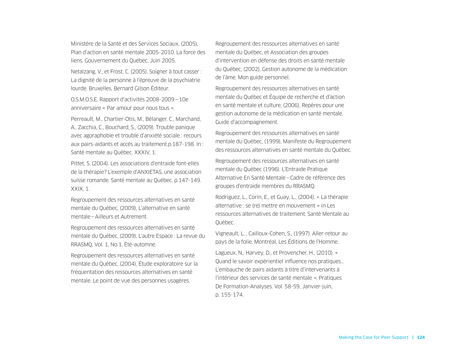Ministère de la Santé et des Services Sociaux, (2005), Plan d'action en santé mentale 2005-2010. La force des liens. Gouvernement du Québec, Juin 2005.

Netalzang, V., et Frost, C. (2005). Soigner à tout casser : La dignité de la personne à l'épreuve de la psychiatrie lourde. Bruxelles, Bernard Gilson Éditeur.

O.S.M.O.S.E. Rapport d'activités 2008-2009—10e anniversaire « Par amour pour nous tous ».

Perreault, M., Chartier-Otis, M., Bélanger, C., Marchand, A., Zacchia, C., Bouchard, S., (2009). Trouble panique avec agoraphobie et trouble d'anxiété sociale : recours aux pairs-aidants et accés au traitement.p.187-198. In : Santé mentale au Québec. XXXIV, 1.

Pittet, S. (2004). Les associations d'entraide font-elles de la thérapie? L'exemple d'ANXIETAS, une association suisse romande. Santé mentale au Québec. p.147-149. XXIX, 1.

Regroupement des ressources alternatives en santé mentale du Québec, (2009), L'alternative en santé mentale—Ailleurs et Autrement.

Regroupement des ressources alternatives en santé mentale du Québec, (2009), L'autre Espace : La revue du RRASMQ, Vol. 1, No.1, Été-automne.

Regroupement des ressources alternatives en santé mentale du Québec, (2004), Étude exploratoire sur la fréquentation des ressources alternatives en santé mentale. Le point de vue des personnes usagères.

Regroupement des ressources alternatives en santé mentale du Québec, et Association des groupes d'intervention en défense des droits en santé mentale du Québec, (2002), Gestion autonome de la médication de l'âme. Mon guide personnel.

Regroupement des ressources alternatives en santé mentale du Québec et Équipe de recherche et d'action en santé mentale et culture, (2006), Repères pour une gestion autonome de la médication en santé mentale. Guide d'accompagnement.

Regroupement des ressources alternatives en santé mentale du Québec, (1999), Manifeste du Regroupement des ressources alternatives en santé mentale du Québec.

Regroupement des ressources alternatives en santé mentale du Québec (1996). L'Entraide Pratique Alternative En Santé Mentale—Cadre de référence des groupes d'entraide membres du RRASMQ.

Rodriguez, L., Corin, E., et Guay, L., (2004). « La thérapie alternative : se (re) mettre en mouvement » in Les ressources alternatives de traitement. Santé Mentale au Québec.

Vigneault, L. , Cailloux-Cohen, S., (1997). Aller-retour au pays de la folie. Montréal, Les Éditions de l'Homme.

Lagueux, N., Harvey, D., et Provencher, H., (2010). « Quand le savoir expérientiel influence nos pratiques… L'embauche de pairs aidants à titre d'intervenants à l'intérieur des services de santé mentale ». Pratiques De Formation-Analyses. Vol. 58-59, Janvier-juin, p. 155-174.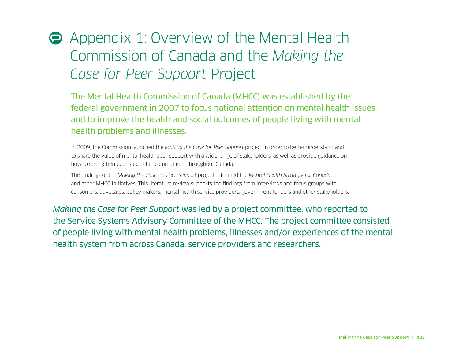# Appendix 1: Overview of the Mental Health Commission of Canada and the *Making the Case for Peer Support* Project

The Mental Health Commission of Canada (MHCC) was established by the federal government in 2007 to focus national attention on mental health issues and to improve the health and social outcomes of people living with mental health problems and illnesses.

In 2009, the Commission launched the *Making the Case for Peer Support* project in order to better understand and to share the value of mental health peer support with a wide range of stakeholders, as well as provide guidance on how to strengthen peer support in communities throughout Canada.

The findings of the *Making the Case for Peer Support* project informed the *Mental Health Strategy for Canada* and other MHCC initiatives. This literature review supports the findings from interviews and focus groups with consumers, advocates, policy makers, mental health service providers, government funders and other stakeholders.

*Making the Case for Peer Support* was led by a project committee, who reported to the Service Systems Advisory Committee of the MHCC. The project committee consisted of people living with mental health problems, illnesses and/or experiences of the mental health system from across Canada, service providers and researchers.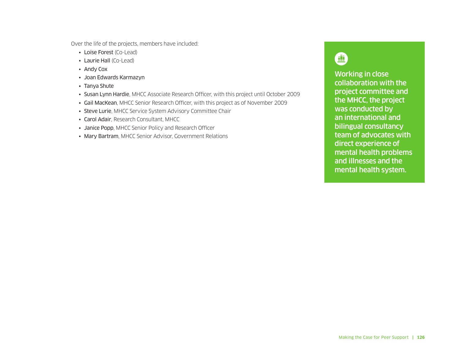Over the life of the projects, members have included:

- Loïse Forest (Co-Lead)
- Laurie Hall (Co-Lead)
- Andy Cox
- Joan Edwards Karmazyn
- Tanya Shute
- Susan Lynn Hardie, MHCC Associate Research Officer, with this project until October 2009
- Gail MacKean, MHCC Senior Research Officer, with this project as of November 2009
- Steve Lurie, MHCC Service System Advisory Committee Chair
- Carol Adair, Research Consultant, MHCC
- Janice Popp, MHCC Senior Policy and Research Officer
- Mary Bartram, MHCC Senior Advisor, Government Relations

### 四

Working in close collaboration with the project committee and the MHCC, the project was conducted by an international and bilingual consultancy team of advocates with direct experience of mental health problems and illnesses and the mental health system.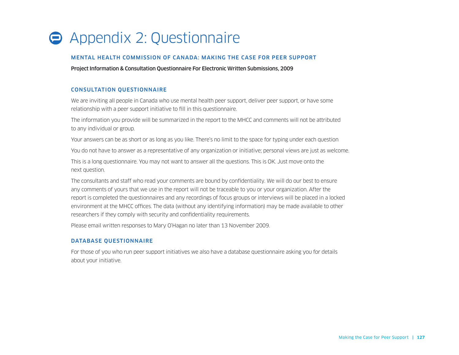## **Appendix 2: Questionnaire**

#### MENTAL HEALTH COMMISSION OF CANADA: MAKING THE CASE FOR PEER SUPPORT

Project Information & Consultation Questionnaire For Electronic Written Submissions, 2009

#### CONSULTATION QUESTIONNAIRE

We are inviting all people in Canada who use mental health peer support, deliver peer support, or have some relationship with a peer support initiative to fill in this questionnaire.

The information you provide will be summarized in the report to the MHCC and comments will not be attributed to any individual or group.

Your answers can be as short or as long as you like. There's no limit to the space for typing under each question

You do not have to answer as a representative of any organization or initiative; personal views are just as welcome.

This is a long questionnaire. You may not want to answer all the questions. This is OK. Just move onto the next question.

The consultants and staff who read your comments are bound by confidentiality. We will do our best to ensure any comments of yours that we use in the report will not be traceable to you or your organization. After the report is completed the questionnaires and any recordings of focus groups or interviews will be placed in a locked environment at the MHCC offices. The data (without any identifying information) may be made available to other researchers if they comply with security and confidentiality requirements.

Please email written responses to Mary O'Hagan no later than 13 November 2009.

#### DATABASE QUESTIONNAIRE

For those of you who run peer support initiatives we also have a database questionnaire asking you for details about your initiative.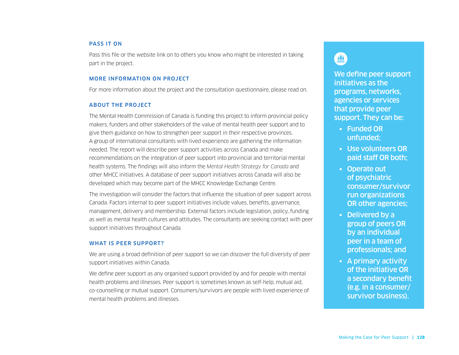#### PASS IT ON

Pass this file or the website link on to others you know who might be interested in taking part in the project.

#### MORE INFORMATION ON PROJECT

For more information about the project and the consultation questionnaire, please read on.

#### ABOUT THE PROJECT

The Mental Health Commission of Canada is funding this project to inform provincial policy makers, funders and other stakeholders of the value of mental health peer support and to give them guidance on how to strengthen peer support in their respective provinces. A group of international consultants with lived experience are gathering the information needed. The report will describe peer support activities across Canada and make recommendations on the integration of peer support into provincial and territorial mental health systems. The findings will also inform the *Mental Health Strategy for Canada* and other MHCC initiatives. A database of peer support initiatives across Canada will also be developed which may become part of the MHCC Knowledge Exchange Centre.

The investigation will consider the factors that influence the situation of peer support across Canada. Factors internal to peer support initiatives include values, benefits, governance, management, delivery and membership. External factors include legislation, policy, funding as well as mental health cultures and attitudes. The consultants are seeking contact with peer support initiatives throughout Canada.

#### WHAT IS PEER SUPPORT?

We are using a broad definition of peer support so we can discover the full diversity of peer support initiatives within Canada.

We define peer support as any organised support provided by and for people with mental health problems and illnesses. Peer support is sometimes known as self-help, mutual aid, co-counselling or mutual support. Consumers/survivors are people with lived experience of mental health problems and illnesses.

### 重

We define peer support initiatives as the programs, networks, agencies or services that provide peer support. They can be:

- Funded OR unfunded;
- Use volunteers OR paid staff OR both;
- Operate out of psychiatric consumer/survivor run organizations OR other agencies;
- Delivered by a group of peers OR by an individual peer in a team of professionals; and
- A primary activity of the initiative OR a secondary benefit (e.g. in a consumer/ survivor business).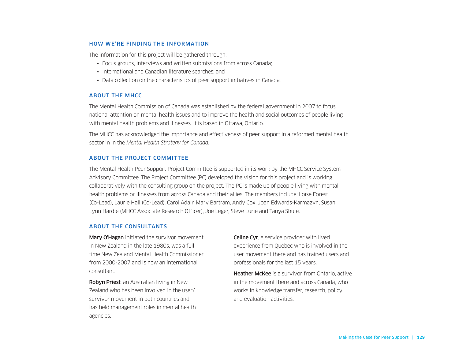#### HOW WE'RE FINDING THE INFORMATION

The information for this project will be gathered through:

- Focus groups, interviews and written submissions from across Canada;
- International and Canadian literature searches; and
- Data collection on the characteristics of peer support initiatives in Canada.

#### ABOUT THE MHCC

The Mental Health Commission of Canada was established by the federal government in 2007 to focus national attention on mental health issues and to improve the health and social outcomes of people living with mental health problems and illnesses. It is based in Ottawa, Ontario.

The MHCC has acknowledged the importance and effectiveness of peer support in a reformed mental health sector in in the *Mental Health Strategy for Canada*.

#### ABOUT THE PROJECT COMMITTEE

The Mental Health Peer Support Project Committee is supported in its work by the MHCC Service System Advisory Committee. The Project Committee (PC) developed the vision for this project and is working collaboratively with the consulting group on the project. The PC is made up of people living with mental health problems or illnesses from across Canada and their allies. The members include: Loïse Forest (Co-Lead), Laurie Hall (Co-Lead), Carol Adair, Mary Bartram, Andy Cox, Joan Edwards-Karmazyn, Susan Lynn Hardie (MHCC Associate Research Officer), Joe Leger, Steve Lurie and Tanya Shute.

#### ABOUT THE CONSULTANTS

Mary O'Hagan initiated the survivor movement in New Zealand in the late 1980s, was a full time New Zealand Mental Health Commissioner from 2000-2007 and is now an international consultant.

Robyn Priest, an Australian living in New Zealand who has been involved in the user/ survivor movement in both countries and has held management roles in mental health agencies.

**Celine Cyr**, a service provider with lived experience from Quebec who is involved in the user movement there and has trained users and professionals for the last 15 years.

**Heather McKee** is a survivor from Ontario, active in the movement there and across Canada, who works in knowledge transfer, research, policy and evaluation activities.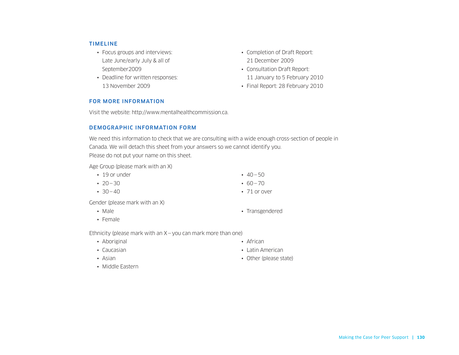#### TIMELINE

- Focus groups and interviews: Late June/early July & all of September2009
- Deadline for written responses: 13 November 2009
- Completion of Draft Report: 21 December 2009
- Consultation Draft Report: 11 January to 5 February 2010
- Final Report: 28 February 2010

#### FOR MORE INFORMATION

Visit the website: http://www.mentalhealthcommission.ca.

#### DEMOGRAPHIC INFORMATION FORM

We need this information to check that we are consulting with a wide enough cross-section of people in Canada. We will detach this sheet from your answers so we cannot identify you. Please do not put your name on this sheet.

Age Group (please mark with an X)

- 19 or under
- $70 30$
- $-30-40$
- $\cdot$  40 50  $• 60 - 70$
- 71 or over

Gender (please mark with an X)

- Male
- Female

Ethnicity (please mark with an  $X - y$ ou can mark more than one)

- Aboriginal
- Caucasian
- Asian
- Transgendered
- African
- Latin American
- Other (please state)

• Middle Eastern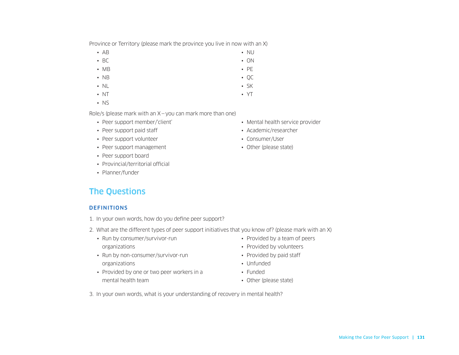Making the Case for Peer Support **| 131**

Province or Territory (please mark the province you live in now with an X)

- AB
- BC
- MB
- NB • QC
- NL
- NT
- NS

Role/s (please mark with an X—you can mark more than one)

- Peer support member/'client'
- Peer support paid staff
- Peer support volunteer
- Peer support management
- Peer support board
- Provincial/territorial official
- Planner/funder

### The Questions

#### **DEFINITIONS**

- 1. In your own words, how do you define peer support?
- 2. What are the different types of peer support initiatives that you know of? (please mark with an X)
	- Run by consumer/survivor-run organizations
	- Run by non-consumer/survivor-run organizations
	- Provided by one or two peer workers in a mental health team
- Provided by a team of peers
- Provided by volunteers
- Provided by paid staff
- Unfunded
- Funded
- Other (please state)

3. In your own words, what is your understanding of recovery in mental health?

- Mental health service provider
- Academic/researcher
- Consumer/User
- Other (please state)
- NU
- ON
- PE

• SK • YT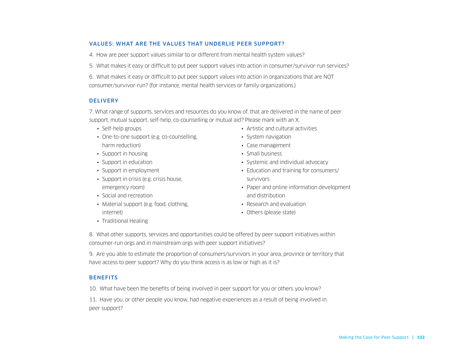#### VALUES: WHAT ARE THE VALUES THAT UNDERLIE PEER SUPPORT?

4. How are peer support values similar to or different from mental health system values?

5. What makes it easy or difficult to put peer support values into action in consumer/survivor-run services?

6. What makes it easy or difficult to put peer support values into action in organizations that are NOT consumer/survivor-run? (for instance, mental health services or family organizations.)

#### **DELIVERY**

7. What range of supports, services and resources do you know of, that are delivered in the name of peer support, mutual support, self-help, co-counselling or mutual aid? Please mark with an X.

- Self-help groups
- One-to-one support (e.g. co-counselling, harm reduction)
- Support in housing
- Support in education
- Support in employment
- Support in crisis (e.g. crisis house, emergency room)
- Social and recreation
- Material support (e.g. food, clothing, internet)
- Artistic and cultural activities
- System navigation
- Case management
- Small business
- Systemic and individual advocacy
- Education and training for consumers/ survivors
- Paper and online information development and distribution
- Research and evaluation
- Others (please state)

• Traditional Healing

8. What other supports, services and opportunities could be offered by peer support initiatives within consumer-run orgs and in mainstream orgs with peer support initiatives?

9. Are you able to estimate the proportion of consumers/survivors in your area, province or territory that have access to peer support? Why do you think access is as low or high as it is?

#### **BENEFITS**

10. What have been the benefits of being involved in peer support for you or others you know?

11. Have you, or other people you know, had negative experiences as a result of being involved in peer support?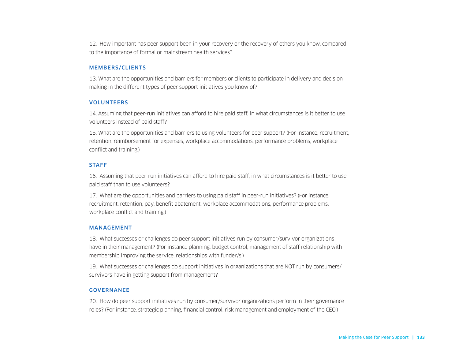12. How important has peer support been in your recovery or the recovery of others you know, compared to the importance of formal or mainstream health services?

#### MEMBERS/CLIENTS

13. What are the opportunities and barriers for members or clients to participate in delivery and decision making in the different types of peer support initiatives you know of?

#### VOLUNTEERS

14. Assuming that peer-run initiatives can afford to hire paid staff, in what circumstances is it better to use volunteers instead of paid staff?

15. What are the opportunities and barriers to using volunteers for peer support? (For instance, recruitment, retention, reimbursement for expenses, workplace accommodations, performance problems, workplace conflict and training.)

#### **STAFF**

16. Assuming that peer-run initiatives can afford to hire paid staff, in what circumstances is it better to use paid staff than to use volunteers?

17. What are the opportunities and barriers to using paid staff in peer-run initiatives? (For instance, recruitment, retention, pay, benefit abatement, workplace accommodations, performance problems, workplace conflict and training.)

#### MANAGEMENT

18. What successes or challenges do peer support initiatives run by consumer/survivor organizations have in their management? (For instance planning, budget control, management of staff relationship with membership improving the service, relationships with funder/s.)

19. What successes or challenges do support initiatives in organizations that are NOT run by consumers/ survivors have in getting support from management?

#### GOVERNANCE

20. How do peer support initiatives run by consumer/survivor organizations perform in their governance roles? (For instance, strategic planning, financial control, risk management and employment of the CEO.)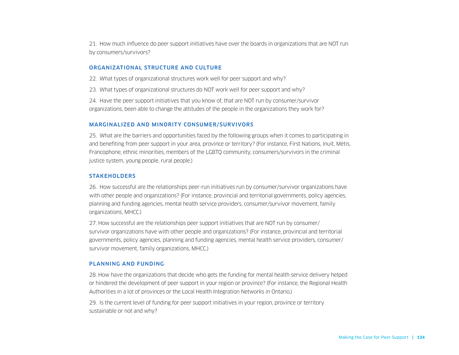21. How much influence do peer support initiatives have over the boards in organizations that are NOT run by consumers/survivors?

#### ORGANIZATIONAL STRUCTURE AND CULTURE

22. What types of organizational structures work well for peer support and why?

23. What types of organizational structures do NOT work well for peer support and why?

24. Have the peer support initiatives that you know of, that are NOT run by consumer/survivor organizations, been able to change the attitudes of the people in the organizations they work for?

#### MARGINALIZED AND MINORITY CONSUMER/SURVIVORS

25. What are the barriers and opportunities faced by the following groups when it comes to participating in and benefiting from peer support in your area, province or territory? (For instance, First Nations, Inuit, Métis, Francophone, ethnic minorities, members of the LGBTQ community, consumers/survivors in the criminal justice system, young people, rural people.)

#### **STAKEHOLDERS**

26. How successful are the relationships peer-run initiatives run by consumer/survivor organizations have with other people and organizations? (For instance, provincial and territorial governments, policy agencies, planning and funding agencies, mental health service providers, consumer/survivor movement, family organizations, MHCC.)

27. How successful are the relationships peer support initiatives that are NOT run by consumer/ survivor organizations have with other people and organizations? (For instance, provincial and territorial governments, policy agencies, planning and funding agencies, mental health service providers, consumer/ survivor movement, family organizations, MHCC.)

#### PLANNING AND FUNDING

28. How have the organizations that decide who gets the funding for mental health service delivery helped or hindered the development of peer support in your region or province? (For instance, the Regional Health Authorities in a lot of provinces or the Local Health Integration Networks in Ontario.)

29. Is the current level of funding for peer support initiatives in your region, province or territory sustainable or not and why?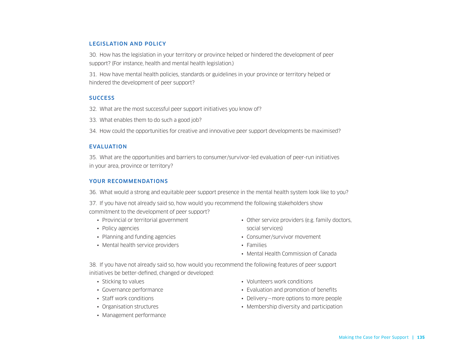#### LEGISLATION AND POLICY

30. How has the legislation in your territory or province helped or hindered the development of peer support? (For instance, health and mental health legislation.)

31. How have mental health policies, standards or guidelines in your province or territory helped or hindered the development of peer support?

#### **SUCCESS**

- 32. What are the most successful peer support initiatives you know of?
- 33. What enables them to do such a good job?
- 34. How could the opportunities for creative and innovative peer support developments be maximised?

#### EVALUATION

35. What are the opportunities and barriers to consumer/survivor-led evaluation of peer-run initiatives in your area, province or territory?

#### YOUR RECOMMENDATIONS

36. What would a strong and equitable peer support presence in the mental health system look like to you?

37. If you have not already said so, how would you recommend the following stakeholders show commitment to the development of peer support?

- Provincial or territorial government
- Policy agencies
- Planning and funding agencies
- Mental health service providers
- Other service providers (e.g. family doctors, social services)
- Consumer/survivor movement
- Families
- Mental Health Commission of Canada

38. If you have not already said so, how would you recommend the following features of peer support initiatives be better-defined, changed or developed:

- Sticking to values
- Governance performance
- Staff work conditions
- Organisation structures
- Management performance
- Volunteers work conditions
- Evaluation and promotion of benefits
- Delivery—more options to more people
- Membership diversity and participation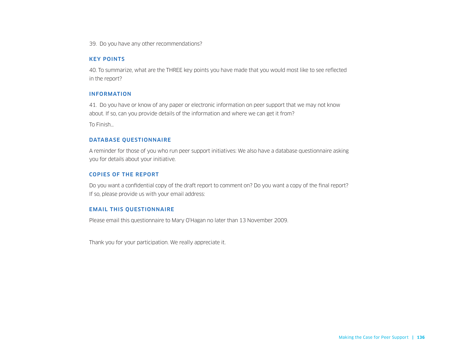39. Do you have any other recommendations?

#### KEY POINTS

40. To summarize, what are the THREE key points you have made that you would most like to see reflected in the report?

#### INFORMATION

41. Do you have or know of any paper or electronic information on peer support that we may not know about. If so, can you provide details of the information and where we can get it from?

To Finish…

#### DATABASE QUESTIONNAIRE

A reminder for those of you who run peer support initiatives: We also have a database questionnaire asking you for details about your initiative.

#### COPIES OF THE REPORT

Do you want a confidential copy of the draft report to comment on? Do you want a copy of the final report? If so, please provide us with your email address:

#### EMAIL THIS QUESTIONNAIRE

Please email this questionnaire to Mary O'Hagan no later than 13 November 2009.

Thank you for your participation. We really appreciate it.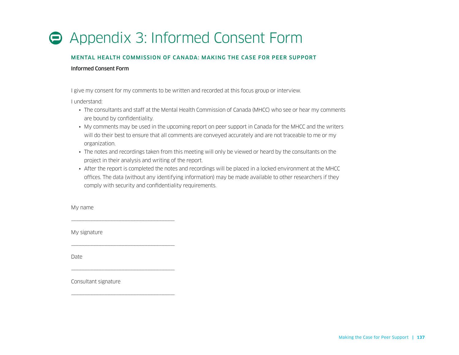# Appendix 3: Informed Consent Form

#### MENTAL HEALTH COMMISSION OF CANADA: MAKING THE CASE FOR PEER SUPPORT

#### Informed Consent Form

I give my consent for my comments to be written and recorded at this focus group or interview.

I understand:

- The consultants and staff at the Mental Health Commission of Canada (MHCC) who see or hear my comments are bound by confidentiality.
- My comments may be used in the upcoming report on peer support in Canada for the MHCC and the writers will do their best to ensure that all comments are conveyed accurately and are not traceable to me or my organization.
- The notes and recordings taken from this meeting will only be viewed or heard by the consultants on the project in their analysis and writing of the report.
- After the report is completed the notes and recordings will be placed in a locked environment at the MHCC offices. The data (without any identifying information) may be made available to other researchers if they comply with security and confidentiality requirements.

My name

My signature

\_\_\_\_\_\_\_\_\_\_\_\_\_\_\_\_\_\_\_\_\_\_\_\_\_\_\_\_\_\_\_\_\_\_\_\_\_\_\_\_\_\_\_\_\_\_\_\_\_\_\_\_\_\_\_\_\_\_\_\_\_\_\_\_\_\_\_

\_\_\_\_\_\_\_\_\_\_\_\_\_\_\_\_\_\_\_\_\_\_\_\_\_\_\_\_\_\_\_\_\_\_\_\_\_\_\_\_\_\_\_\_\_\_\_\_\_\_\_\_\_\_\_\_\_\_\_\_\_\_\_\_\_\_\_

\_\_\_\_\_\_\_\_\_\_\_\_\_\_\_\_\_\_\_\_\_\_\_\_\_\_\_\_\_\_\_\_\_\_\_\_\_\_\_\_\_\_\_\_\_\_\_\_\_\_\_\_\_\_\_\_\_\_\_\_\_\_\_\_\_\_\_

\_\_\_\_\_\_\_\_\_\_\_\_\_\_\_\_\_\_\_\_\_\_\_\_\_\_\_\_\_\_\_\_\_\_\_\_\_\_\_\_\_\_\_\_\_\_\_\_\_\_\_\_\_\_\_\_\_\_\_\_\_\_\_\_\_\_\_

Date

Consultant signature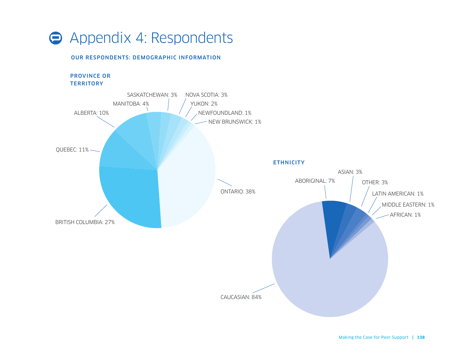

#### OUR RESPONDENTS: DEMOGRAPHIC INFORMATION

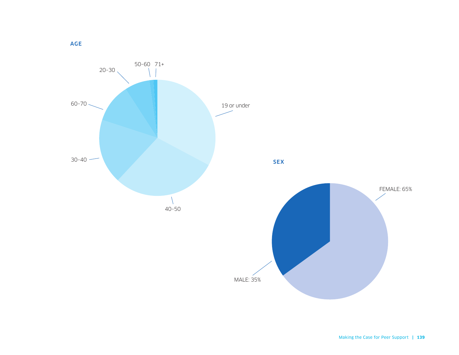

AGE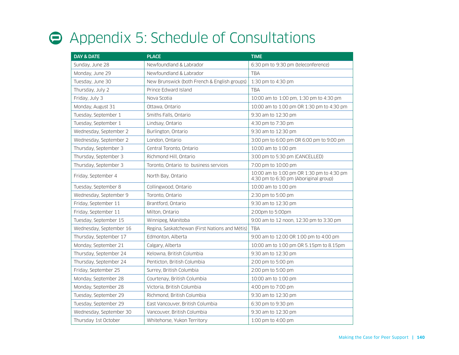# Appendix 5: Schedule of Consultations

| <b>DAY &amp; DATE</b>   | <b>PLACE</b>                                   | <b>TIME</b>                                                                        |
|-------------------------|------------------------------------------------|------------------------------------------------------------------------------------|
| Sunday, June 28         | Newfoundland & Labrador                        | 6:30 pm to 9:30 pm (teleconference)                                                |
| Monday, June 29         | Newfoundland & Labrador                        | <b>TBA</b>                                                                         |
| Tuesday, June 30        | New Brunswick (both French & English groups)   | 1:30 pm to 4:30 pm                                                                 |
| Thursday, July 2        | Prince Edward Island                           | <b>TBA</b>                                                                         |
| Friday, July 3          | Nova Scotia                                    | 10:00 am to 1:00 pm, 1:30 pm to 4:30 pm                                            |
| Monday, August 31       | Ottawa, Ontario                                | 10:00 am to 1.00 pm OR 1:30 pm to 4:30 pm                                          |
| Tuesday, September 1    | Smiths Falls, Ontario                          | 9:30 am to 12:30 pm                                                                |
| Tuesday, September 1    | Lindsay, Ontario                               | 4:30 pm to 7:30 pm                                                                 |
| Wednesday, September 2  | Burlington, Ontario                            | 9:30 am to 12:30 pm                                                                |
| Wednesday, September 2  | London, Ontario                                | 3:00 pm to 6:00 pm OR 6:00 pm to 9:00 pm                                           |
| Thursday, September 3   | Central Toronto, Ontario                       | 10:00 am to 1:00 pm                                                                |
| Thursday, September 3   | Richmond Hill, Ontario                         | 3:00 pm to 5:30 pm (CANCELLED)                                                     |
| Thursday, September 3   | Toronto, Ontario to business services          | 7:00 pm to 10:00 pm                                                                |
| Friday, September 4     | North Bay, Ontario                             | 10:00 am to 1:00 pm OR 1:30 pm to 4:30 pm<br>4:30 pm to 6:30 pm (Aboriginal group) |
| Tuesday, September 8    | Collingwood, Ontario                           | 10:00 am to 1:00 pm                                                                |
| Wednesday, September 9  | Toronto, Ontario                               | 2:30 pm to 5:00 pm                                                                 |
| Friday, September 11    | Brantford, Ontario                             | 9:30 am to 12:30 pm                                                                |
| Friday, September 11    | Milton, Ontario                                | 2:00pm to 5:00pm                                                                   |
| Tuesday, September 15   | Winnipeg, Manitoba                             | 9:00 am to 12 noon, 12:30 pm to 3:30 pm                                            |
| Wednesday, September 16 | Regina, Saskatchewan (First Nations and Métis) | <b>TBA</b>                                                                         |
| Thursday, September 17  | Edmonton, Alberta                              | 9:00 am to 12.00 OR 1:00 pm to 4:00 pm                                             |
| Monday, September 21    | Calgary, Alberta                               | 10:00 am to 1:00 pm OR 5.15pm to 8.15pm                                            |
| Thursday, September 24  | Kelowna, British Columbia                      | 9:30 am to 12:30 pm                                                                |
| Thursday, September 24  | Penticton, British Columbia                    | 2:00 pm to 5:00 pm                                                                 |
| Friday, September 25    | Surrey, British Columbia                       | 2:00 pm to 5:00 pm                                                                 |
| Monday, September 28    | Courtenay, British Columbia                    | 10:00 am to 1:00 pm                                                                |
| Monday, September 28    | Victoria, British Columbia                     | 4:00 pm to 7:00 pm                                                                 |
| Tuesday, September 29   | Richmond, British Columbia                     | 9:30 am to 12:30 pm                                                                |
| Tuesday, September 29   | East Vancouver, British Columbia               | 6:30 pm to 9:30 pm                                                                 |
| Wednesday, September 30 | Vancouver, British Columbia                    | 9:30 am to 12:30 pm                                                                |
| Thursday 1st October    | Whitehorse, Yukon Territory                    | 1:00 pm to 4:00 pm                                                                 |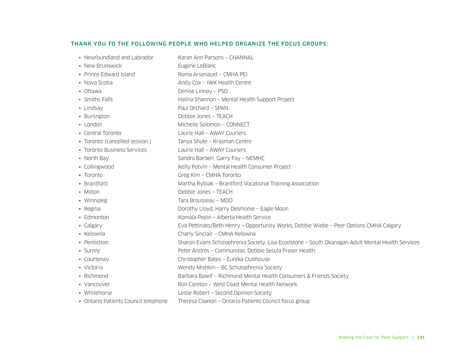#### THANK YOU TO THE FOLLOWING PEOPLE WHO HELPED ORGANIZE THE FOCUS GROUPS:

| • Newfoundland and Labrador          | Karan Ann Parsons - CHANNAL                                                                       |  |
|--------------------------------------|---------------------------------------------------------------------------------------------------|--|
| • New Brunswick                      | Eugene LeBlanc                                                                                    |  |
| • Prince Edward Island               | Roma Arsenauet - CMHA PEI                                                                         |  |
| • Nova Scotia                        | Andy Cox - IWK Health Centre                                                                      |  |
| • Ottawa                             | Denise Linnay - PSO                                                                               |  |
| • Smiths Falls                       | Halina Shannon - Mental Health Support Project                                                    |  |
| • Lindsay                            | Paul Orchard - SPAN                                                                               |  |
| • Burlington                         | Debbie Jones - TEACH                                                                              |  |
| • London                             | Michelle Solomon - CONNECT                                                                        |  |
| • Central Toronto                    | Laurie Hall - AWAY Couriers                                                                       |  |
| • Toronto (cancelled session)        | Tanya Shute - Krasman Centre                                                                      |  |
| • Toronto Business Services          | Laurie Hall - AWAY Couriers                                                                       |  |
| • North Bay                          | Sandra Barberi, Garry Fay - NEMHC                                                                 |  |
| • Collingwood                        | Kelly Potvin - Mental Health Consumer Project                                                     |  |
| • Toronto                            | Greg Kim - CMHA Toronto                                                                           |  |
| • Brantford                          | Martha Rybiak – Brantford Vocational Training Association                                         |  |
| • Milton                             | Debbie Jones - TEACH                                                                              |  |
| • Winnipeg                           | Tara Brousseau - MDO                                                                              |  |
| • Regina                             | Dorothy Lloyd, Harry Desmonie - Eagle Moon                                                        |  |
| • Edmonton                           | Komala Pepin - Alberta Health Service                                                             |  |
| • Calgary                            | Eva Pettinato/Beth Henry - Opportunity Works, Debbie Wiebe - Peer Options CMHA Calgary            |  |
| • Kelowna                            | Charly Sinclair - CMHA Kelowna                                                                    |  |
| • Pentiction                         | Sharon Evans Schizophrenia Society, Lisa Eccelstone - South Okanagan Adult Mental Health Services |  |
| • Surrey                             | Peter Andres - Communitas, Debbie Sesula Fraser Health                                            |  |
| • Courtenay                          | Christopher Bates - Eureka Clubhouse                                                              |  |
| • Victoria                           | Wendy Mishkin - BC Schizophrenia Society                                                          |  |
| • Richmond                           | Barbara Bawlf - Richmond Mental Health Consumers & Friends Society                                |  |
| • Vancouver                          | Ron Careton - West Coast Mental Health Network                                                    |  |
| • Whitehorse                         | Leslie Robert - Second Opinion Society                                                            |  |
| • Ontario Patients Council telephone | Theresa Claxton - Ontario Patients Council focus group                                            |  |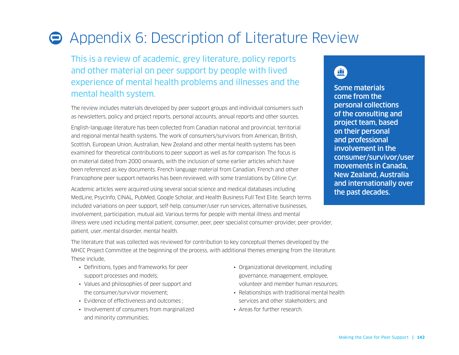# Appendix 6: Description of Literature Review

This is a review of academic, grey literature, policy reports and other material on peer support by people with lived experience of mental health problems and illnesses and the mental health system.

The review includes materials developed by peer support groups and individual consumers such as newsletters, policy and project reports, personal accounts, annual reports and other sources.

English-language literature has been collected from Canadian national and provincial, territorial and regional mental health systems. The work of consumers/survivors from American, British, Scottish, European Union, Australian, New Zealand and other mental health systems has been examined for theoretical contributions to peer support as well as for comparison. The focus is on material dated from 2000 onwards, with the inclusion of some earlier articles which have been referenced as key documents. French language material from Canadian, French and other Francophone peer support networks has been reviewed, with some translations by Céline Cyr.

Academic articles were acquired using several social science and medical databases including MedLine, PsycInfo, CINAL, PubMed, Google Scholar, and Health Business Full Text Elite. Search terms included variations on peer support, self-help, consumer/user run services, alternative businesses, involvement, participation, mutual aid. Various terms for people with mental illness and mental illness were used including mental patient, consumer, peer, peer specialist consumer-provider, peer-provider, patient, user, mental disorder, mental health.

### 血

Some materials come from the personal collections of the consulting and project team, based on their personal and professional involvement in the consumer/survivor/user movements in Canada, New Zealand, Australia and internationally over the past decades.

The literature that was collected was reviewed for contribution to key conceptual themes developed by the MHCC Project Committee at the beginning of the process, with additional themes emerging from the literature. These include,

- Definitions, types and frameworks for peer support processes and models;
- Values and philosophies of peer support and the consumer/survivor movement;
- Evidence of effectiveness and outcomes ;
- Involvement of consumers from marginalized and minority communities;
- Organizational development, including governance, management, employee, volunteer and member human resources;
- Relationships with traditional mental health services and other stakeholders; and
- Areas for further research.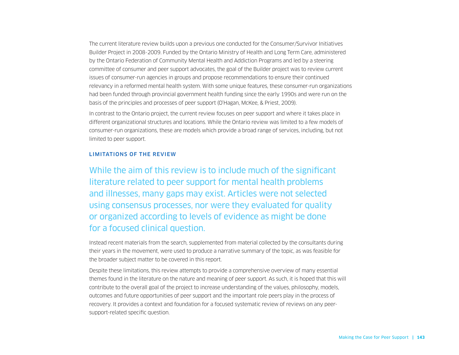The current literature review builds upon a previous one conducted for the Consumer/Survivor Initiatives Builder Project in 2008-2009. Funded by the Ontario Ministry of Health and Long Term Care, administered by the Ontario Federation of Community Mental Health and Addiction Programs and led by a steering committee of consumer and peer support advocates, the goal of the Builder project was to review current issues of consumer-run agencies in groups and propose recommendations to ensure their continued relevancy in a reformed mental health system. With some unique features, these consumer-run organizations had been funded through provincial government health funding since the early 1990s and were run on the basis of the principles and processes of peer support (O'Hagan, McKee, & Priest, 2009).

In contrast to the Ontario project, the current review focuses on peer support and where it takes place in different organizational structures and locations. While the Ontario review was limited to a few models of consumer-run organizations, these are models which provide a broad range of services, including, but not limited to peer support.

#### LIMITATIONS OF THE REVIEW

While the aim of this review is to include much of the significant literature related to peer support for mental health problems and illnesses, many gaps may exist. Articles were not selected using consensus processes, nor were they evaluated for quality or organized according to levels of evidence as might be done for a focused clinical question.

Instead recent materials from the search, supplemented from material collected by the consultants during their years in the movement, were used to produce a narrative summary of the topic, as was feasible for the broader subject matter to be covered in this report.

Despite these limitations, this review attempts to provide a comprehensive overview of many essential themes found in the literature on the nature and meaning of peer support. As such, it is hoped that this will contribute to the overall goal of the project to increase understanding of the values, philosophy, models, outcomes and future opportunities of peer support and the important role peers play in the process of recovery. It provides a context and foundation for a focused systematic review of reviews on any peersupport-related specific question.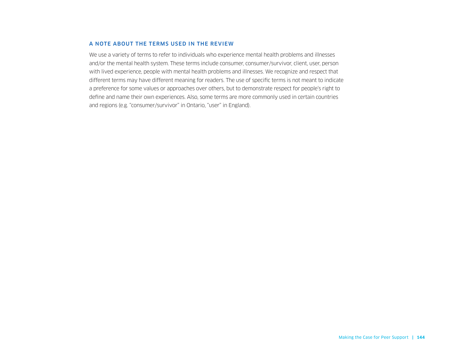#### A NOTE ABOUT THE TERMS USED IN THE REVIEW

We use a variety of terms to refer to individuals who experience mental health problems and illnesses and/or the mental health system. These terms include consumer, consumer/survivor, client, user, person with lived experience, people with mental health problems and illnesses. We recognize and respect that different terms may have different meaning for readers. The use of specific terms is not meant to indicate a preference for some values or approaches over others, but to demonstrate respect for people's right to define and name their own experiences. Also, some terms are more commonly used in certain countries and regions (e.g. "consumer/survivor" in Ontario, "user" in England).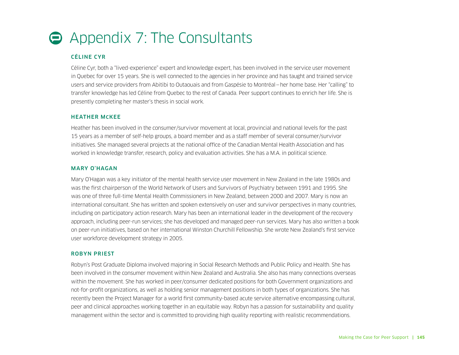# Appendix 7: The Consultants

## CÉLINE CYR

Céline Cyr, both a "lived-experience" expert and knowledge expert, has been involved in the service user movement in Quebec for over 15 years. She is well connected to the agencies in her province and has taught and trained service users and service providers from Abitibi to Outaouais and from Gaspésie to Montréal—her home base. Her "calling" to transfer knowledge has led Céline from Quebec to the rest of Canada. Peer support continues to enrich her life. She is presently completing her master's thesis in social work.

## HEATHER McKEE

Heather has been involved in the consumer/survivor movement at local, provincial and national levels for the past 15 years as a member of self-help groups, a board member and as a staff member of several consumer/survivor initiatives. She managed several projects at the national office of the Canadian Mental Health Association and has worked in knowledge transfer, research, policy and evaluation activities. She has a M.A. in political science.

## MARY O'HAGAN

Mary O'Hagan was a key initiator of the mental health service user movement in New Zealand in the late 1980s and was the first chairperson of the World Network of Users and Survivors of Psychiatry between 1991 and 1995. She was one of three full-time Mental Health Commissioners in New Zealand, between 2000 and 2007. Mary is now an international consultant. She has written and spoken extensively on user and survivor perspectives in many countries, including on participatory action research. Mary has been an international leader in the development of the recovery approach, including peer-run services; she has developed and managed peer-run services. Mary has also written a book on peer-run initiatives, based on her international Winston Churchill Fellowship. She wrote New Zealand's first service user workforce development strategy in 2005.

#### ROBYN PRIEST

Robyn's Post Graduate Diploma involved majoring in Social Research Methods and Public Policy and Health. She has been involved in the consumer movement within New Zealand and Australia. She also has many connections overseas within the movement. She has worked in peer/consumer dedicated positions for both Government organizations and not-for-profit organizations, as well as holding senior management positions in both types of organizations. She has recently been the Project Manager for a world first community-based acute service alternative encompassing cultural, peer and clinical approaches working together in an equitable way. Robyn has a passion for sustainability and quality management within the sector and is committed to providing high quality reporting with realistic recommendations.